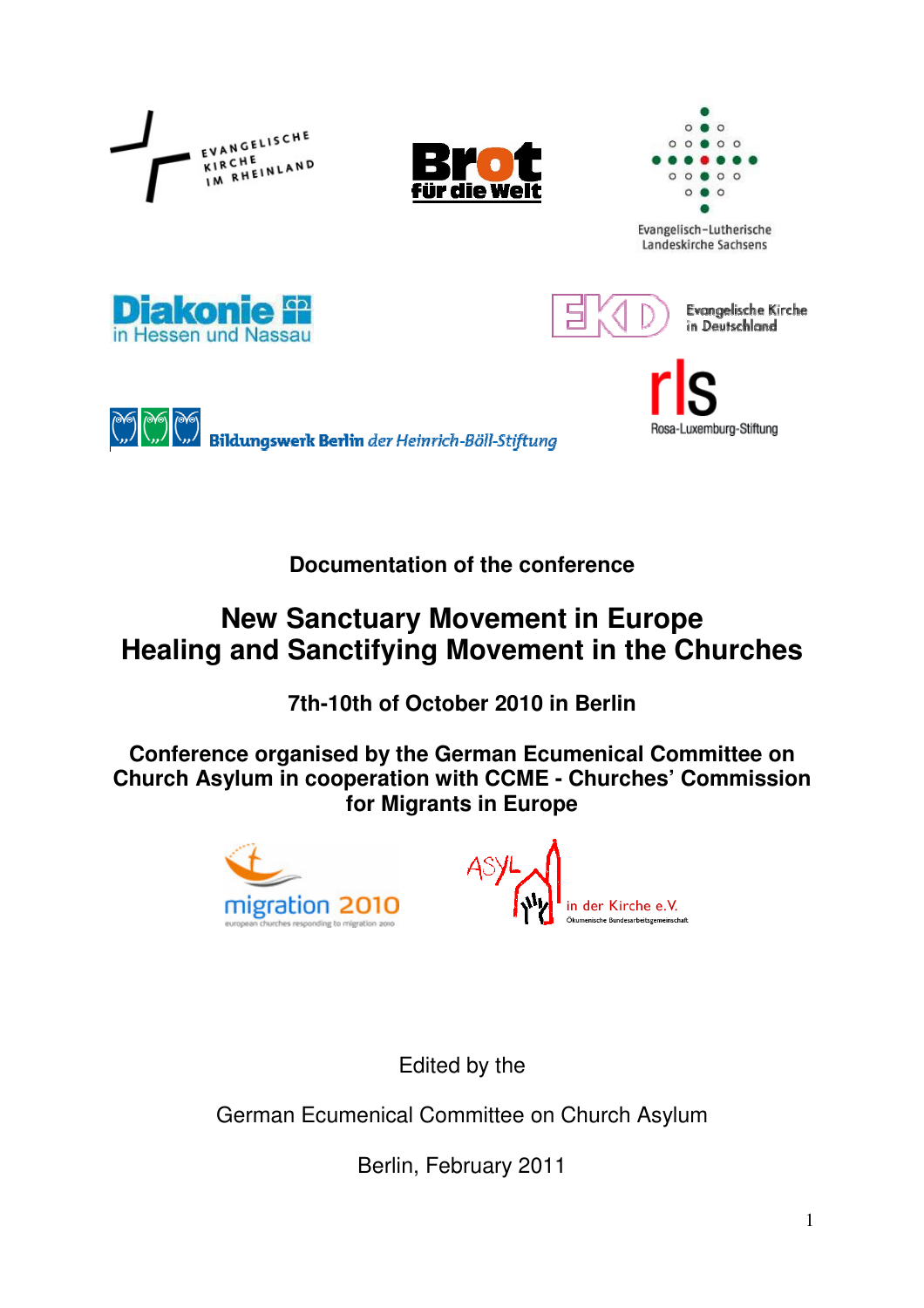

**Documentation of the conference** 

# **New Sanctuary Movement in Europe Healing and Sanctifying Movement in the Churches**

**7th-10th of October 2010 in Berlin** 

**Conference organised by the German Ecumenical Committee on Church Asylum in cooperation with CCME - Churches' Commission for Migrants in Europe** 





Edited by the

German Ecumenical Committee on Church Asylum

Berlin, February 2011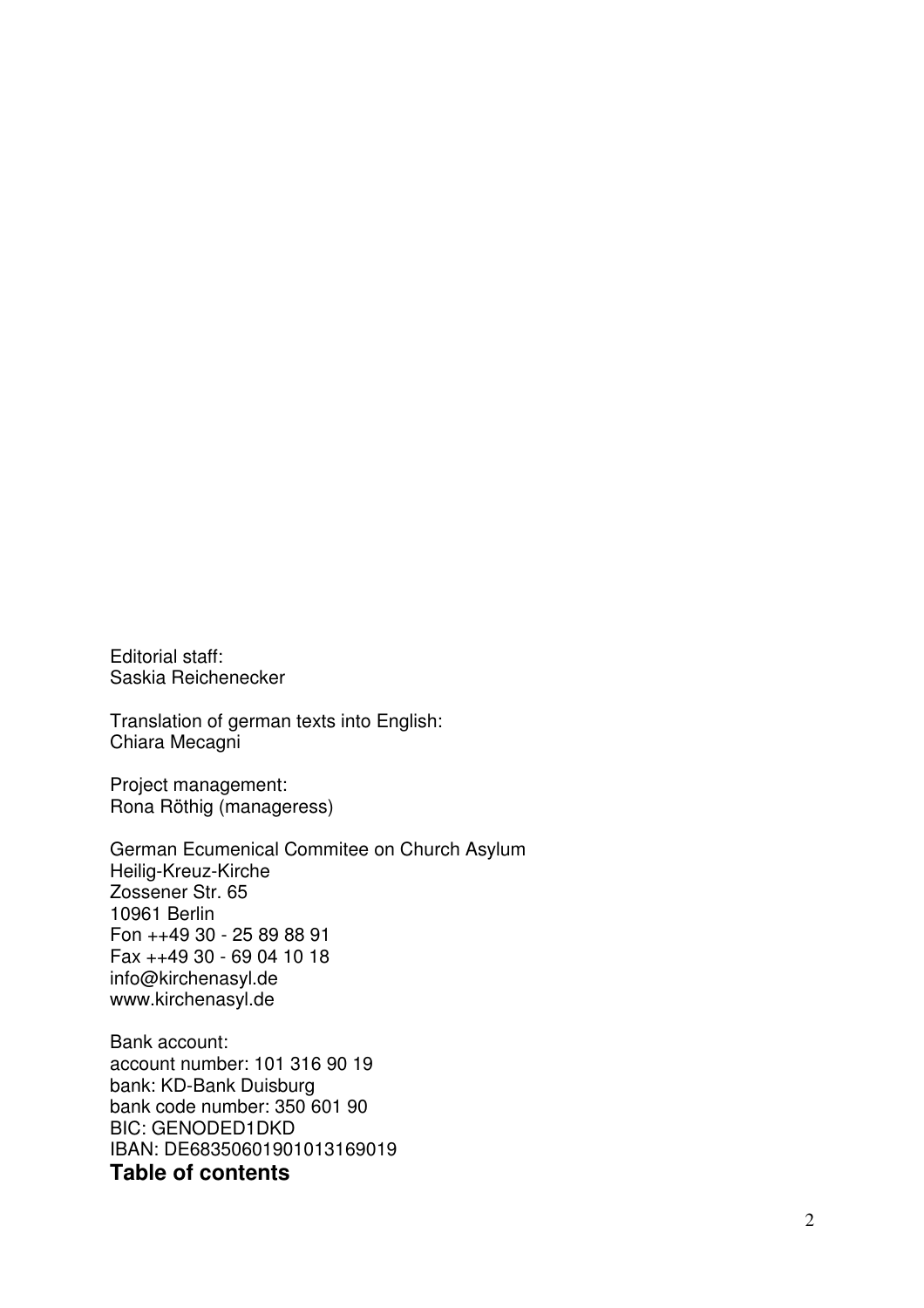Editorial staff: Saskia Reichenecker

Translation of german texts into English: Chiara Mecagni

Project management: Rona Röthig (manageress)

German Ecumenical Commitee on Church Asylum Heilig-Kreuz-Kirche Zossener Str. 65 10961 Berlin Fon ++49 30 - 25 89 88 91 Fax ++49 30 - 69 04 10 18 info@kirchenasyl.de www.kirchenasyl.de

Bank account: account number: 101 316 90 19 bank: KD-Bank Duisburg bank code number: 350 601 90 BIC: GENODED1DKD IBAN: DE68350601901013169019 **Table of contents**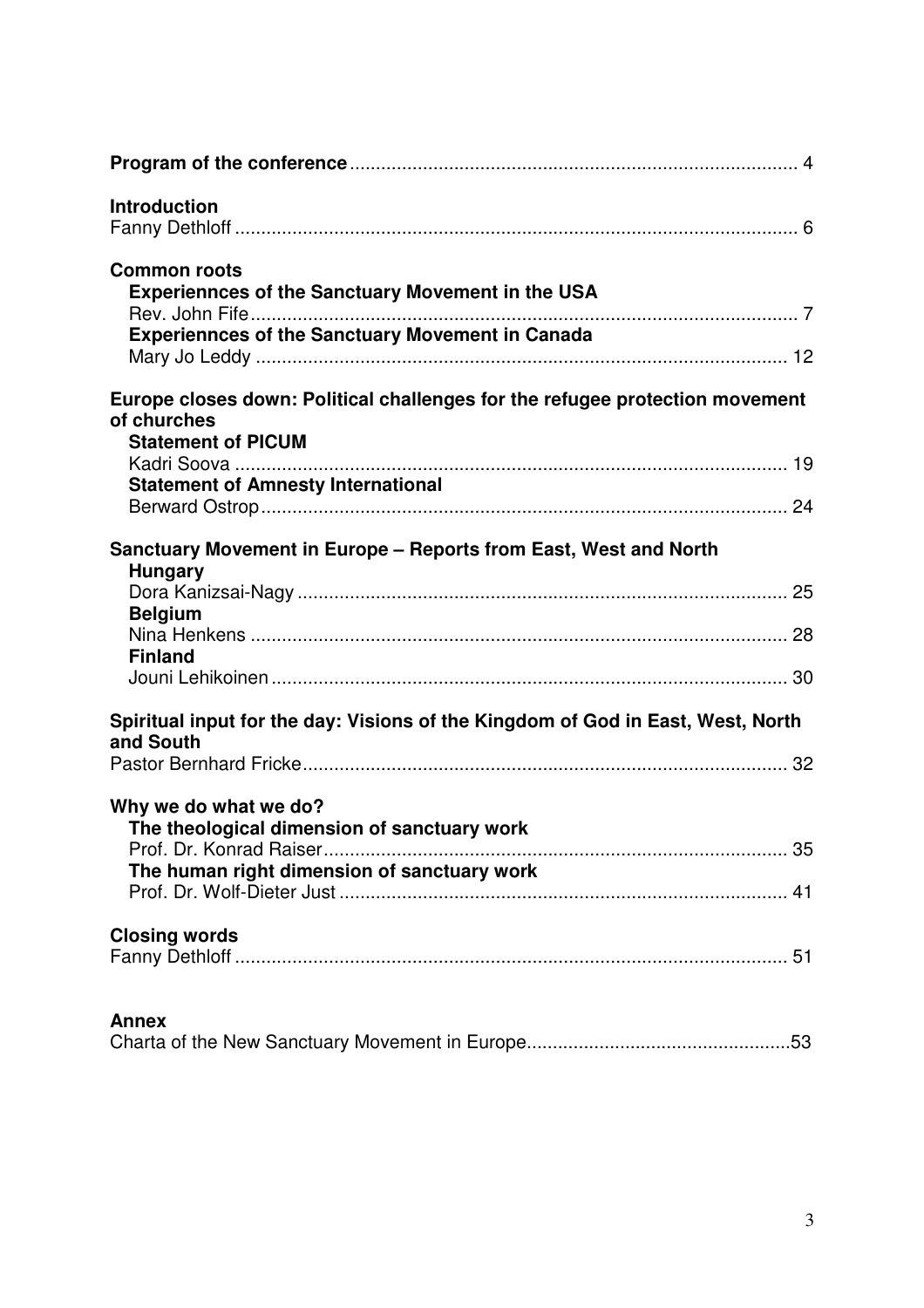| <b>Introduction</b>                                                                                                      |
|--------------------------------------------------------------------------------------------------------------------------|
| <b>Common roots</b><br><b>Experiennces of the Sanctuary Movement in the USA</b>                                          |
| <b>Experiennces of the Sanctuary Movement in Canada</b>                                                                  |
| Europe closes down: Political challenges for the refugee protection movement<br>of churches<br><b>Statement of PICUM</b> |
| <b>Statement of Amnesty International</b>                                                                                |
|                                                                                                                          |
| Sanctuary Movement in Europe – Reports from East, West and North                                                         |
| <b>Hungary</b><br><b>Belgium</b>                                                                                         |
| <b>Finland</b>                                                                                                           |
|                                                                                                                          |
| Spiritual input for the day: Visions of the Kingdom of God in East, West, North                                          |
| and South                                                                                                                |
| Why we do what we do?<br>The theological dimension of sanctuary work                                                     |
| The human right dimension of sanctuary work                                                                              |
|                                                                                                                          |
| <b>Closing words</b>                                                                                                     |
| <b>Annex</b>                                                                                                             |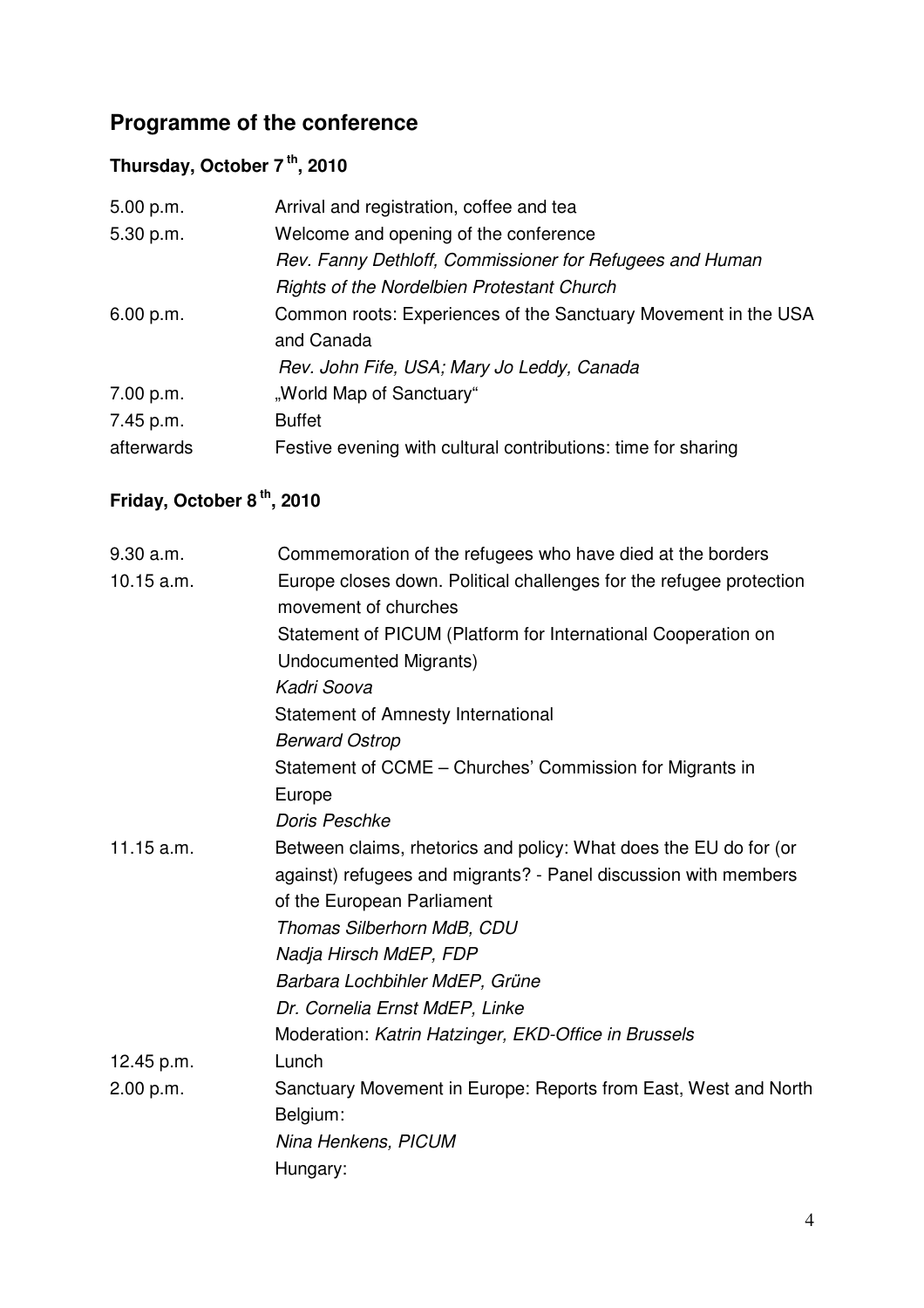# **Programme of the conference**

# **Thursday, October 7 th, 2010**

| 5.00 p.m.  | Arrival and registration, coffee and tea                       |
|------------|----------------------------------------------------------------|
| 5.30 p.m.  | Welcome and opening of the conference                          |
|            | Rev. Fanny Dethloff, Commissioner for Refugees and Human       |
|            | <b>Rights of the Nordelbien Protestant Church</b>              |
| 6.00 p.m.  | Common roots: Experiences of the Sanctuary Movement in the USA |
|            | and Canada                                                     |
|            | Rev. John Fife, USA; Mary Jo Leddy, Canada                     |
| 7.00 p.m.  | "World Map of Sanctuary"                                       |
| 7.45 p.m.  | <b>Buffet</b>                                                  |
| afterwards | Festive evening with cultural contributions: time for sharing  |

# **Friday, October 8 th, 2010**

| 9.30 a.m.  | Commemoration of the refugees who have died at the borders          |
|------------|---------------------------------------------------------------------|
| 10.15 a.m. | Europe closes down. Political challenges for the refugee protection |
|            | movement of churches                                                |
|            | Statement of PICUM (Platform for International Cooperation on       |
|            | <b>Undocumented Migrants)</b>                                       |
|            | Kadri Soova                                                         |
|            | <b>Statement of Amnesty International</b>                           |
|            | <b>Berward Ostrop</b>                                               |
|            | Statement of CCME - Churches' Commission for Migrants in            |
|            | Europe                                                              |
|            | Doris Peschke                                                       |
| 11.15 a.m. | Between claims, rhetorics and policy: What does the EU do for (or   |
|            | against) refugees and migrants? - Panel discussion with members     |
|            | of the European Parliament                                          |
|            | Thomas Silberhorn MdB, CDU                                          |
|            | Nadja Hirsch MdEP, FDP                                              |
|            | Barbara Lochbihler MdEP, Grüne                                      |
|            | Dr. Cornelia Ernst MdEP, Linke                                      |
|            | Moderation: Katrin Hatzinger, EKD-Office in Brussels                |
| 12.45 p.m. | Lunch                                                               |
| 2.00 p.m.  | Sanctuary Movement in Europe: Reports from East, West and North     |
|            | Belgium:                                                            |
|            | Nina Henkens, PICUM                                                 |
|            | Hungary:                                                            |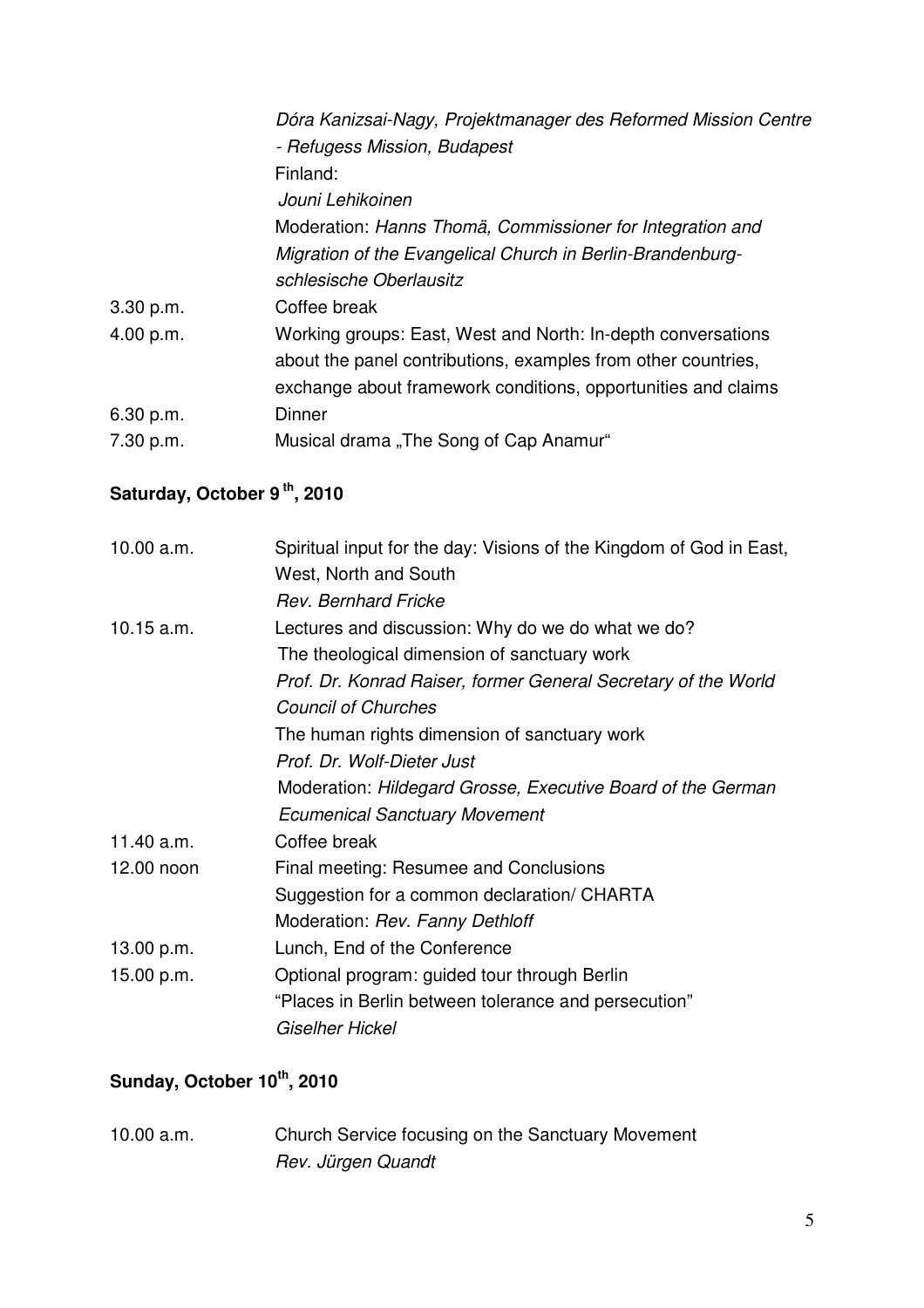| Dóra Kanizsai-Nagy, Projektmanager des Reformed Mission Centre |
|----------------------------------------------------------------|
| - Refugess Mission, Budapest                                   |
| Finland:                                                       |
| Jouni Lehikoinen                                               |
| Moderation: Hanns Thomä, Commissioner for Integration and      |
| Migration of the Evangelical Church in Berlin-Brandenburg-     |
| schlesische Oberlausitz                                        |
| Coffee break                                                   |
| Working groups: East, West and North: In-depth conversations   |
| about the panel contributions, examples from other countries,  |
| exchange about framework conditions, opportunities and claims  |
| <b>Dinner</b>                                                  |
| Musical drama, The Song of Cap Anamur"                         |
|                                                                |

# Saturday, October 9<sup>th</sup>, 2010

| 10.00 a.m.   | Spiritual input for the day: Visions of the Kingdom of God in East,<br>West, North and South |
|--------------|----------------------------------------------------------------------------------------------|
|              | <b>Rev. Bernhard Fricke</b>                                                                  |
| $10.15$ a.m. | Lectures and discussion: Why do we do what we do?                                            |
|              | The theological dimension of sanctuary work                                                  |
|              | Prof. Dr. Konrad Raiser, former General Secretary of the World                               |
|              | <b>Council of Churches</b>                                                                   |
|              | The human rights dimension of sanctuary work                                                 |
|              | Prof. Dr. Wolf-Dieter Just                                                                   |
|              | Moderation: Hildegard Grosse, Executive Board of the German                                  |
|              | <b>Ecumenical Sanctuary Movement</b>                                                         |
| 11.40 a.m.   | Coffee break                                                                                 |
| 12.00 noon   | Final meeting: Resumee and Conclusions                                                       |
|              | Suggestion for a common declaration/ CHARTA                                                  |
|              | Moderation: Rev. Fanny Dethloff                                                              |
| 13.00 p.m.   | Lunch, End of the Conference                                                                 |
| 15.00 p.m.   | Optional program: guided tour through Berlin                                                 |
|              | "Places in Berlin between tolerance and persecution"                                         |
|              | Giselher Hickel                                                                              |
|              |                                                                                              |

# **Sunday, October 10th, 2010**

10.00 a.m. Church Service focusing on the Sanctuary Movement Rev. Jürgen Quandt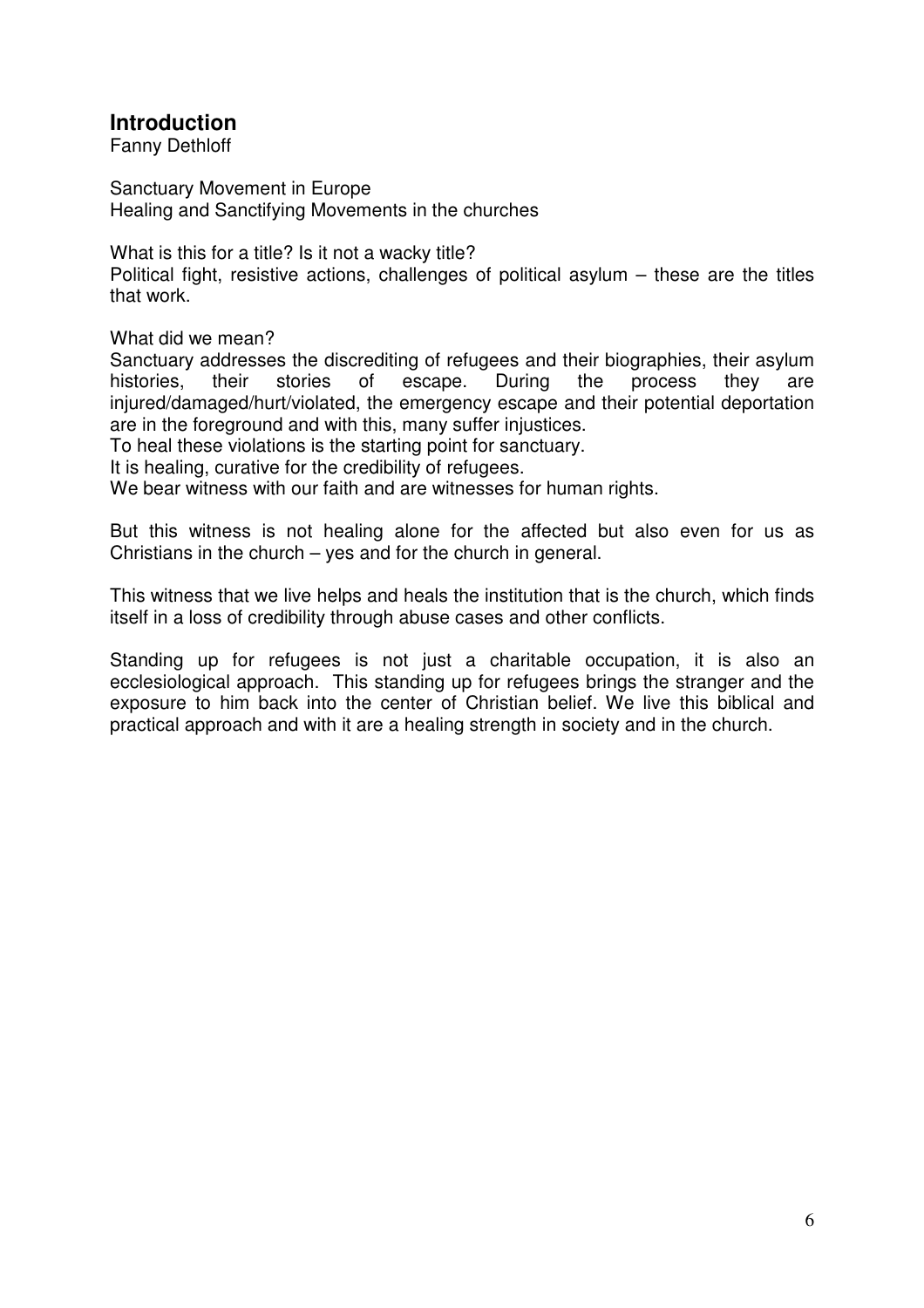# **Introduction**

Fanny Dethloff

Sanctuary Movement in Europe Healing and Sanctifying Movements in the churches

What is this for a title? Is it not a wacky title?

Political fight, resistive actions, challenges of political asylum – these are the titles that work.

What did we mean?

Sanctuary addresses the discrediting of refugees and their biographies, their asylum histories, their stories of escape. During the process they are injured/damaged/hurt/violated, the emergency escape and their potential deportation are in the foreground and with this, many suffer injustices.

To heal these violations is the starting point for sanctuary.

It is healing, curative for the credibility of refugees.

We bear witness with our faith and are witnesses for human rights.

But this witness is not healing alone for the affected but also even for us as Christians in the church – yes and for the church in general.

This witness that we live helps and heals the institution that is the church, which finds itself in a loss of credibility through abuse cases and other conflicts.

Standing up for refugees is not just a charitable occupation, it is also an ecclesiological approach. This standing up for refugees brings the stranger and the exposure to him back into the center of Christian belief. We live this biblical and practical approach and with it are a healing strength in society and in the church.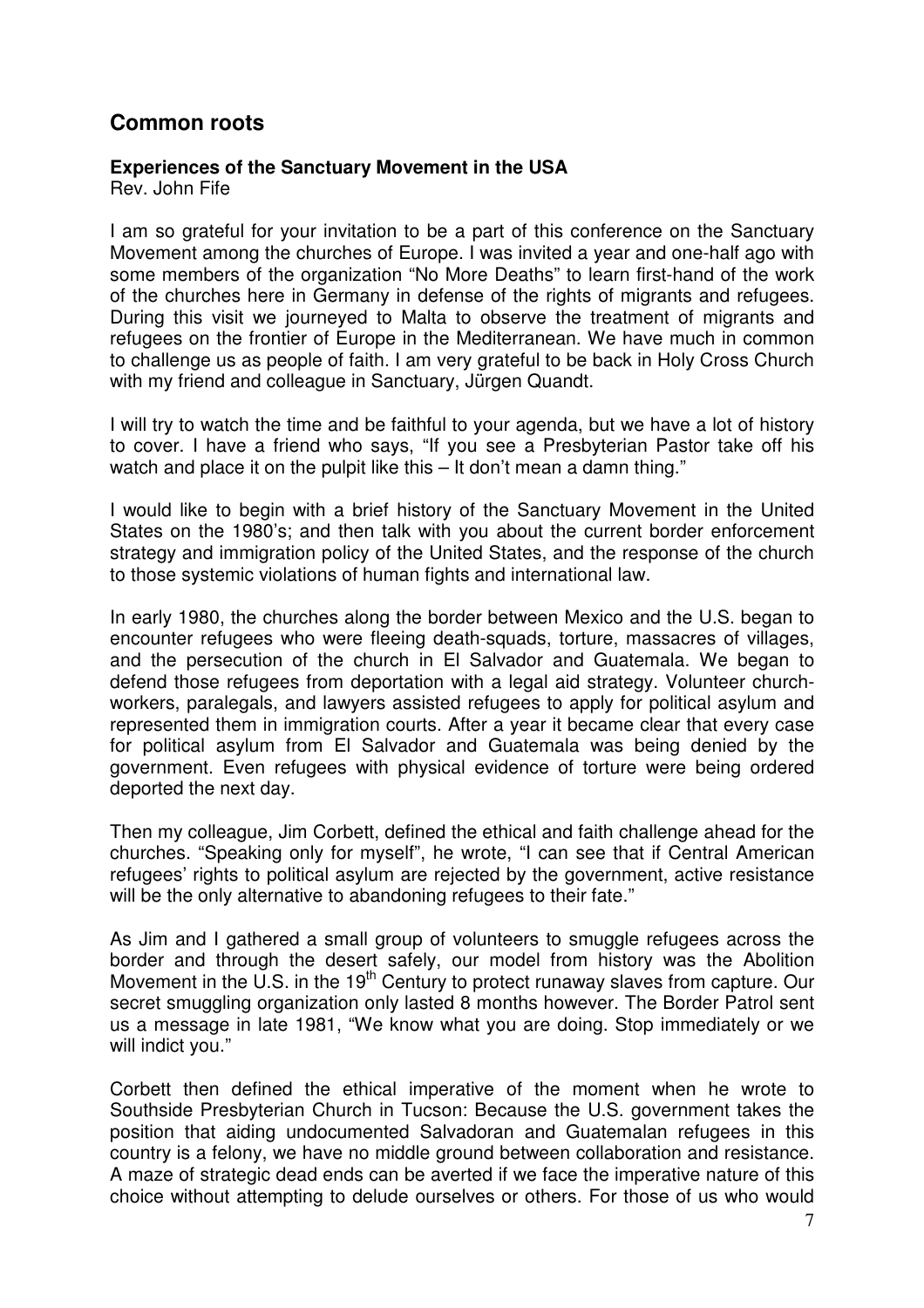# **Common roots**

#### **Experiences of the Sanctuary Movement in the USA**

Rev. John Fife

I am so grateful for your invitation to be a part of this conference on the Sanctuary Movement among the churches of Europe. I was invited a year and one-half ago with some members of the organization "No More Deaths" to learn first-hand of the work of the churches here in Germany in defense of the rights of migrants and refugees. During this visit we journeyed to Malta to observe the treatment of migrants and refugees on the frontier of Europe in the Mediterranean. We have much in common to challenge us as people of faith. I am very grateful to be back in Holy Cross Church with my friend and colleague in Sanctuary, Jürgen Quandt.

I will try to watch the time and be faithful to your agenda, but we have a lot of history to cover. I have a friend who says, "If you see a Presbyterian Pastor take off his watch and place it on the pulpit like this – It don't mean a damn thing."

I would like to begin with a brief history of the Sanctuary Movement in the United States on the 1980's; and then talk with you about the current border enforcement strategy and immigration policy of the United States, and the response of the church to those systemic violations of human fights and international law.

In early 1980, the churches along the border between Mexico and the U.S. began to encounter refugees who were fleeing death-squads, torture, massacres of villages, and the persecution of the church in El Salvador and Guatemala. We began to defend those refugees from deportation with a legal aid strategy. Volunteer churchworkers, paralegals, and lawyers assisted refugees to apply for political asylum and represented them in immigration courts. After a year it became clear that every case for political asylum from El Salvador and Guatemala was being denied by the government. Even refugees with physical evidence of torture were being ordered deported the next day.

Then my colleague, Jim Corbett, defined the ethical and faith challenge ahead for the churches. "Speaking only for myself", he wrote, "I can see that if Central American refugees' rights to political asylum are rejected by the government, active resistance will be the only alternative to abandoning refugees to their fate."

As Jim and I gathered a small group of volunteers to smuggle refugees across the border and through the desert safely, our model from history was the Abolition Movement in the U.S. in the 19<sup>th</sup> Century to protect runaway slaves from capture. Our secret smuggling organization only lasted 8 months however. The Border Patrol sent us a message in late 1981, "We know what you are doing. Stop immediately or we will indict you."

Corbett then defined the ethical imperative of the moment when he wrote to Southside Presbyterian Church in Tucson: Because the U.S. government takes the position that aiding undocumented Salvadoran and Guatemalan refugees in this country is a felony, we have no middle ground between collaboration and resistance. A maze of strategic dead ends can be averted if we face the imperative nature of this choice without attempting to delude ourselves or others. For those of us who would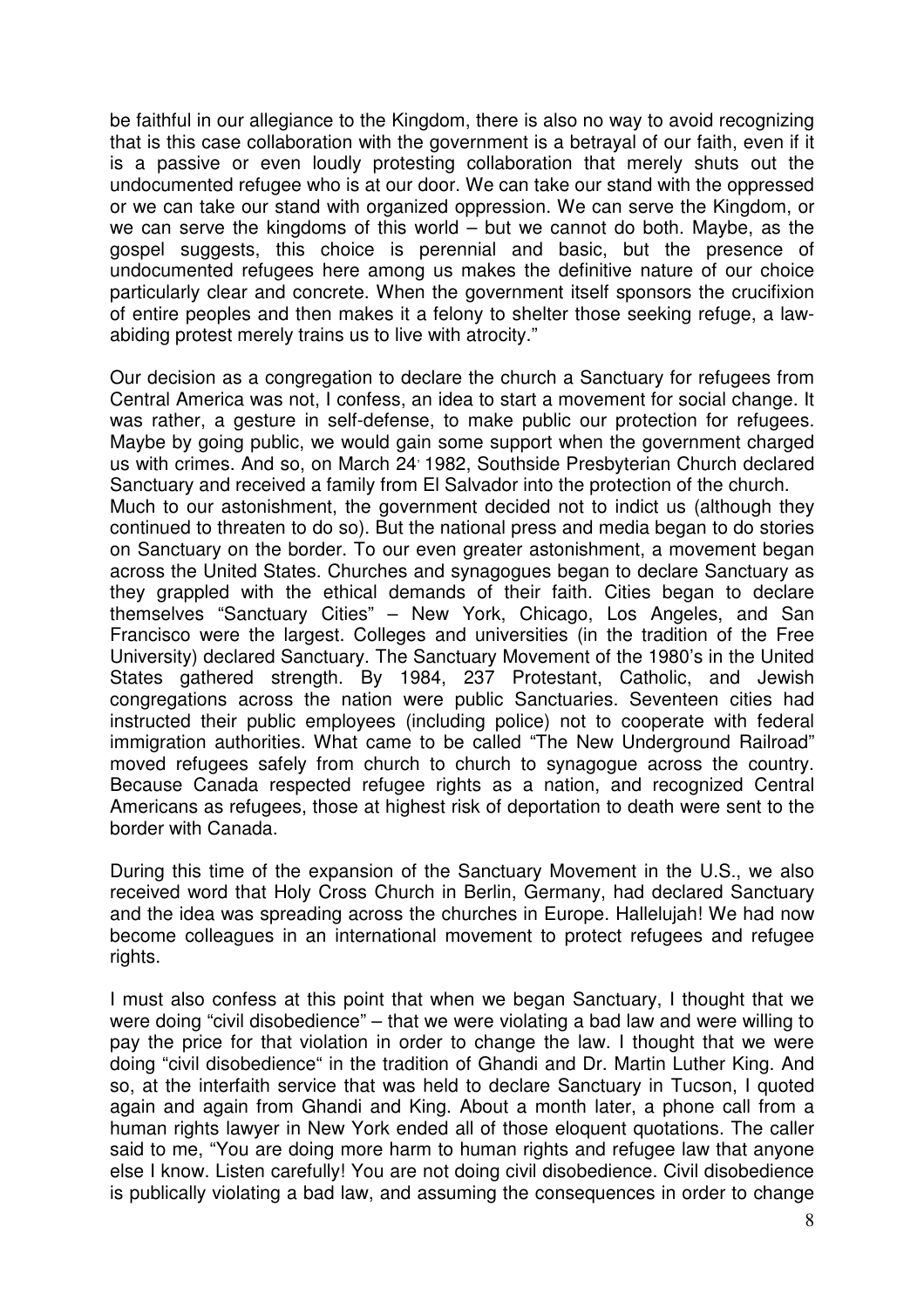be faithful in our allegiance to the Kingdom, there is also no way to avoid recognizing that is this case collaboration with the government is a betrayal of our faith, even if it is a passive or even loudly protesting collaboration that merely shuts out the undocumented refugee who is at our door. We can take our stand with the oppressed or we can take our stand with organized oppression. We can serve the Kingdom, or we can serve the kingdoms of this world – but we cannot do both. Maybe, as the gospel suggests, this choice is perennial and basic, but the presence of undocumented refugees here among us makes the definitive nature of our choice particularly clear and concrete. When the government itself sponsors the crucifixion of entire peoples and then makes it a felony to shelter those seeking refuge, a lawabiding protest merely trains us to live with atrocity."

Our decision as a congregation to declare the church a Sanctuary for refugees from Central America was not, I confess, an idea to start a movement for social change. It was rather, a gesture in self-defense, to make public our protection for refugees. Maybe by going public, we would gain some support when the government charged us with crimes. And so, on March 24<sup>,</sup> 1982, Southside Presbyterian Church declared Sanctuary and received a family from El Salvador into the protection of the church. Much to our astonishment, the government decided not to indict us (although they continued to threaten to do so). But the national press and media began to do stories on Sanctuary on the border. To our even greater astonishment, a movement began across the United States. Churches and synagogues began to declare Sanctuary as they grappled with the ethical demands of their faith. Cities began to declare themselves "Sanctuary Cities" – New York, Chicago, Los Angeles, and San Francisco were the largest. Colleges and universities (in the tradition of the Free University) declared Sanctuary. The Sanctuary Movement of the 1980's in the United States gathered strength. By 1984, 237 Protestant, Catholic, and Jewish congregations across the nation were public Sanctuaries. Seventeen cities had instructed their public employees (including police) not to cooperate with federal immigration authorities. What came to be called "The New Underground Railroad" moved refugees safely from church to church to synagogue across the country. Because Canada respected refugee rights as a nation, and recognized Central Americans as refugees, those at highest risk of deportation to death were sent to the border with Canada.

During this time of the expansion of the Sanctuary Movement in the U.S., we also received word that Holy Cross Church in Berlin, Germany, had declared Sanctuary and the idea was spreading across the churches in Europe. Hallelujah! We had now become colleagues in an international movement to protect refugees and refugee rights.

I must also confess at this point that when we began Sanctuary, I thought that we were doing "civil disobedience" – that we were violating a bad law and were willing to pay the price for that violation in order to change the law. I thought that we were doing "civil disobedience" in the tradition of Ghandi and Dr. Martin Luther King. And so, at the interfaith service that was held to declare Sanctuary in Tucson, I quoted again and again from Ghandi and King. About a month later, a phone call from a human rights lawyer in New York ended all of those eloquent quotations. The caller said to me, "You are doing more harm to human rights and refugee law that anyone else I know. Listen carefully! You are not doing civil disobedience. Civil disobedience is publically violating a bad law, and assuming the consequences in order to change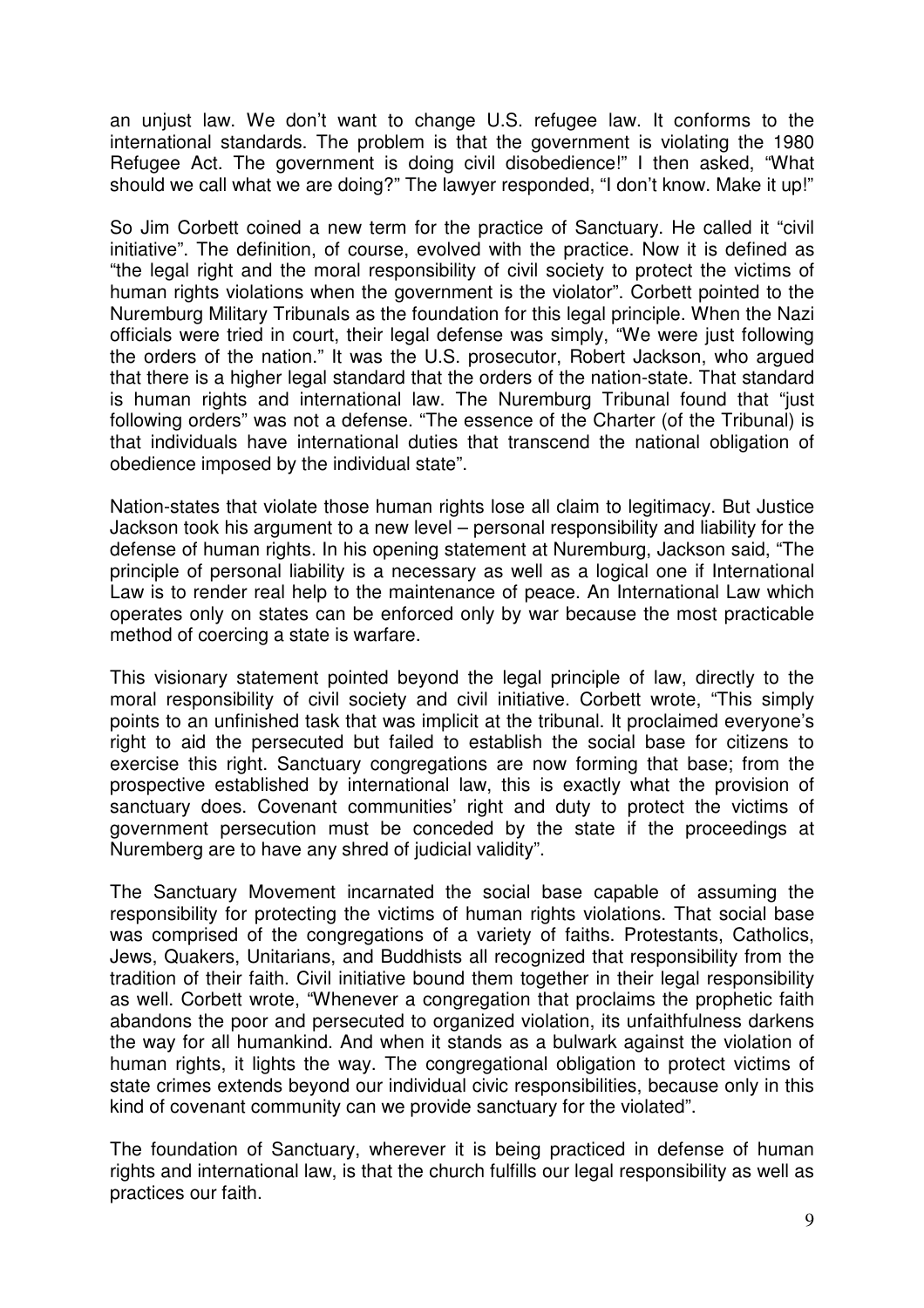an unjust law. We don't want to change U.S. refugee law. It conforms to the international standards. The problem is that the government is violating the 1980 Refugee Act. The government is doing civil disobedience!" I then asked, "What should we call what we are doing?" The lawyer responded, "I don't know. Make it up!"

So Jim Corbett coined a new term for the practice of Sanctuary. He called it "civil initiative". The definition, of course, evolved with the practice. Now it is defined as "the legal right and the moral responsibility of civil society to protect the victims of human rights violations when the government is the violator". Corbett pointed to the Nuremburg Military Tribunals as the foundation for this legal principle. When the Nazi officials were tried in court, their legal defense was simply, "We were just following the orders of the nation." It was the U.S. prosecutor, Robert Jackson, who argued that there is a higher legal standard that the orders of the nation-state. That standard is human rights and international law. The Nuremburg Tribunal found that "just following orders" was not a defense. "The essence of the Charter (of the Tribunal) is that individuals have international duties that transcend the national obligation of obedience imposed by the individual state".

Nation-states that violate those human rights lose all claim to legitimacy. But Justice Jackson took his argument to a new level – personal responsibility and liability for the defense of human rights. In his opening statement at Nuremburg, Jackson said, "The principle of personal liability is a necessary as well as a logical one if International Law is to render real help to the maintenance of peace. An International Law which operates only on states can be enforced only by war because the most practicable method of coercing a state is warfare.

This visionary statement pointed beyond the legal principle of law, directly to the moral responsibility of civil society and civil initiative. Corbett wrote, "This simply points to an unfinished task that was implicit at the tribunal. It proclaimed everyone's right to aid the persecuted but failed to establish the social base for citizens to exercise this right. Sanctuary congregations are now forming that base; from the prospective established by international law, this is exactly what the provision of sanctuary does. Covenant communities' right and duty to protect the victims of government persecution must be conceded by the state if the proceedings at Nuremberg are to have any shred of judicial validity".

The Sanctuary Movement incarnated the social base capable of assuming the responsibility for protecting the victims of human rights violations. That social base was comprised of the congregations of a variety of faiths. Protestants, Catholics, Jews, Quakers, Unitarians, and Buddhists all recognized that responsibility from the tradition of their faith. Civil initiative bound them together in their legal responsibility as well. Corbett wrote, "Whenever a congregation that proclaims the prophetic faith abandons the poor and persecuted to organized violation, its unfaithfulness darkens the way for all humankind. And when it stands as a bulwark against the violation of human rights, it lights the way. The congregational obligation to protect victims of state crimes extends beyond our individual civic responsibilities, because only in this kind of covenant community can we provide sanctuary for the violated".

The foundation of Sanctuary, wherever it is being practiced in defense of human rights and international law, is that the church fulfills our legal responsibility as well as practices our faith.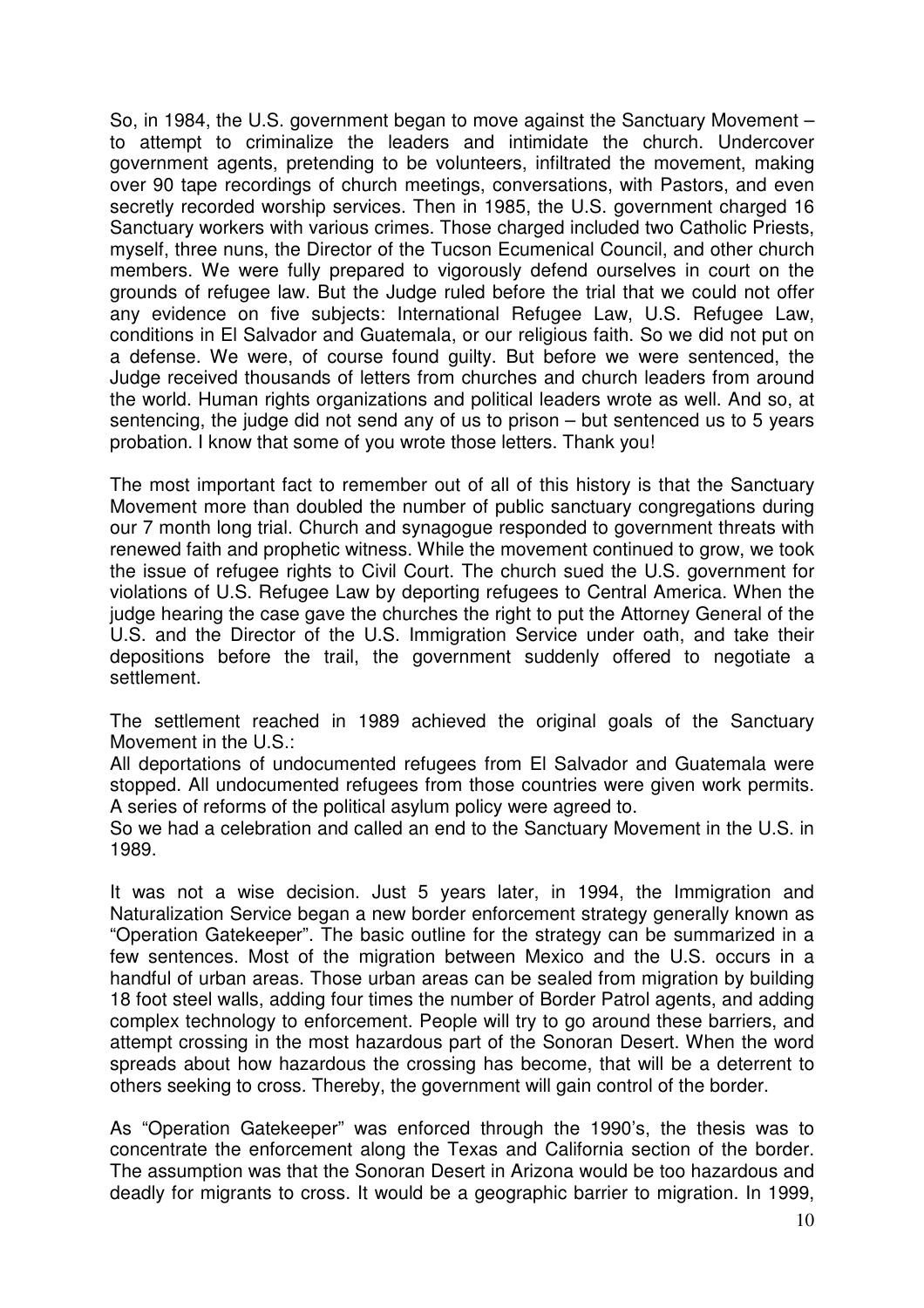So, in 1984, the U.S. government began to move against the Sanctuary Movement – to attempt to criminalize the leaders and intimidate the church. Undercover government agents, pretending to be volunteers, infiltrated the movement, making over 90 tape recordings of church meetings, conversations, with Pastors, and even secretly recorded worship services. Then in 1985, the U.S. government charged 16 Sanctuary workers with various crimes. Those charged included two Catholic Priests, myself, three nuns, the Director of the Tucson Ecumenical Council, and other church members. We were fully prepared to vigorously defend ourselves in court on the grounds of refugee law. But the Judge ruled before the trial that we could not offer any evidence on five subjects: International Refugee Law, U.S. Refugee Law, conditions in El Salvador and Guatemala, or our religious faith. So we did not put on a defense. We were, of course found guilty. But before we were sentenced, the Judge received thousands of letters from churches and church leaders from around the world. Human rights organizations and political leaders wrote as well. And so, at sentencing, the judge did not send any of us to prison – but sentenced us to 5 years probation. I know that some of you wrote those letters. Thank you!

The most important fact to remember out of all of this history is that the Sanctuary Movement more than doubled the number of public sanctuary congregations during our 7 month long trial. Church and synagogue responded to government threats with renewed faith and prophetic witness. While the movement continued to grow, we took the issue of refugee rights to Civil Court. The church sued the U.S. government for violations of U.S. Refugee Law by deporting refugees to Central America. When the judge hearing the case gave the churches the right to put the Attorney General of the U.S. and the Director of the U.S. Immigration Service under oath, and take their depositions before the trail, the government suddenly offered to negotiate a settlement.

The settlement reached in 1989 achieved the original goals of the Sanctuary Movement in the U.S.:

All deportations of undocumented refugees from El Salvador and Guatemala were stopped. All undocumented refugees from those countries were given work permits. A series of reforms of the political asylum policy were agreed to.

So we had a celebration and called an end to the Sanctuary Movement in the U.S. in 1989.

It was not a wise decision. Just 5 years later, in 1994, the Immigration and Naturalization Service began a new border enforcement strategy generally known as "Operation Gatekeeper". The basic outline for the strategy can be summarized in a few sentences. Most of the migration between Mexico and the U.S. occurs in a handful of urban areas. Those urban areas can be sealed from migration by building 18 foot steel walls, adding four times the number of Border Patrol agents, and adding complex technology to enforcement. People will try to go around these barriers, and attempt crossing in the most hazardous part of the Sonoran Desert. When the word spreads about how hazardous the crossing has become, that will be a deterrent to others seeking to cross. Thereby, the government will gain control of the border.

As "Operation Gatekeeper" was enforced through the 1990's, the thesis was to concentrate the enforcement along the Texas and California section of the border. The assumption was that the Sonoran Desert in Arizona would be too hazardous and deadly for migrants to cross. It would be a geographic barrier to migration. In 1999,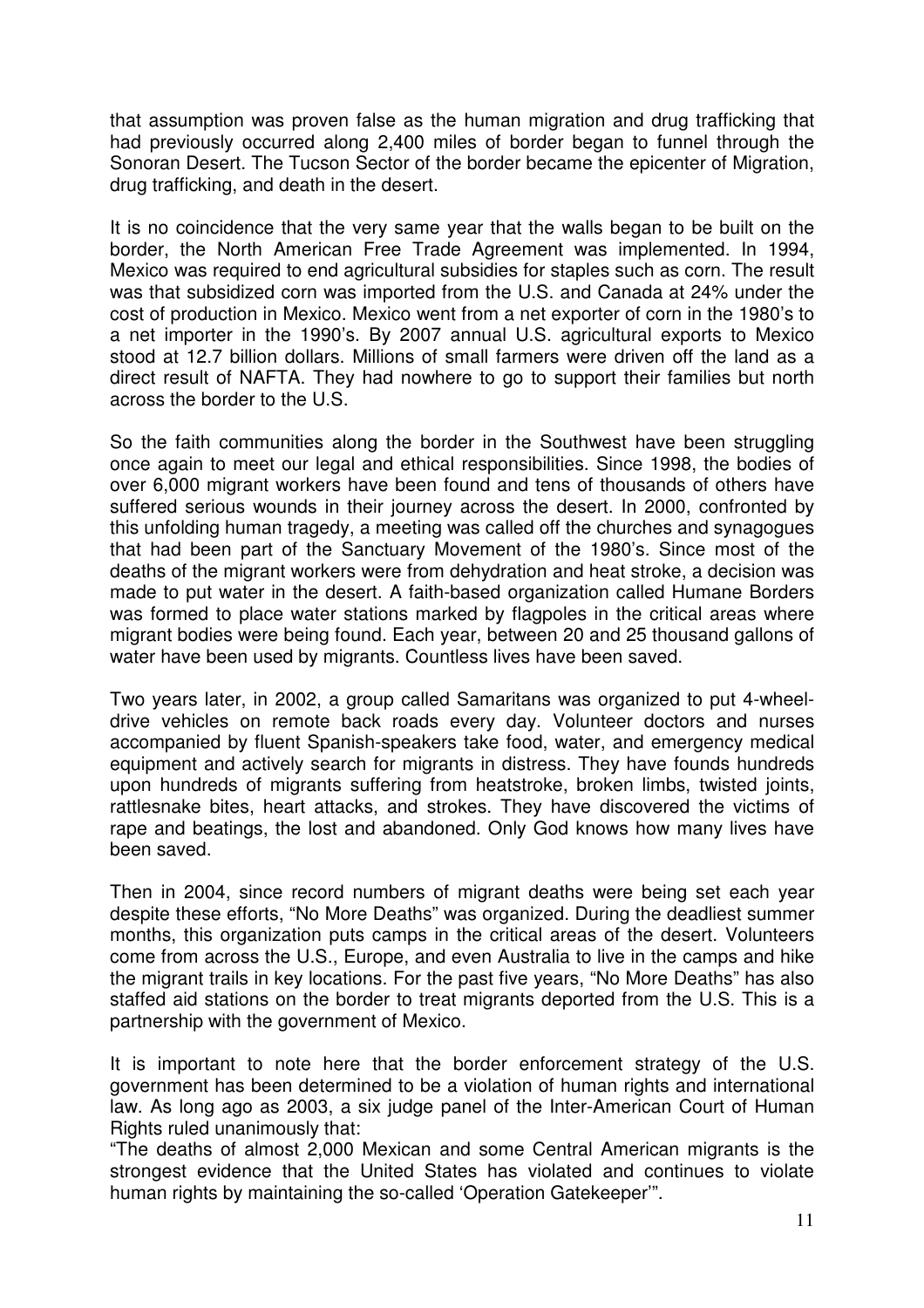that assumption was proven false as the human migration and drug trafficking that had previously occurred along 2,400 miles of border began to funnel through the Sonoran Desert. The Tucson Sector of the border became the epicenter of Migration, drug trafficking, and death in the desert.

It is no coincidence that the very same year that the walls began to be built on the border, the North American Free Trade Agreement was implemented. In 1994, Mexico was required to end agricultural subsidies for staples such as corn. The result was that subsidized corn was imported from the U.S. and Canada at 24% under the cost of production in Mexico. Mexico went from a net exporter of corn in the 1980's to a net importer in the 1990's. By 2007 annual U.S. agricultural exports to Mexico stood at 12.7 billion dollars. Millions of small farmers were driven off the land as a direct result of NAFTA. They had nowhere to go to support their families but north across the border to the U.S.

So the faith communities along the border in the Southwest have been struggling once again to meet our legal and ethical responsibilities. Since 1998, the bodies of over 6,000 migrant workers have been found and tens of thousands of others have suffered serious wounds in their journey across the desert. In 2000, confronted by this unfolding human tragedy, a meeting was called off the churches and synagogues that had been part of the Sanctuary Movement of the 1980's. Since most of the deaths of the migrant workers were from dehydration and heat stroke, a decision was made to put water in the desert. A faith-based organization called Humane Borders was formed to place water stations marked by flagpoles in the critical areas where migrant bodies were being found. Each year, between 20 and 25 thousand gallons of water have been used by migrants. Countless lives have been saved.

Two years later, in 2002, a group called Samaritans was organized to put 4-wheeldrive vehicles on remote back roads every day. Volunteer doctors and nurses accompanied by fluent Spanish-speakers take food, water, and emergency medical equipment and actively search for migrants in distress. They have founds hundreds upon hundreds of migrants suffering from heatstroke, broken limbs, twisted joints, rattlesnake bites, heart attacks, and strokes. They have discovered the victims of rape and beatings, the lost and abandoned. Only God knows how many lives have been saved.

Then in 2004, since record numbers of migrant deaths were being set each year despite these efforts, "No More Deaths" was organized. During the deadliest summer months, this organization puts camps in the critical areas of the desert. Volunteers come from across the U.S., Europe, and even Australia to live in the camps and hike the migrant trails in key locations. For the past five years, "No More Deaths" has also staffed aid stations on the border to treat migrants deported from the U.S. This is a partnership with the government of Mexico.

It is important to note here that the border enforcement strategy of the U.S. government has been determined to be a violation of human rights and international law. As long ago as 2003, a six judge panel of the Inter-American Court of Human Rights ruled unanimously that:

"The deaths of almost 2,000 Mexican and some Central American migrants is the strongest evidence that the United States has violated and continues to violate human rights by maintaining the so-called 'Operation Gatekeeper'".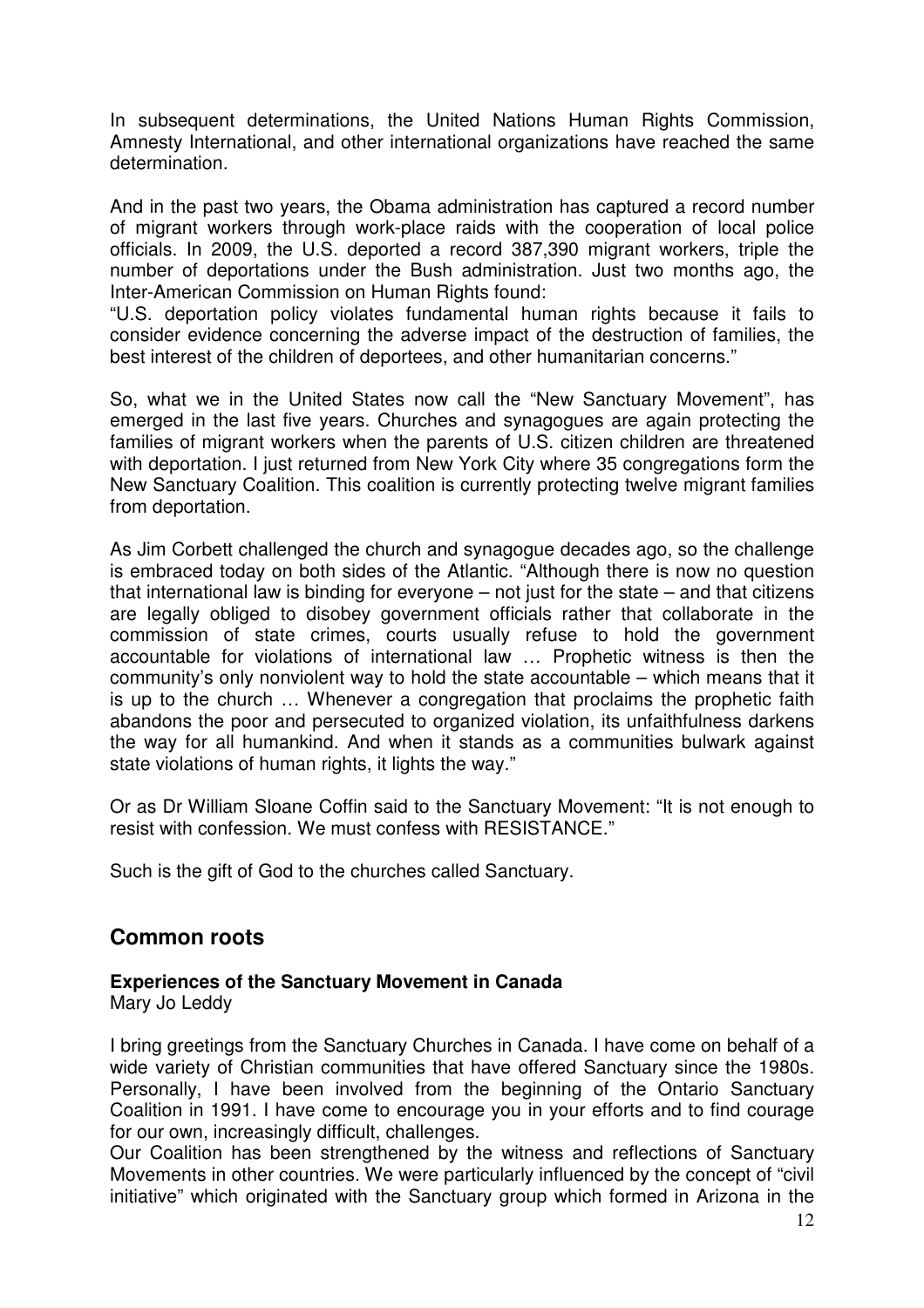In subsequent determinations, the United Nations Human Rights Commission, Amnesty International, and other international organizations have reached the same determination.

And in the past two years, the Obama administration has captured a record number of migrant workers through work-place raids with the cooperation of local police officials. In 2009, the U.S. deported a record 387,390 migrant workers, triple the number of deportations under the Bush administration. Just two months ago, the Inter-American Commission on Human Rights found:

"U.S. deportation policy violates fundamental human rights because it fails to consider evidence concerning the adverse impact of the destruction of families, the best interest of the children of deportees, and other humanitarian concerns."

So, what we in the United States now call the "New Sanctuary Movement", has emerged in the last five years. Churches and synagogues are again protecting the families of migrant workers when the parents of U.S. citizen children are threatened with deportation. I just returned from New York City where 35 congregations form the New Sanctuary Coalition. This coalition is currently protecting twelve migrant families from deportation.

As Jim Corbett challenged the church and synagogue decades ago, so the challenge is embraced today on both sides of the Atlantic. "Although there is now no question that international law is binding for everyone – not just for the state – and that citizens are legally obliged to disobey government officials rather that collaborate in the commission of state crimes, courts usually refuse to hold the government accountable for violations of international law … Prophetic witness is then the community's only nonviolent way to hold the state accountable – which means that it is up to the church … Whenever a congregation that proclaims the prophetic faith abandons the poor and persecuted to organized violation, its unfaithfulness darkens the way for all humankind. And when it stands as a communities bulwark against state violations of human rights, it lights the way."

Or as Dr William Sloane Coffin said to the Sanctuary Movement: "It is not enough to resist with confession. We must confess with RESISTANCE."

Such is the gift of God to the churches called Sanctuary.

# **Common roots**

#### **Experiences of the Sanctuary Movement in Canada**

Mary Jo Leddy

I bring greetings from the Sanctuary Churches in Canada. I have come on behalf of a wide variety of Christian communities that have offered Sanctuary since the 1980s. Personally, I have been involved from the beginning of the Ontario Sanctuary Coalition in 1991. I have come to encourage you in your efforts and to find courage for our own, increasingly difficult, challenges.

Our Coalition has been strengthened by the witness and reflections of Sanctuary Movements in other countries. We were particularly influenced by the concept of "civil initiative" which originated with the Sanctuary group which formed in Arizona in the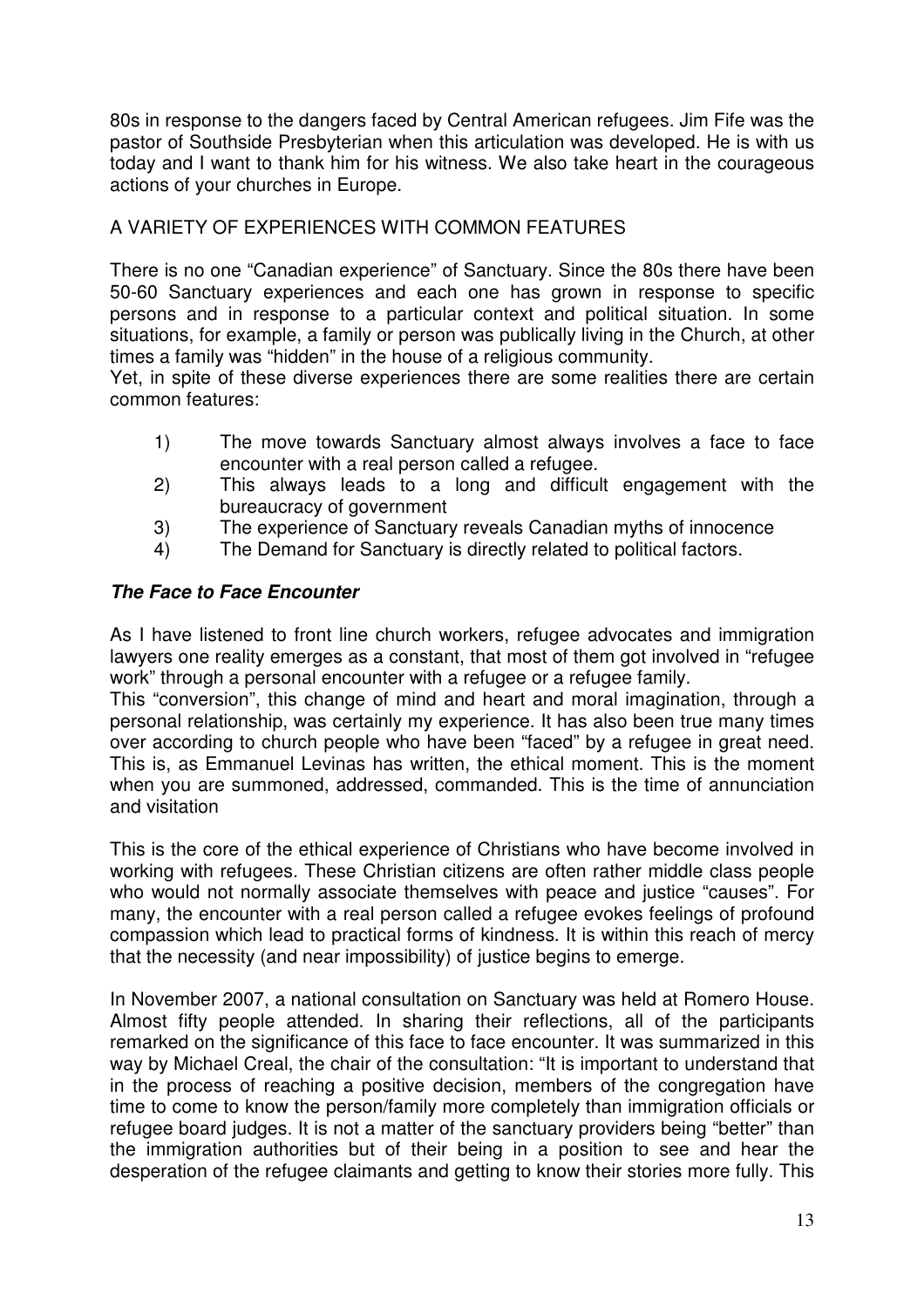80s in response to the dangers faced by Central American refugees. Jim Fife was the pastor of Southside Presbyterian when this articulation was developed. He is with us today and I want to thank him for his witness. We also take heart in the courageous actions of your churches in Europe.

## A VARIETY OF EXPERIENCES WITH COMMON FEATURES

There is no one "Canadian experience" of Sanctuary. Since the 80s there have been 50-60 Sanctuary experiences and each one has grown in response to specific persons and in response to a particular context and political situation. In some situations, for example, a family or person was publically living in the Church, at other times a family was "hidden" in the house of a religious community.

Yet, in spite of these diverse experiences there are some realities there are certain common features:

- 1) The move towards Sanctuary almost always involves a face to face encounter with a real person called a refugee.
- 2) This always leads to a long and difficult engagement with the bureaucracy of government
- 3) The experience of Sanctuary reveals Canadian myths of innocence
- 4) The Demand for Sanctuary is directly related to political factors.

## **The Face to Face Encounter**

As I have listened to front line church workers, refugee advocates and immigration lawyers one reality emerges as a constant, that most of them got involved in "refugee work" through a personal encounter with a refugee or a refugee family.

This "conversion", this change of mind and heart and moral imagination, through a personal relationship, was certainly my experience. It has also been true many times over according to church people who have been "faced" by a refugee in great need. This is, as Emmanuel Levinas has written, the ethical moment. This is the moment when you are summoned, addressed, commanded. This is the time of annunciation and visitation

This is the core of the ethical experience of Christians who have become involved in working with refugees. These Christian citizens are often rather middle class people who would not normally associate themselves with peace and justice "causes". For many, the encounter with a real person called a refugee evokes feelings of profound compassion which lead to practical forms of kindness. It is within this reach of mercy that the necessity (and near impossibility) of justice begins to emerge.

In November 2007, a national consultation on Sanctuary was held at Romero House. Almost fifty people attended. In sharing their reflections, all of the participants remarked on the significance of this face to face encounter. It was summarized in this way by Michael Creal, the chair of the consultation: "It is important to understand that in the process of reaching a positive decision, members of the congregation have time to come to know the person/family more completely than immigration officials or refugee board judges. It is not a matter of the sanctuary providers being "better" than the immigration authorities but of their being in a position to see and hear the desperation of the refugee claimants and getting to know their stories more fully. This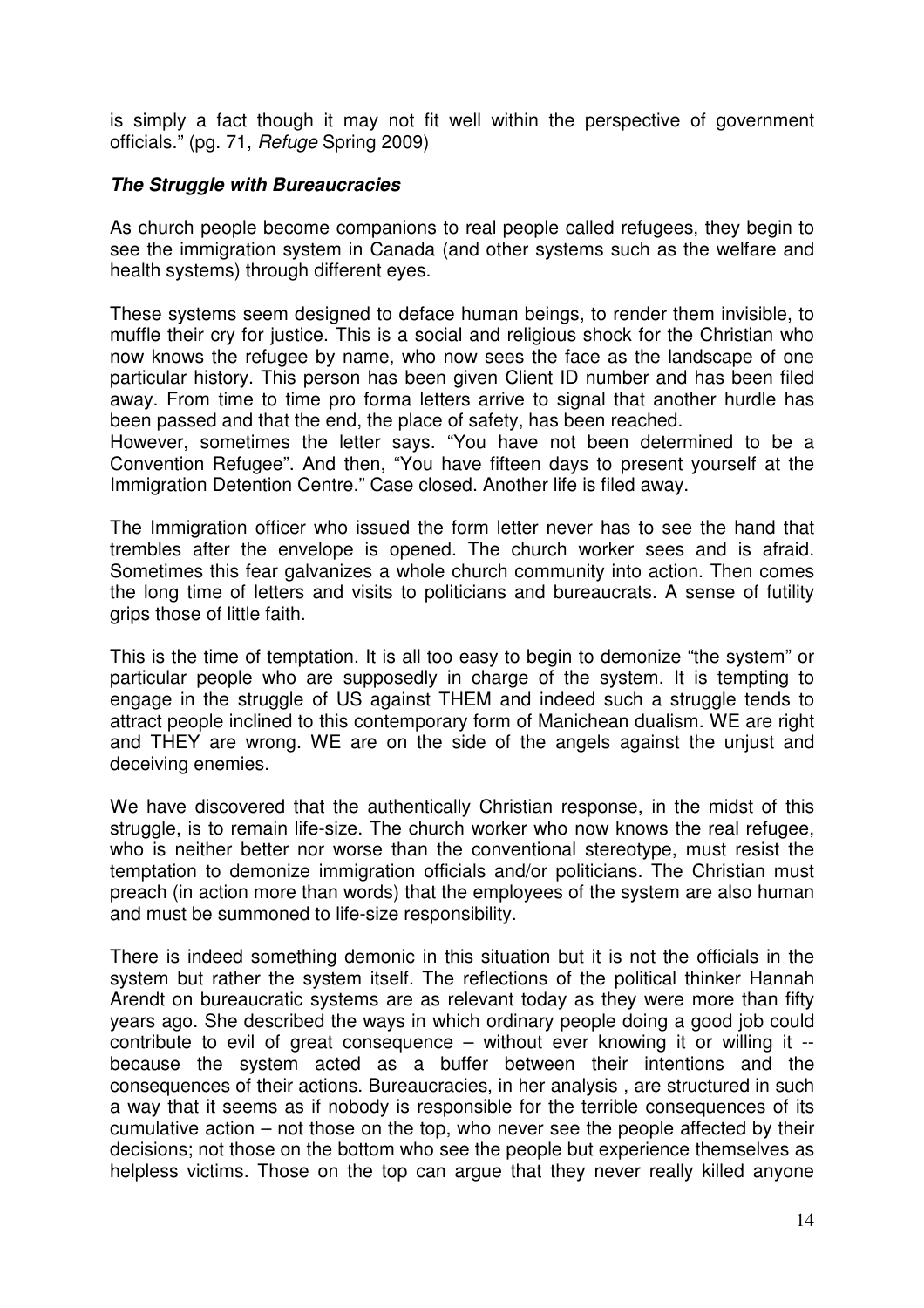is simply a fact though it may not fit well within the perspective of government officials." (pg. 71, Refuge Spring 2009)

#### **The Struggle with Bureaucracies**

As church people become companions to real people called refugees, they begin to see the immigration system in Canada (and other systems such as the welfare and health systems) through different eyes.

These systems seem designed to deface human beings, to render them invisible, to muffle their cry for justice. This is a social and religious shock for the Christian who now knows the refugee by name, who now sees the face as the landscape of one particular history. This person has been given Client ID number and has been filed away. From time to time pro forma letters arrive to signal that another hurdle has been passed and that the end, the place of safety, has been reached.

However, sometimes the letter says. "You have not been determined to be a Convention Refugee". And then, "You have fifteen days to present yourself at the Immigration Detention Centre." Case closed. Another life is filed away.

The Immigration officer who issued the form letter never has to see the hand that trembles after the envelope is opened. The church worker sees and is afraid. Sometimes this fear galvanizes a whole church community into action. Then comes the long time of letters and visits to politicians and bureaucrats. A sense of futility grips those of little faith.

This is the time of temptation. It is all too easy to begin to demonize "the system" or particular people who are supposedly in charge of the system. It is tempting to engage in the struggle of US against THEM and indeed such a struggle tends to attract people inclined to this contemporary form of Manichean dualism. WE are right and THEY are wrong. WE are on the side of the angels against the unjust and deceiving enemies.

We have discovered that the authentically Christian response, in the midst of this struggle, is to remain life-size. The church worker who now knows the real refugee, who is neither better nor worse than the conventional stereotype, must resist the temptation to demonize immigration officials and/or politicians. The Christian must preach (in action more than words) that the employees of the system are also human and must be summoned to life-size responsibility.

There is indeed something demonic in this situation but it is not the officials in the system but rather the system itself. The reflections of the political thinker Hannah Arendt on bureaucratic systems are as relevant today as they were more than fifty years ago. She described the ways in which ordinary people doing a good job could contribute to evil of great consequence – without ever knowing it or willing it - because the system acted as a buffer between their intentions and the consequences of their actions. Bureaucracies, in her analysis , are structured in such a way that it seems as if nobody is responsible for the terrible consequences of its cumulative action – not those on the top, who never see the people affected by their decisions; not those on the bottom who see the people but experience themselves as helpless victims. Those on the top can argue that they never really killed anyone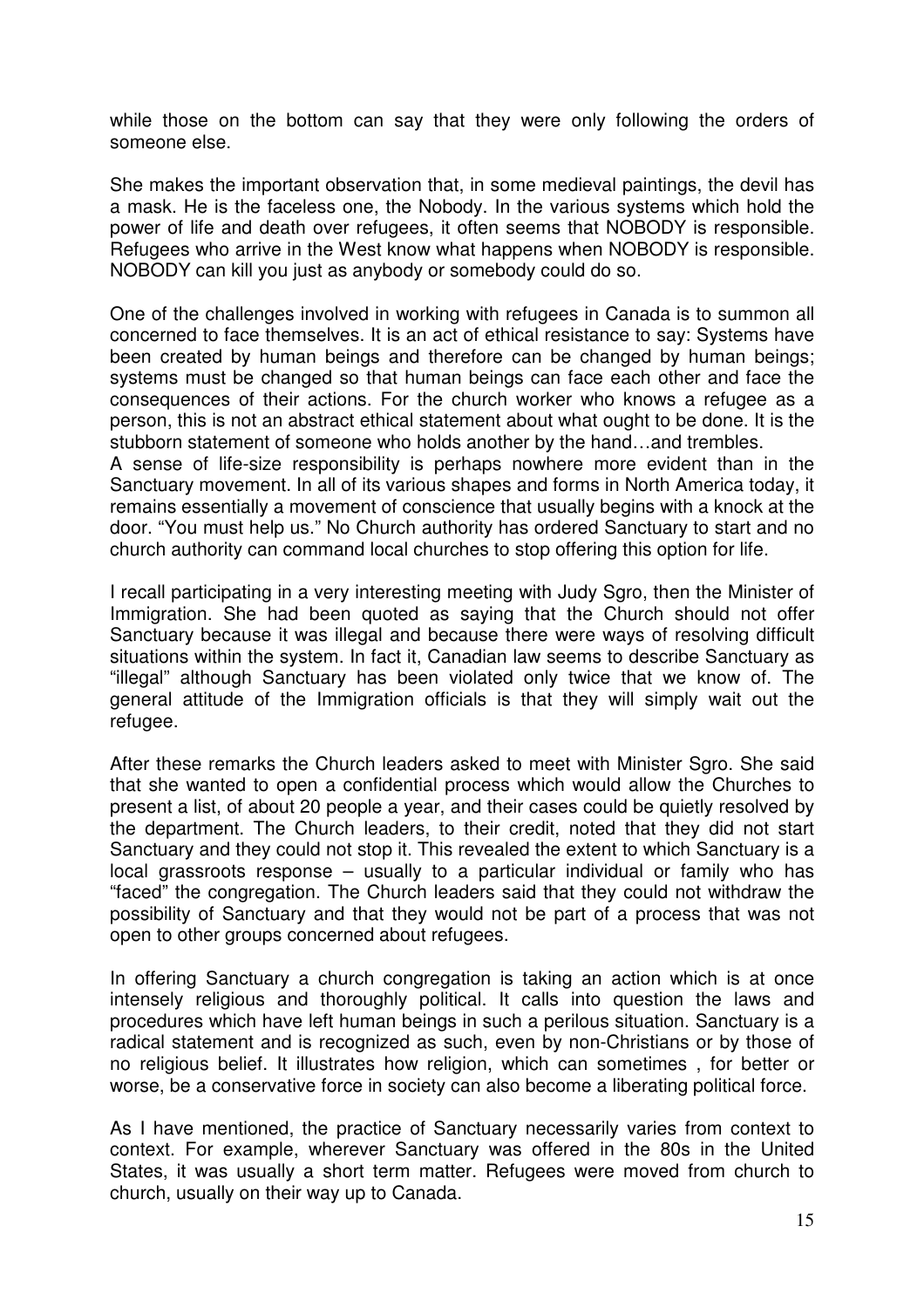while those on the bottom can say that they were only following the orders of someone else.

She makes the important observation that, in some medieval paintings, the devil has a mask. He is the faceless one, the Nobody. In the various systems which hold the power of life and death over refugees, it often seems that NOBODY is responsible. Refugees who arrive in the West know what happens when NOBODY is responsible. NOBODY can kill you just as anybody or somebody could do so.

One of the challenges involved in working with refugees in Canada is to summon all concerned to face themselves. It is an act of ethical resistance to say: Systems have been created by human beings and therefore can be changed by human beings; systems must be changed so that human beings can face each other and face the consequences of their actions. For the church worker who knows a refugee as a person, this is not an abstract ethical statement about what ought to be done. It is the stubborn statement of someone who holds another by the hand…and trembles.

A sense of life-size responsibility is perhaps nowhere more evident than in the Sanctuary movement. In all of its various shapes and forms in North America today, it remains essentially a movement of conscience that usually begins with a knock at the door. "You must help us." No Church authority has ordered Sanctuary to start and no church authority can command local churches to stop offering this option for life.

I recall participating in a very interesting meeting with Judy Sgro, then the Minister of Immigration. She had been quoted as saying that the Church should not offer Sanctuary because it was illegal and because there were ways of resolving difficult situations within the system. In fact it, Canadian law seems to describe Sanctuary as "illegal" although Sanctuary has been violated only twice that we know of. The general attitude of the Immigration officials is that they will simply wait out the refugee.

After these remarks the Church leaders asked to meet with Minister Sgro. She said that she wanted to open a confidential process which would allow the Churches to present a list, of about 20 people a year, and their cases could be quietly resolved by the department. The Church leaders, to their credit, noted that they did not start Sanctuary and they could not stop it. This revealed the extent to which Sanctuary is a local grassroots response – usually to a particular individual or family who has "faced" the congregation. The Church leaders said that they could not withdraw the possibility of Sanctuary and that they would not be part of a process that was not open to other groups concerned about refugees.

In offering Sanctuary a church congregation is taking an action which is at once intensely religious and thoroughly political. It calls into question the laws and procedures which have left human beings in such a perilous situation. Sanctuary is a radical statement and is recognized as such, even by non-Christians or by those of no religious belief. It illustrates how religion, which can sometimes , for better or worse, be a conservative force in society can also become a liberating political force.

As I have mentioned, the practice of Sanctuary necessarily varies from context to context. For example, wherever Sanctuary was offered in the 80s in the United States, it was usually a short term matter. Refugees were moved from church to church, usually on their way up to Canada.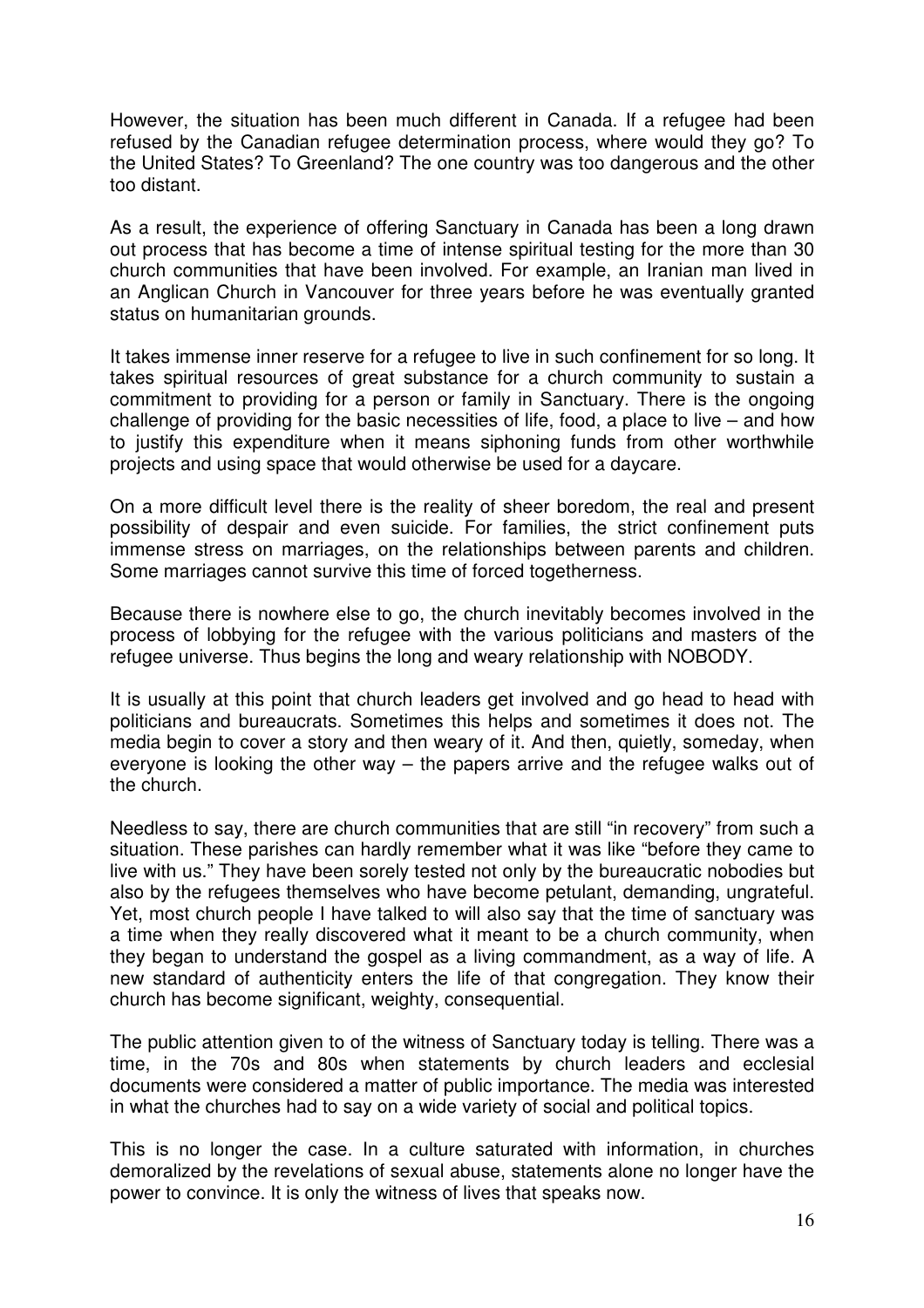However, the situation has been much different in Canada. If a refugee had been refused by the Canadian refugee determination process, where would they go? To the United States? To Greenland? The one country was too dangerous and the other too distant.

As a result, the experience of offering Sanctuary in Canada has been a long drawn out process that has become a time of intense spiritual testing for the more than 30 church communities that have been involved. For example, an Iranian man lived in an Anglican Church in Vancouver for three years before he was eventually granted status on humanitarian grounds.

It takes immense inner reserve for a refugee to live in such confinement for so long. It takes spiritual resources of great substance for a church community to sustain a commitment to providing for a person or family in Sanctuary. There is the ongoing challenge of providing for the basic necessities of life, food, a place to live – and how to justify this expenditure when it means siphoning funds from other worthwhile projects and using space that would otherwise be used for a daycare.

On a more difficult level there is the reality of sheer boredom, the real and present possibility of despair and even suicide. For families, the strict confinement puts immense stress on marriages, on the relationships between parents and children. Some marriages cannot survive this time of forced togetherness.

Because there is nowhere else to go, the church inevitably becomes involved in the process of lobbying for the refugee with the various politicians and masters of the refugee universe. Thus begins the long and weary relationship with NOBODY.

It is usually at this point that church leaders get involved and go head to head with politicians and bureaucrats. Sometimes this helps and sometimes it does not. The media begin to cover a story and then weary of it. And then, quietly, someday, when everyone is looking the other way – the papers arrive and the refugee walks out of the church.

Needless to say, there are church communities that are still "in recovery" from such a situation. These parishes can hardly remember what it was like "before they came to live with us." They have been sorely tested not only by the bureaucratic nobodies but also by the refugees themselves who have become petulant, demanding, ungrateful. Yet, most church people I have talked to will also say that the time of sanctuary was a time when they really discovered what it meant to be a church community, when they began to understand the gospel as a living commandment, as a way of life. A new standard of authenticity enters the life of that congregation. They know their church has become significant, weighty, consequential.

The public attention given to of the witness of Sanctuary today is telling. There was a time, in the 70s and 80s when statements by church leaders and ecclesial documents were considered a matter of public importance. The media was interested in what the churches had to say on a wide variety of social and political topics.

This is no longer the case. In a culture saturated with information, in churches demoralized by the revelations of sexual abuse, statements alone no longer have the power to convince. It is only the witness of lives that speaks now.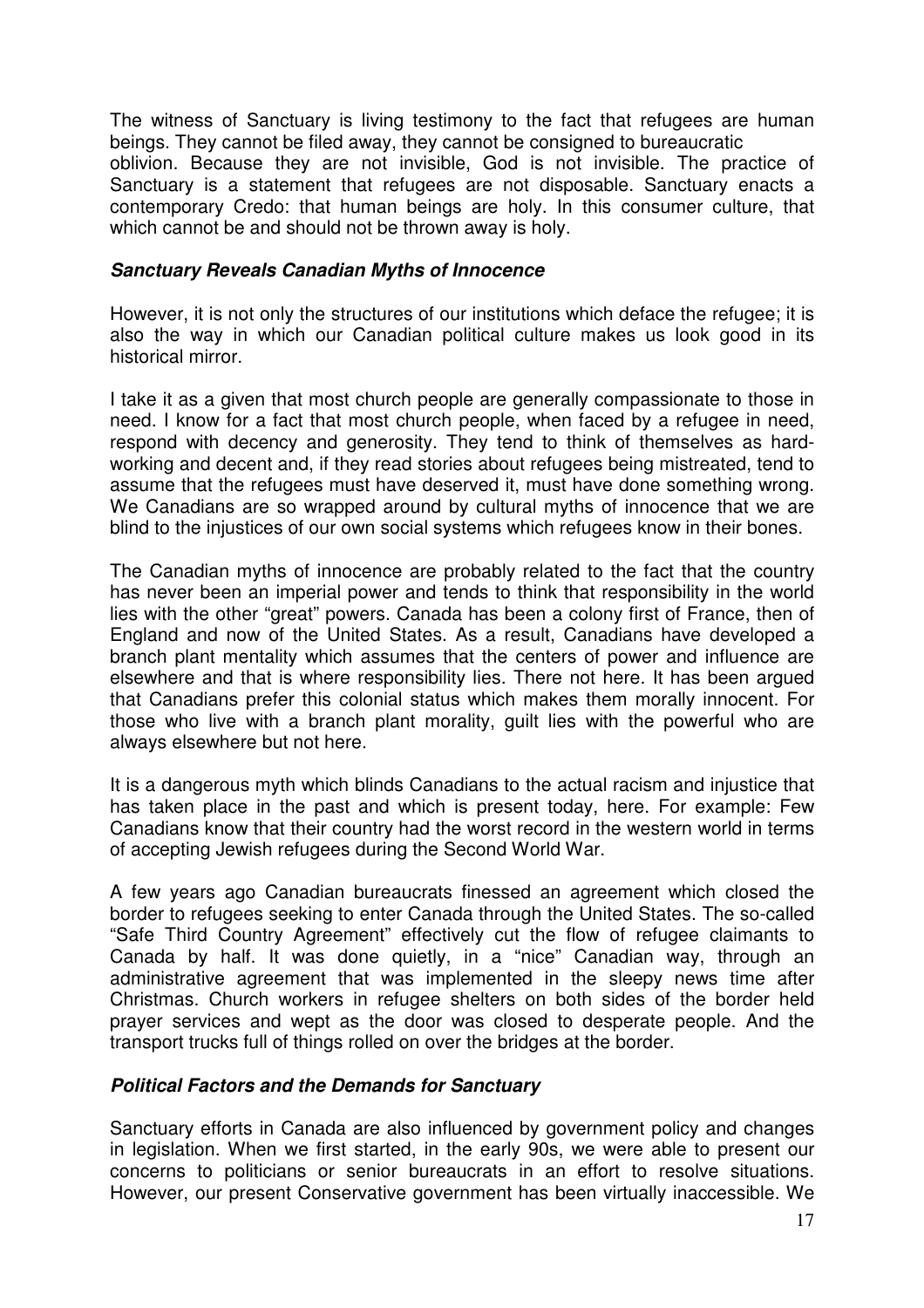The witness of Sanctuary is living testimony to the fact that refugees are human beings. They cannot be filed away, they cannot be consigned to bureaucratic oblivion. Because they are not invisible, God is not invisible. The practice of Sanctuary is a statement that refugees are not disposable. Sanctuary enacts a contemporary Credo: that human beings are holy. In this consumer culture, that which cannot be and should not be thrown away is holy.

#### **Sanctuary Reveals Canadian Myths of Innocence**

However, it is not only the structures of our institutions which deface the refugee; it is also the way in which our Canadian political culture makes us look good in its historical mirror.

I take it as a given that most church people are generally compassionate to those in need. I know for a fact that most church people, when faced by a refugee in need, respond with decency and generosity. They tend to think of themselves as hardworking and decent and, if they read stories about refugees being mistreated, tend to assume that the refugees must have deserved it, must have done something wrong. We Canadians are so wrapped around by cultural myths of innocence that we are blind to the injustices of our own social systems which refugees know in their bones.

The Canadian myths of innocence are probably related to the fact that the country has never been an imperial power and tends to think that responsibility in the world lies with the other "great" powers. Canada has been a colony first of France, then of England and now of the United States. As a result, Canadians have developed a branch plant mentality which assumes that the centers of power and influence are elsewhere and that is where responsibility lies. There not here. It has been argued that Canadians prefer this colonial status which makes them morally innocent. For those who live with a branch plant morality, guilt lies with the powerful who are always elsewhere but not here.

It is a dangerous myth which blinds Canadians to the actual racism and injustice that has taken place in the past and which is present today, here. For example: Few Canadians know that their country had the worst record in the western world in terms of accepting Jewish refugees during the Second World War.

A few years ago Canadian bureaucrats finessed an agreement which closed the border to refugees seeking to enter Canada through the United States. The so-called "Safe Third Country Agreement" effectively cut the flow of refugee claimants to Canada by half. It was done quietly, in a "nice" Canadian way, through an administrative agreement that was implemented in the sleepy news time after Christmas. Church workers in refugee shelters on both sides of the border held prayer services and wept as the door was closed to desperate people. And the transport trucks full of things rolled on over the bridges at the border.

#### **Political Factors and the Demands for Sanctuary**

Sanctuary efforts in Canada are also influenced by government policy and changes in legislation. When we first started, in the early 90s, we were able to present our concerns to politicians or senior bureaucrats in an effort to resolve situations. However, our present Conservative government has been virtually inaccessible. We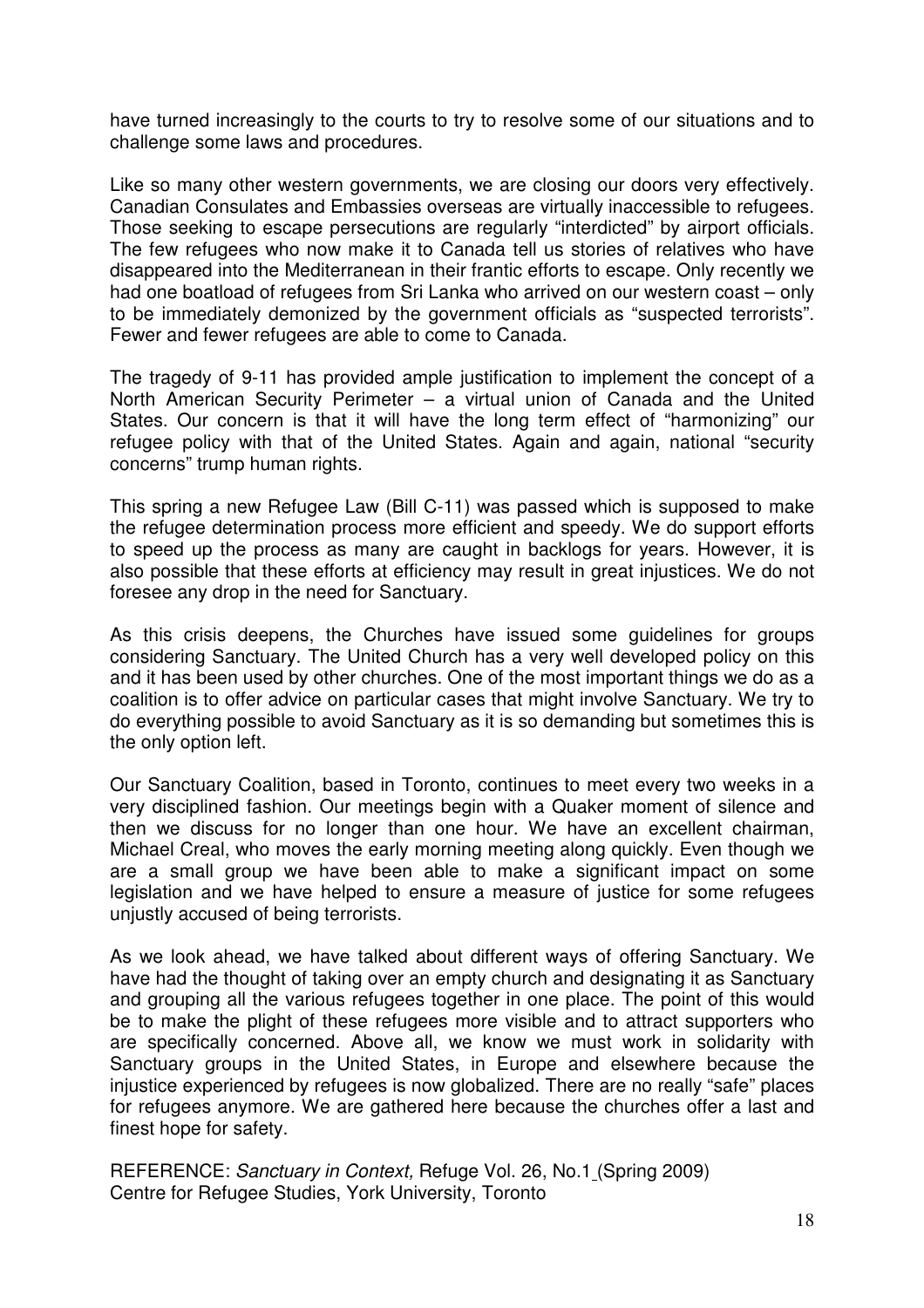have turned increasingly to the courts to try to resolve some of our situations and to challenge some laws and procedures.

Like so many other western governments, we are closing our doors very effectively. Canadian Consulates and Embassies overseas are virtually inaccessible to refugees. Those seeking to escape persecutions are regularly "interdicted" by airport officials. The few refugees who now make it to Canada tell us stories of relatives who have disappeared into the Mediterranean in their frantic efforts to escape. Only recently we had one boatload of refugees from Sri Lanka who arrived on our western coast – only to be immediately demonized by the government officials as "suspected terrorists". Fewer and fewer refugees are able to come to Canada.

The tragedy of 9-11 has provided ample justification to implement the concept of a North American Security Perimeter – a virtual union of Canada and the United States. Our concern is that it will have the long term effect of "harmonizing" our refugee policy with that of the United States. Again and again, national "security concerns" trump human rights.

This spring a new Refugee Law (Bill C-11) was passed which is supposed to make the refugee determination process more efficient and speedy. We do support efforts to speed up the process as many are caught in backlogs for years. However, it is also possible that these efforts at efficiency may result in great injustices. We do not foresee any drop in the need for Sanctuary.

As this crisis deepens, the Churches have issued some guidelines for groups considering Sanctuary. The United Church has a very well developed policy on this and it has been used by other churches. One of the most important things we do as a coalition is to offer advice on particular cases that might involve Sanctuary. We try to do everything possible to avoid Sanctuary as it is so demanding but sometimes this is the only option left.

Our Sanctuary Coalition, based in Toronto, continues to meet every two weeks in a very disciplined fashion. Our meetings begin with a Quaker moment of silence and then we discuss for no longer than one hour. We have an excellent chairman, Michael Creal, who moves the early morning meeting along quickly. Even though we are a small group we have been able to make a significant impact on some legislation and we have helped to ensure a measure of justice for some refugees unjustly accused of being terrorists.

As we look ahead, we have talked about different ways of offering Sanctuary. We have had the thought of taking over an empty church and designating it as Sanctuary and grouping all the various refugees together in one place. The point of this would be to make the plight of these refugees more visible and to attract supporters who are specifically concerned. Above all, we know we must work in solidarity with Sanctuary groups in the United States, in Europe and elsewhere because the injustice experienced by refugees is now globalized. There are no really "safe" places for refugees anymore. We are gathered here because the churches offer a last and finest hope for safety.

REFERENCE: Sanctuary in Context, Refuge Vol. 26, No.1 (Spring 2009) Centre for Refugee Studies, York University, Toronto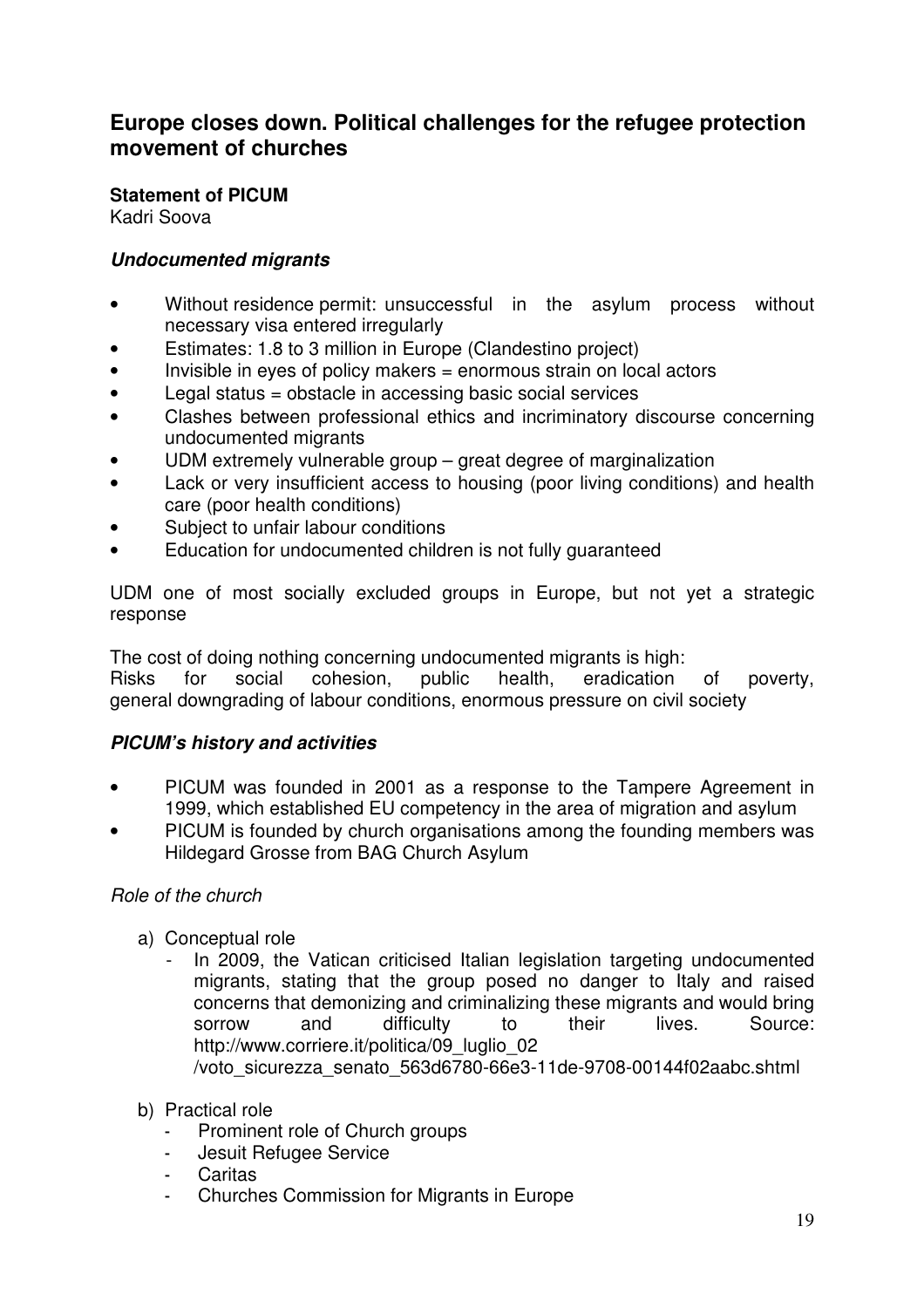# **Europe closes down. Political challenges for the refugee protection movement of churches**

**Statement of PICUM** 

Kadri Soova

#### **Undocumented migrants**

- Without residence permit: unsuccessful in the asylum process without necessary visa entered irregularly
- Estimates: 1.8 to 3 million in Europe (Clandestino project)
- Invisible in eyes of policy makers = enormous strain on local actors
- Legal status = obstacle in accessing basic social services
- Clashes between professional ethics and incriminatory discourse concerning undocumented migrants
- UDM extremely vulnerable group great degree of marginalization
- Lack or very insufficient access to housing (poor living conditions) and health care (poor health conditions)
- Subject to unfair labour conditions
- Education for undocumented children is not fully guaranteed

UDM one of most socially excluded groups in Europe, but not yet a strategic response

The cost of doing nothing concerning undocumented migrants is high: Risks for social cohesion, public health, eradication of poverty, general downgrading of labour conditions, enormous pressure on civil society

## **PICUM's history and activities**

- PICUM was founded in 2001 as a response to the Tampere Agreement in 1999, which established EU competency in the area of migration and asylum
- PICUM is founded by church organisations among the founding members was Hildegard Grosse from BAG Church Asylum

#### Role of the church

- a) Conceptual role
	- In 2009, the Vatican criticised Italian legislation targeting undocumented migrants, stating that the group posed no danger to Italy and raised concerns that demonizing and criminalizing these migrants and would bring sorrow and difficulty to their lives. Source: http://www.corriere.it/politica/09 luglio 02 /voto\_sicurezza\_senato\_563d6780-66e3-11de-9708-00144f02aabc.shtml
- b) Practical role
	- Prominent role of Church groups
	- Jesuit Refugee Service
	- **Caritas**
	- Churches Commission for Migrants in Europe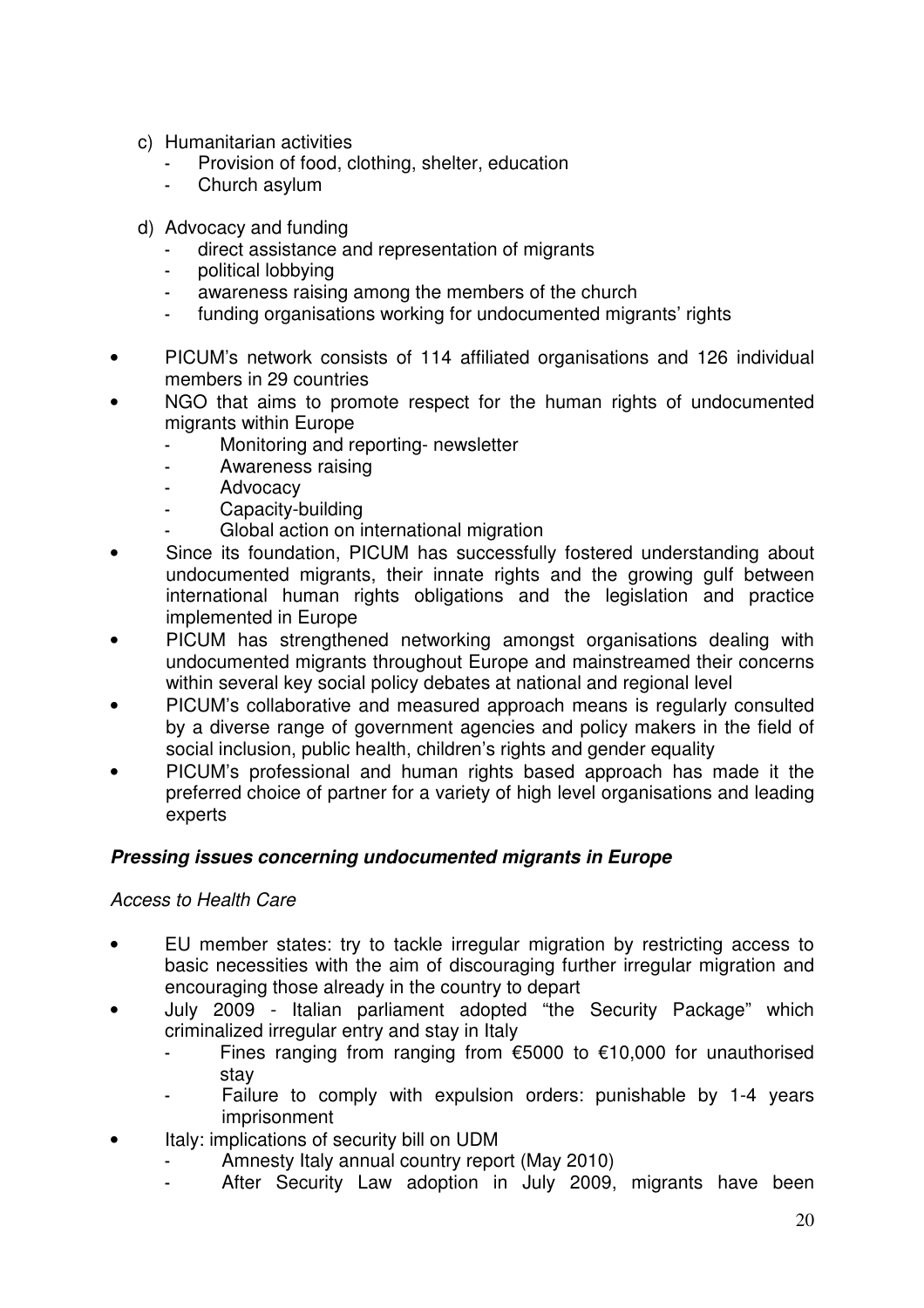- c) Humanitarian activities
	- Provision of food, clothing, shelter, education
	- Church asylum
- d) Advocacy and funding
	- direct assistance and representation of migrants
	- political lobbying
	- awareness raising among the members of the church
	- funding organisations working for undocumented migrants' rights
- PICUM's network consists of 114 affiliated organisations and 126 individual members in 29 countries
- NGO that aims to promote respect for the human rights of undocumented migrants within Europe
	- Monitoring and reporting- newsletter
	- Awareness raising
	- **Advocacy**
	- Capacity-building
	- Global action on international migration
- Since its foundation. PICUM has successfully fostered understanding about undocumented migrants, their innate rights and the growing gulf between international human rights obligations and the legislation and practice implemented in Europe
- PICUM has strengthened networking amongst organisations dealing with undocumented migrants throughout Europe and mainstreamed their concerns within several key social policy debates at national and regional level
- PICUM's collaborative and measured approach means is regularly consulted by a diverse range of government agencies and policy makers in the field of social inclusion, public health, children's rights and gender equality
- PICUM's professional and human rights based approach has made it the preferred choice of partner for a variety of high level organisations and leading experts

#### **Pressing issues concerning undocumented migrants in Europe**

#### Access to Health Care

- EU member states: try to tackle irregular migration by restricting access to basic necessities with the aim of discouraging further irregular migration and encouraging those already in the country to depart
- July 2009 Italian parliament adopted "the Security Package" which criminalized irregular entry and stay in Italy
	- Fines ranging from ranging from  $\epsilon$ 5000 to  $\epsilon$ 10,000 for unauthorised stay
	- Failure to comply with expulsion orders: punishable by 1-4 years imprisonment
- Italy: implications of security bill on UDM
	- Amnesty Italy annual country report (May 2010)
	- After Security Law adoption in July 2009, migrants have been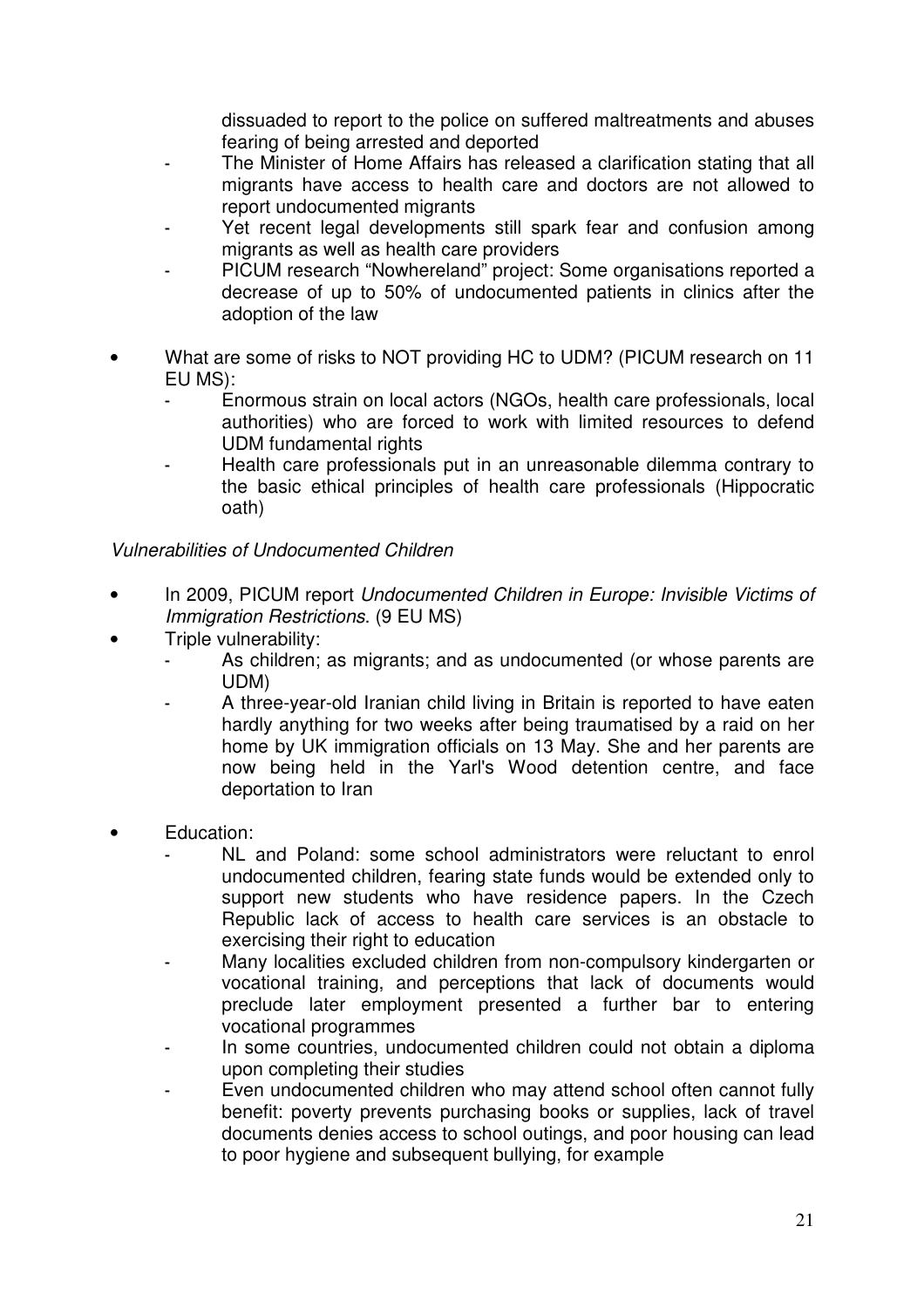dissuaded to report to the police on suffered maltreatments and abuses fearing of being arrested and deported

- The Minister of Home Affairs has released a clarification stating that all migrants have access to health care and doctors are not allowed to report undocumented migrants
- Yet recent legal developments still spark fear and confusion among migrants as well as health care providers
- PICUM research "Nowhereland" project: Some organisations reported a decrease of up to 50% of undocumented patients in clinics after the adoption of the law
- What are some of risks to NOT providing HC to UDM? (PICUM research on 11 EU MS):
	- Enormous strain on local actors (NGOs, health care professionals, local authorities) who are forced to work with limited resources to defend UDM fundamental rights
	- Health care professionals put in an unreasonable dilemma contrary to the basic ethical principles of health care professionals (Hippocratic oath)

#### Vulnerabilities of Undocumented Children

- In 2009, PICUM report Undocumented Children in Europe: Invisible Victims of Immigration Restrictions. (9 EU MS)
- Triple vulnerability:
	- As children; as migrants; and as undocumented (or whose parents are UDM)
	- A three-year-old Iranian child living in Britain is reported to have eaten hardly anything for two weeks after being traumatised by a raid on her home by UK immigration officials on 13 May. She and her parents are now being held in the Yarl's Wood detention centre, and face deportation to Iran
- Education:
	- NL and Poland: some school administrators were reluctant to enrol undocumented children, fearing state funds would be extended only to support new students who have residence papers. In the Czech Republic lack of access to health care services is an obstacle to exercising their right to education
	- Many localities excluded children from non-compulsory kindergarten or vocational training, and perceptions that lack of documents would preclude later employment presented a further bar to entering vocational programmes
	- In some countries, undocumented children could not obtain a diploma upon completing their studies
	- Even undocumented children who may attend school often cannot fully benefit: poverty prevents purchasing books or supplies, lack of travel documents denies access to school outings, and poor housing can lead to poor hygiene and subsequent bullying, for example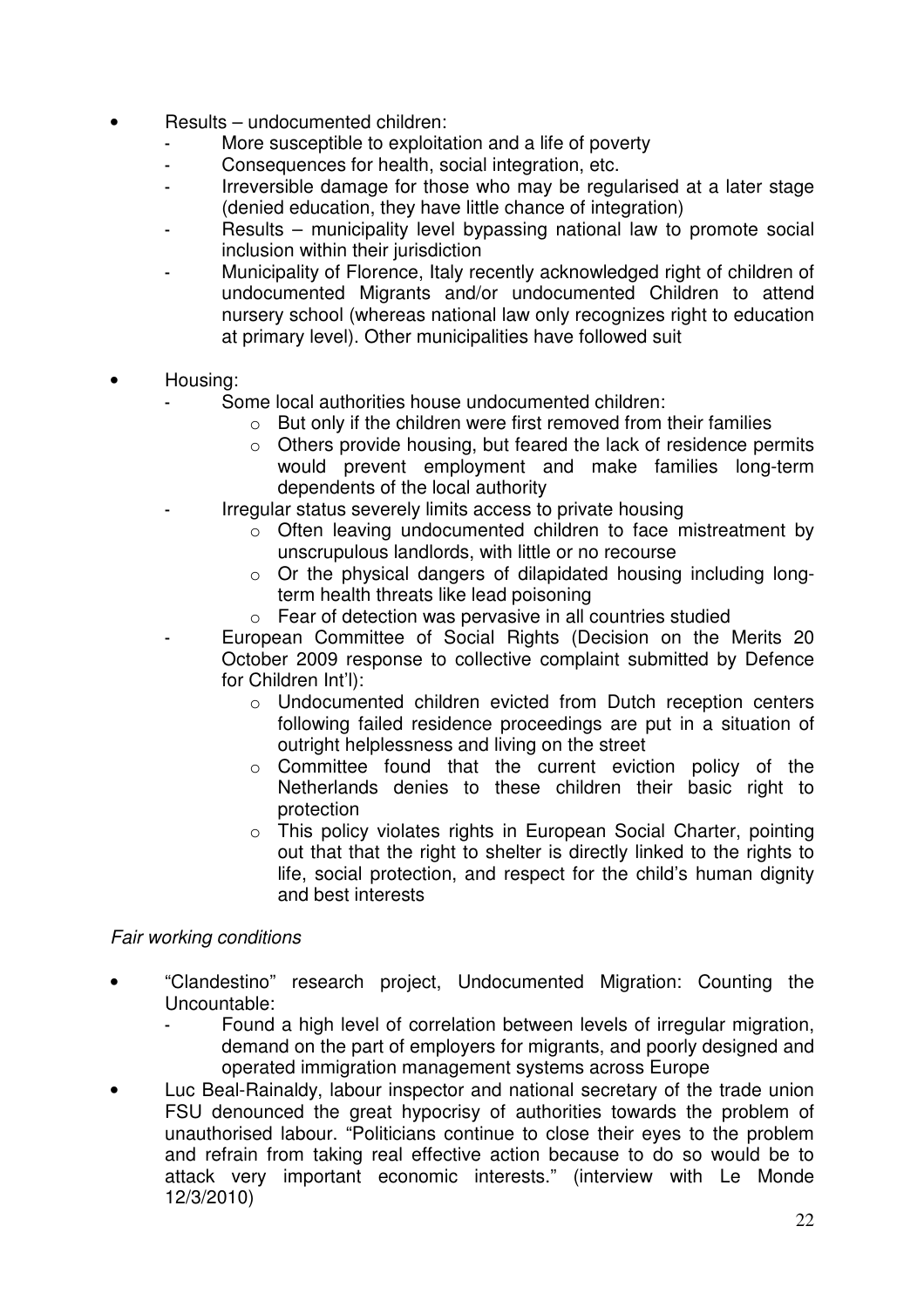- Results undocumented children:
	- More susceptible to exploitation and a life of poverty
	- Consequences for health, social integration, etc.
	- Irreversible damage for those who may be regularised at a later stage (denied education, they have little chance of integration)
	- Results municipality level bypassing national law to promote social inclusion within their jurisdiction
	- Municipality of Florence, Italy recently acknowledged right of children of undocumented Migrants and/or undocumented Children to attend nursery school (whereas national law only recognizes right to education at primary level). Other municipalities have followed suit
- Housing:
	- Some local authorities house undocumented children:
		- $\circ$  But only if the children were first removed from their families
			- o Others provide housing, but feared the lack of residence permits would prevent employment and make families long-term dependents of the local authority
	- Irregular status severely limits access to private housing
		- o Often leaving undocumented children to face mistreatment by unscrupulous landlords, with little or no recourse
		- o Or the physical dangers of dilapidated housing including longterm health threats like lead poisoning
		- o Fear of detection was pervasive in all countries studied
	- European Committee of Social Rights (Decision on the Merits 20 October 2009 response to collective complaint submitted by Defence for Children Int'l):
		- o Undocumented children evicted from Dutch reception centers following failed residence proceedings are put in a situation of outright helplessness and living on the street
		- o Committee found that the current eviction policy of the Netherlands denies to these children their basic right to protection
		- o This policy violates rights in European Social Charter, pointing out that that the right to shelter is directly linked to the rights to life, social protection, and respect for the child's human dignity and best interests

#### Fair working conditions

- "Clandestino" research project, Undocumented Migration: Counting the Uncountable:
	- Found a high level of correlation between levels of irregular migration, demand on the part of employers for migrants, and poorly designed and operated immigration management systems across Europe
- Luc Beal-Rainaldy, labour inspector and national secretary of the trade union FSU denounced the great hypocrisy of authorities towards the problem of unauthorised labour. "Politicians continue to close their eyes to the problem and refrain from taking real effective action because to do so would be to attack very important economic interests." (interview with Le Monde 12/3/2010)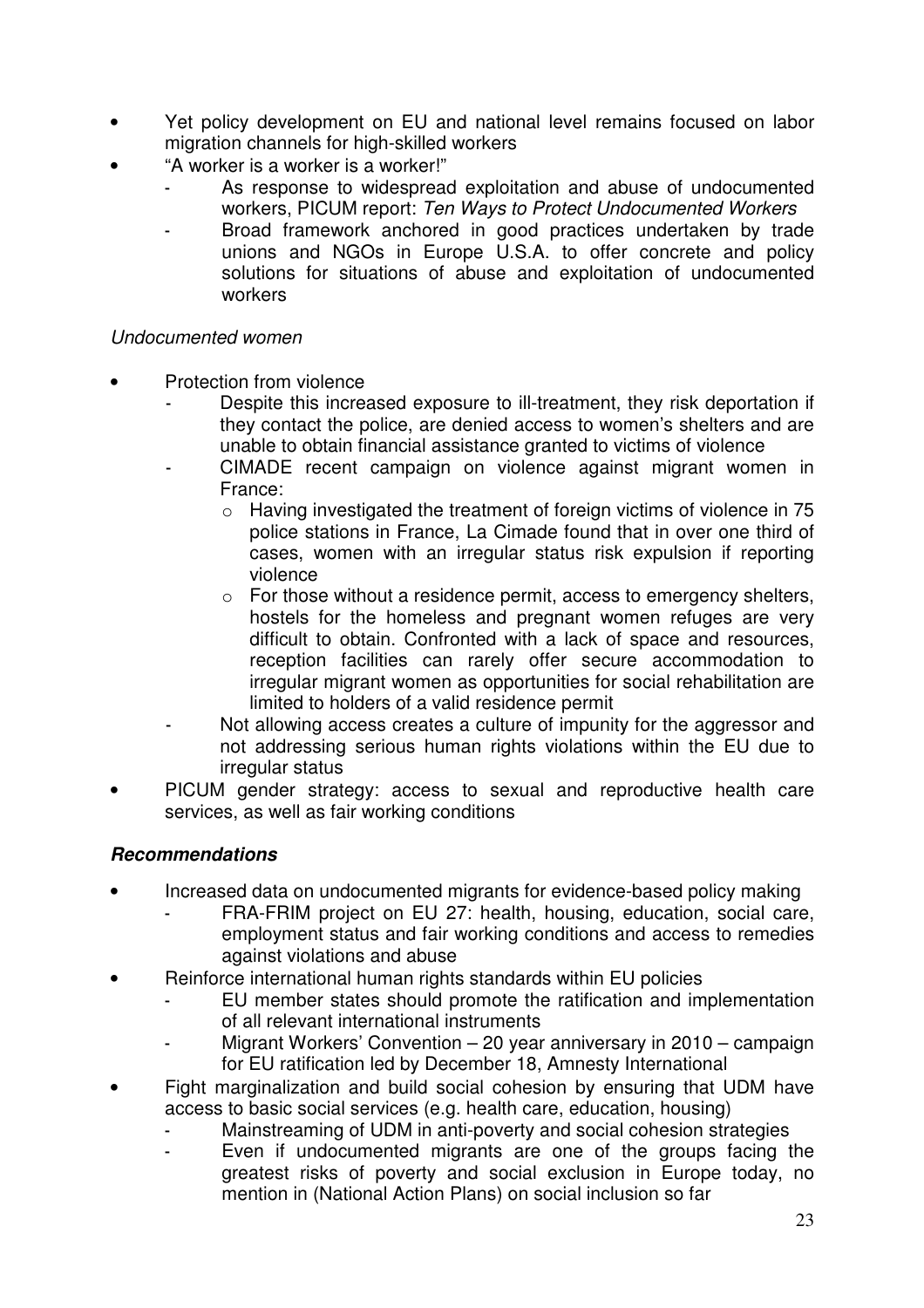- Yet policy development on EU and national level remains focused on labor migration channels for high-skilled workers
- "A worker is a worker is a worker!"
	- As response to widespread exploitation and abuse of undocumented workers, PICUM report: Ten Ways to Protect Undocumented Workers
	- Broad framework anchored in good practices undertaken by trade unions and NGOs in Europe U.S.A. to offer concrete and policy solutions for situations of abuse and exploitation of undocumented workers

#### Undocumented women

- Protection from violence
	- Despite this increased exposure to ill-treatment, they risk deportation if they contact the police, are denied access to women's shelters and are unable to obtain financial assistance granted to victims of violence
	- CIMADE recent campaign on violence against migrant women in France:
		- o Having investigated the treatment of foreign victims of violence in 75 police stations in France, La Cimade found that in over one third of cases, women with an irregular status risk expulsion if reporting violence
		- o For those without a residence permit, access to emergency shelters, hostels for the homeless and pregnant women refuges are very difficult to obtain. Confronted with a lack of space and resources, reception facilities can rarely offer secure accommodation to irregular migrant women as opportunities for social rehabilitation are limited to holders of a valid residence permit
	- Not allowing access creates a culture of impunity for the aggressor and not addressing serious human rights violations within the EU due to irregular status
- PICUM gender strategy: access to sexual and reproductive health care services, as well as fair working conditions

#### **Recommendations**

- Increased data on undocumented migrants for evidence-based policy making
	- FRA-FRIM project on EU 27: health, housing, education, social care, employment status and fair working conditions and access to remedies against violations and abuse
	- Reinforce international human rights standards within EU policies
		- EU member states should promote the ratification and implementation of all relevant international instruments
		- Migrant Workers' Convention 20 year anniversary in 2010 campaign for EU ratification led by December 18, Amnesty International
- Fight marginalization and build social cohesion by ensuring that UDM have access to basic social services (e.g. health care, education, housing)
	- Mainstreaming of UDM in anti-poverty and social cohesion strategies
	- Even if undocumented migrants are one of the groups facing the greatest risks of poverty and social exclusion in Europe today, no mention in (National Action Plans) on social inclusion so far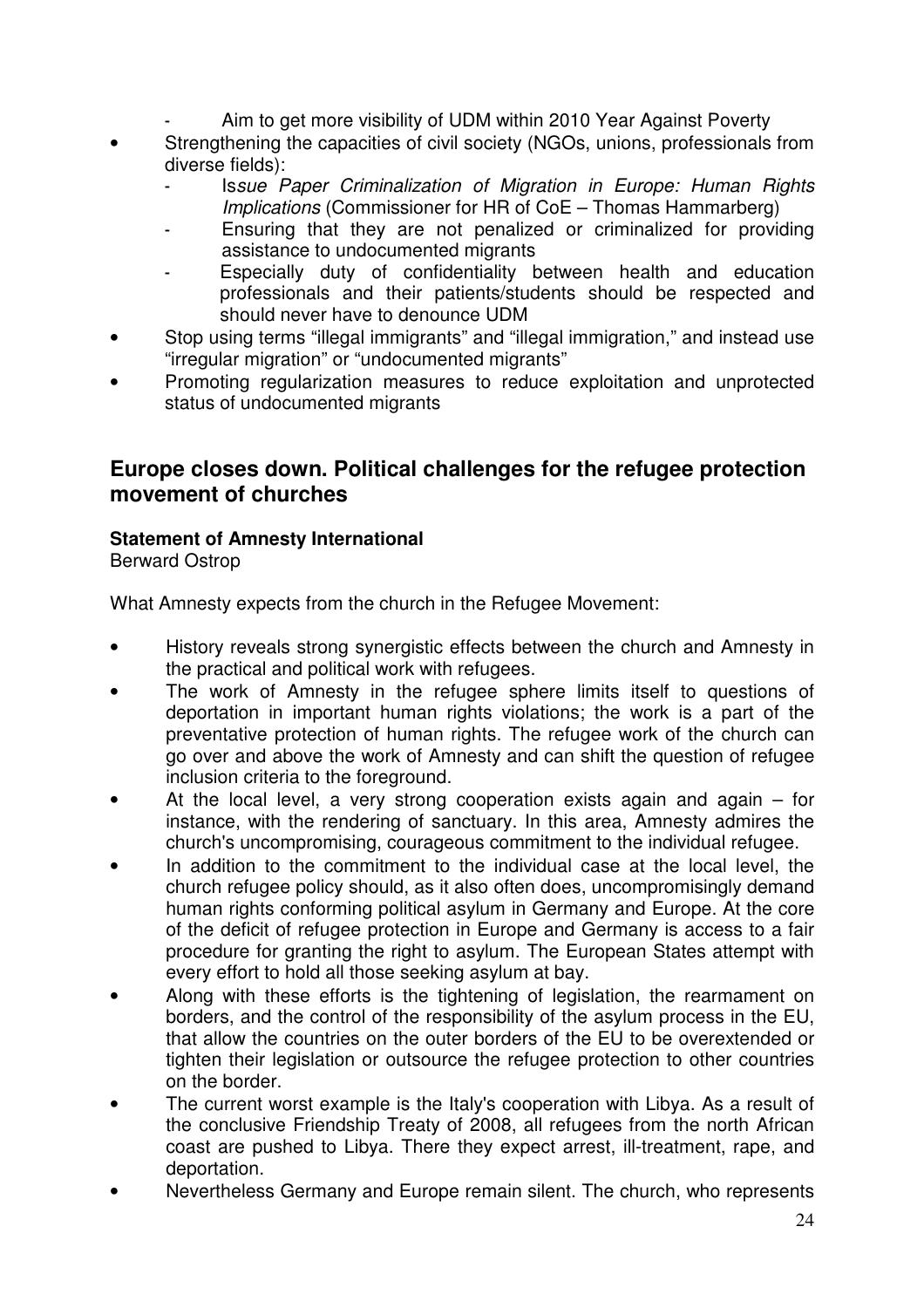- Aim to get more visibility of UDM within 2010 Year Against Poverty
- Strengthening the capacities of civil society (NGOs, unions, professionals from diverse fields):
	- Issue Paper Criminalization of Migration in Europe: Human Rights Implications (Commissioner for HR of CoE – Thomas Hammarberg)
	- Ensuring that they are not penalized or criminalized for providing assistance to undocumented migrants
	- Especially duty of confidentiality between health and education professionals and their patients/students should be respected and should never have to denounce UDM
- Stop using terms "illegal immigrants" and "illegal immigration," and instead use "irregular migration" or "undocumented migrants"
- Promoting regularization measures to reduce exploitation and unprotected status of undocumented migrants

# **Europe closes down. Political challenges for the refugee protection movement of churches**

## **Statement of Amnesty International**

Berward Ostrop

What Amnesty expects from the church in the Refugee Movement:

- History reveals strong synergistic effects between the church and Amnesty in the practical and political work with refugees.
- The work of Amnesty in the refugee sphere limits itself to questions of deportation in important human rights violations; the work is a part of the preventative protection of human rights. The refugee work of the church can go over and above the work of Amnesty and can shift the question of refugee inclusion criteria to the foreground.
- At the local level, a very strong cooperation exists again and again  $-$  for instance, with the rendering of sanctuary. In this area, Amnesty admires the church's uncompromising, courageous commitment to the individual refugee.
- In addition to the commitment to the individual case at the local level, the church refugee policy should, as it also often does, uncompromisingly demand human rights conforming political asylum in Germany and Europe. At the core of the deficit of refugee protection in Europe and Germany is access to a fair procedure for granting the right to asylum. The European States attempt with every effort to hold all those seeking asylum at bay.
- Along with these efforts is the tightening of legislation, the rearmament on borders, and the control of the responsibility of the asylum process in the EU, that allow the countries on the outer borders of the EU to be overextended or tighten their legislation or outsource the refugee protection to other countries on the border.
- The current worst example is the Italy's cooperation with Libya. As a result of the conclusive Friendship Treaty of 2008, all refugees from the north African coast are pushed to Libya. There they expect arrest, ill-treatment, rape, and deportation.
- Nevertheless Germany and Europe remain silent. The church, who represents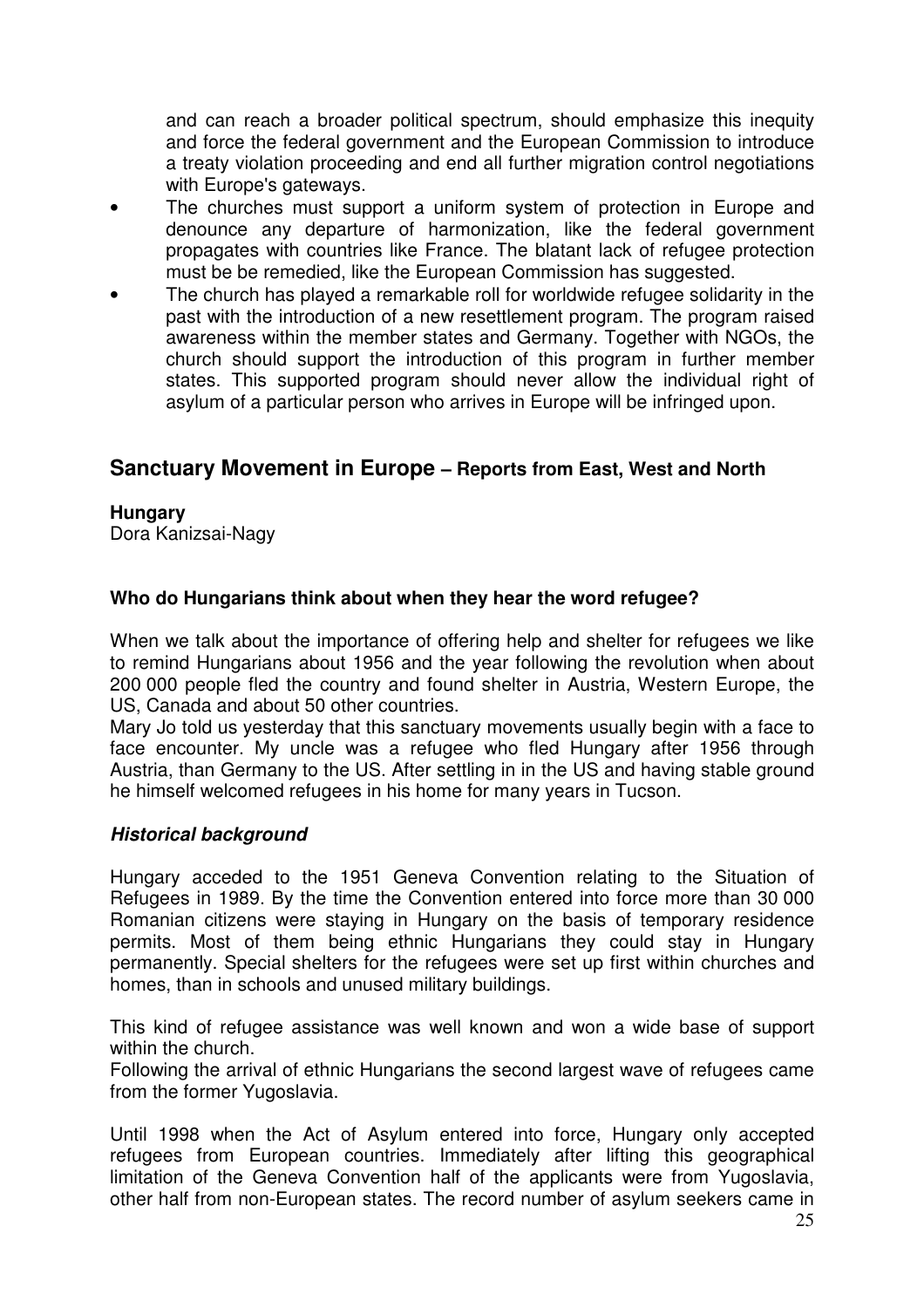and can reach a broader political spectrum, should emphasize this inequity and force the federal government and the European Commission to introduce a treaty violation proceeding and end all further migration control negotiations with Europe's gateways.

- The churches must support a uniform system of protection in Europe and denounce any departure of harmonization, like the federal government propagates with countries like France. The blatant lack of refugee protection must be be remedied, like the European Commission has suggested.
- The church has played a remarkable roll for worldwide refugee solidarity in the past with the introduction of a new resettlement program. The program raised awareness within the member states and Germany. Together with NGOs, the church should support the introduction of this program in further member states. This supported program should never allow the individual right of asylum of a particular person who arrives in Europe will be infringed upon.

# **Sanctuary Movement in Europe – Reports from East, West and North**

#### **Hungary**

Dora Kanizsai-Nagy

#### **Who do Hungarians think about when they hear the word refugee?**

When we talk about the importance of offering help and shelter for refugees we like to remind Hungarians about 1956 and the year following the revolution when about 200 000 people fled the country and found shelter in Austria, Western Europe, the US, Canada and about 50 other countries.

Mary Jo told us yesterday that this sanctuary movements usually begin with a face to face encounter. My uncle was a refugee who fled Hungary after 1956 through Austria, than Germany to the US. After settling in in the US and having stable ground he himself welcomed refugees in his home for many years in Tucson.

#### **Historical background**

Hungary acceded to the 1951 Geneva Convention relating to the Situation of Refugees in 1989. By the time the Convention entered into force more than 30 000 Romanian citizens were staying in Hungary on the basis of temporary residence permits. Most of them being ethnic Hungarians they could stay in Hungary permanently. Special shelters for the refugees were set up first within churches and homes, than in schools and unused military buildings.

This kind of refugee assistance was well known and won a wide base of support within the church.

Following the arrival of ethnic Hungarians the second largest wave of refugees came from the former Yugoslavia.

Until 1998 when the Act of Asylum entered into force, Hungary only accepted refugees from European countries. Immediately after lifting this geographical limitation of the Geneva Convention half of the applicants were from Yugoslavia, other half from non-European states. The record number of asylum seekers came in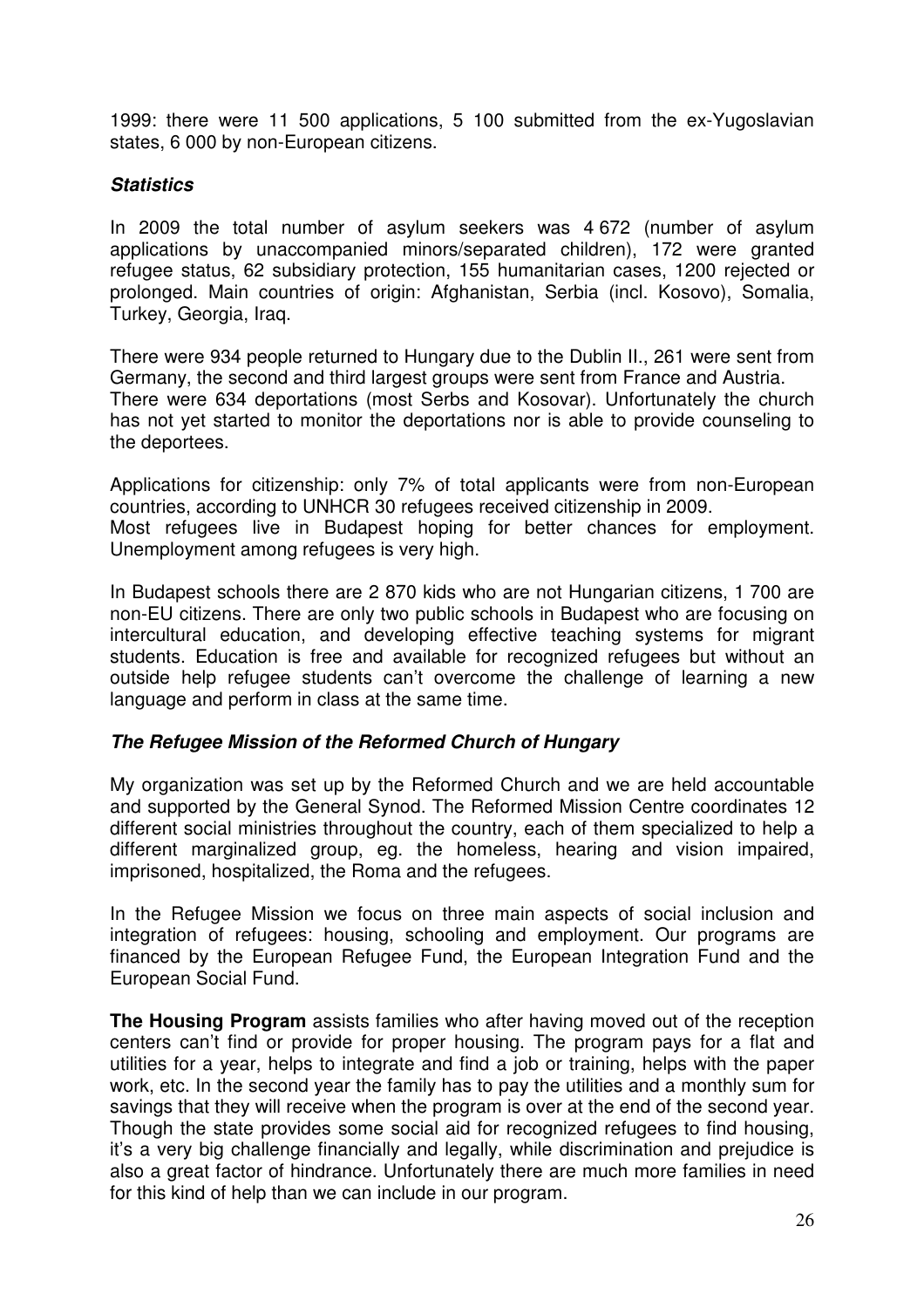1999: there were 11 500 applications, 5 100 submitted from the ex-Yugoslavian states, 6 000 by non-European citizens.

#### **Statistics**

In 2009 the total number of asylum seekers was 4 672 (number of asylum applications by unaccompanied minors/separated children), 172 were granted refugee status, 62 subsidiary protection, 155 humanitarian cases, 1200 rejected or prolonged. Main countries of origin: Afghanistan, Serbia (incl. Kosovo), Somalia, Turkey, Georgia, Iraq.

There were 934 people returned to Hungary due to the Dublin II., 261 were sent from Germany, the second and third largest groups were sent from France and Austria. There were 634 deportations (most Serbs and Kosovar). Unfortunately the church has not yet started to monitor the deportations nor is able to provide counseling to the deportees.

Applications for citizenship: only 7% of total applicants were from non-European countries, according to UNHCR 30 refugees received citizenship in 2009. Most refugees live in Budapest hoping for better chances for employment. Unemployment among refugees is very high.

In Budapest schools there are 2 870 kids who are not Hungarian citizens, 1 700 are non-EU citizens. There are only two public schools in Budapest who are focusing on intercultural education, and developing effective teaching systems for migrant students. Education is free and available for recognized refugees but without an outside help refugee students can't overcome the challenge of learning a new language and perform in class at the same time.

#### **The Refugee Mission of the Reformed Church of Hungary**

My organization was set up by the Reformed Church and we are held accountable and supported by the General Synod. The Reformed Mission Centre coordinates 12 different social ministries throughout the country, each of them specialized to help a different marginalized group, eg. the homeless, hearing and vision impaired, imprisoned, hospitalized, the Roma and the refugees.

In the Refugee Mission we focus on three main aspects of social inclusion and integration of refugees: housing, schooling and employment. Our programs are financed by the European Refugee Fund, the European Integration Fund and the European Social Fund.

**The Housing Program** assists families who after having moved out of the reception centers can't find or provide for proper housing. The program pays for a flat and utilities for a year, helps to integrate and find a job or training, helps with the paper work, etc. In the second year the family has to pay the utilities and a monthly sum for savings that they will receive when the program is over at the end of the second year. Though the state provides some social aid for recognized refugees to find housing, it's a very big challenge financially and legally, while discrimination and prejudice is also a great factor of hindrance. Unfortunately there are much more families in need for this kind of help than we can include in our program.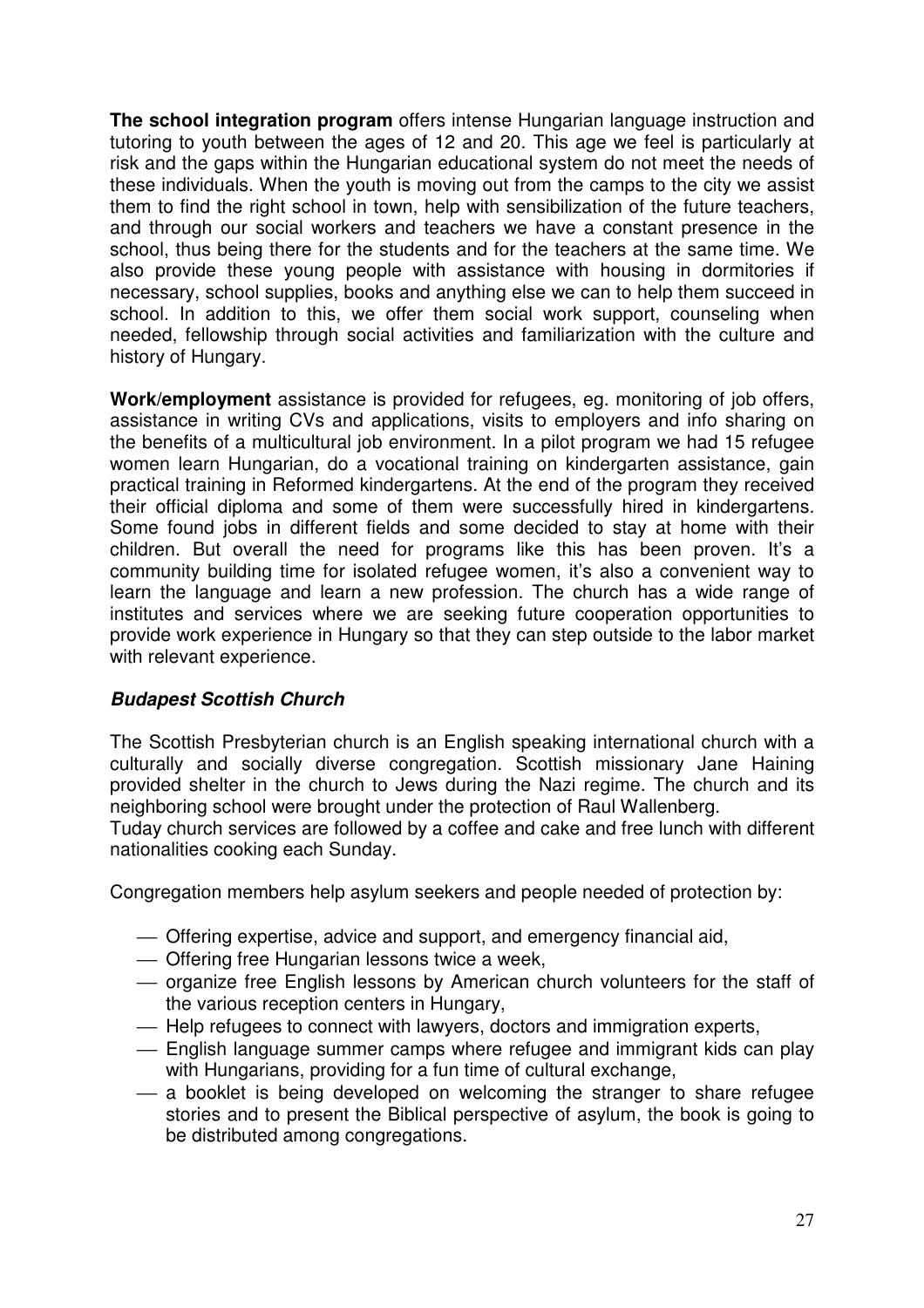**The school integration program** offers intense Hungarian language instruction and tutoring to youth between the ages of 12 and 20. This age we feel is particularly at risk and the gaps within the Hungarian educational system do not meet the needs of these individuals. When the youth is moving out from the camps to the city we assist them to find the right school in town, help with sensibilization of the future teachers, and through our social workers and teachers we have a constant presence in the school, thus being there for the students and for the teachers at the same time. We also provide these young people with assistance with housing in dormitories if necessary, school supplies, books and anything else we can to help them succeed in school. In addition to this, we offer them social work support, counseling when needed, fellowship through social activities and familiarization with the culture and history of Hungary.

**Work/employment** assistance is provided for refugees, eg. monitoring of job offers, assistance in writing CVs and applications, visits to employers and info sharing on the benefits of a multicultural job environment. In a pilot program we had 15 refugee women learn Hungarian, do a vocational training on kindergarten assistance, gain practical training in Reformed kindergartens. At the end of the program they received their official diploma and some of them were successfully hired in kindergartens. Some found jobs in different fields and some decided to stay at home with their children. But overall the need for programs like this has been proven. It's a community building time for isolated refugee women, it's also a convenient way to learn the language and learn a new profession. The church has a wide range of institutes and services where we are seeking future cooperation opportunities to provide work experience in Hungary so that they can step outside to the labor market with relevant experience.

#### **Budapest Scottish Church**

The Scottish Presbyterian church is an English speaking international church with a culturally and socially diverse congregation. Scottish missionary Jane Haining provided shelter in the church to Jews during the Nazi regime. The church and its neighboring school were brought under the protection of Raul Wallenberg.

Tuday church services are followed by a coffee and cake and free lunch with different nationalities cooking each Sunday.

Congregation members help asylum seekers and people needed of protection by:

- Offering expertise, advice and support, and emergency financial aid,
- Offering free Hungarian lessons twice a week,
- $-$  organize free English lessons by American church volunteers for the staff of the various reception centers in Hungary,
- Help refugees to connect with lawyers, doctors and immigration experts,
- English language summer camps where refugee and immigrant kids can play with Hungarians, providing for a fun time of cultural exchange,
- a booklet is being developed on welcoming the stranger to share refugee stories and to present the Biblical perspective of asylum, the book is going to be distributed among congregations.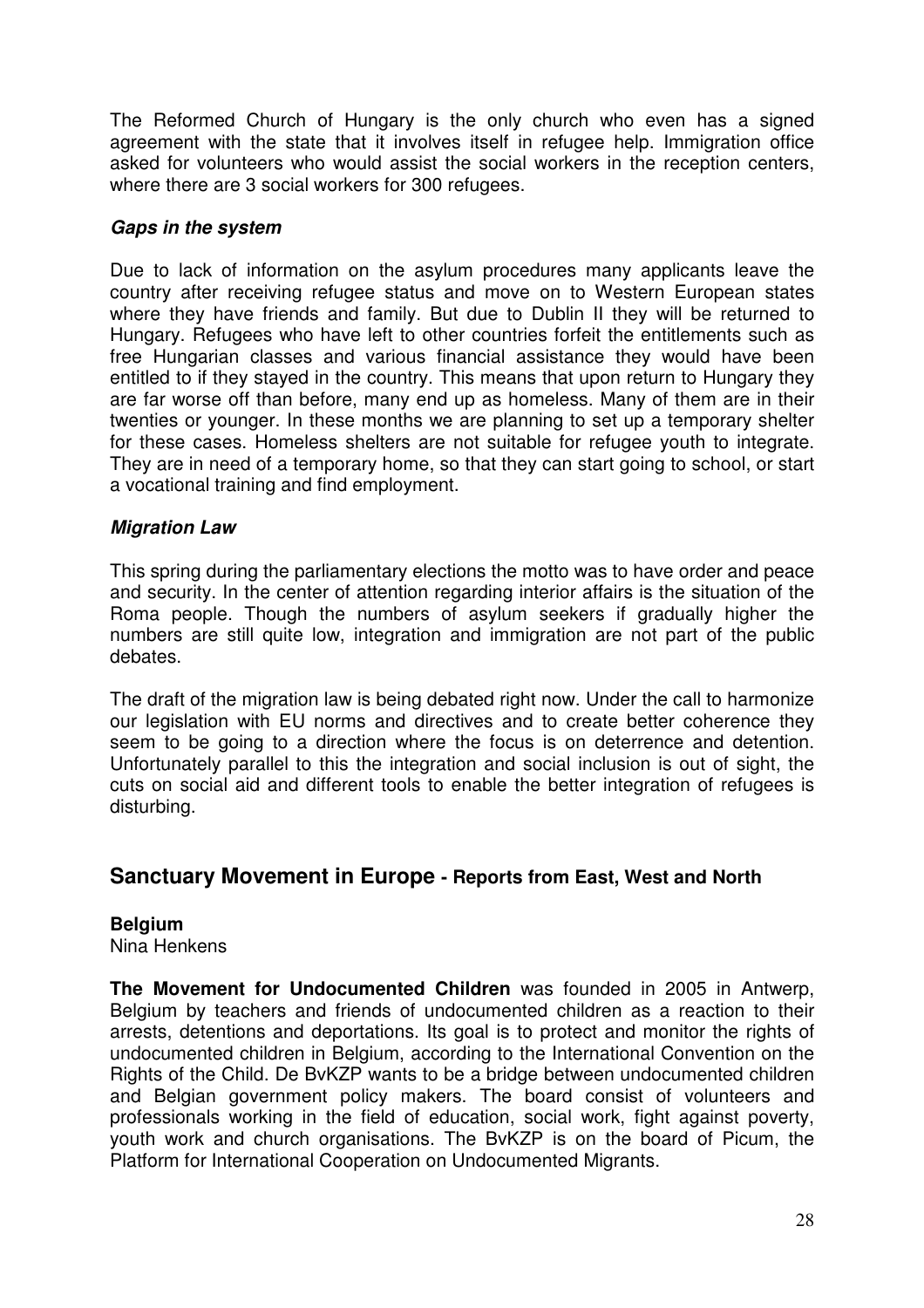The Reformed Church of Hungary is the only church who even has a signed agreement with the state that it involves itself in refugee help. Immigration office asked for volunteers who would assist the social workers in the reception centers, where there are 3 social workers for 300 refugees.

#### **Gaps in the system**

Due to lack of information on the asylum procedures many applicants leave the country after receiving refugee status and move on to Western European states where they have friends and family. But due to Dublin II they will be returned to Hungary. Refugees who have left to other countries forfeit the entitlements such as free Hungarian classes and various financial assistance they would have been entitled to if they stayed in the country. This means that upon return to Hungary they are far worse off than before, many end up as homeless. Many of them are in their twenties or younger. In these months we are planning to set up a temporary shelter for these cases. Homeless shelters are not suitable for refugee youth to integrate. They are in need of a temporary home, so that they can start going to school, or start a vocational training and find employment.

#### **Migration Law**

This spring during the parliamentary elections the motto was to have order and peace and security. In the center of attention regarding interior affairs is the situation of the Roma people. Though the numbers of asylum seekers if gradually higher the numbers are still quite low, integration and immigration are not part of the public debates.

The draft of the migration law is being debated right now. Under the call to harmonize our legislation with EU norms and directives and to create better coherence they seem to be going to a direction where the focus is on deterrence and detention. Unfortunately parallel to this the integration and social inclusion is out of sight, the cuts on social aid and different tools to enable the better integration of refugees is disturbing.

## **Sanctuary Movement in Europe - Reports from East, West and North**

#### **Belgium**

Nina Henkens

**The Movement for Undocumented Children** was founded in 2005 in Antwerp, Belgium by teachers and friends of undocumented children as a reaction to their arrests, detentions and deportations. Its goal is to protect and monitor the rights of undocumented children in Belgium, according to the International Convention on the Rights of the Child. De BvKZP wants to be a bridge between undocumented children and Belgian government policy makers. The board consist of volunteers and professionals working in the field of education, social work, fight against poverty, youth work and church organisations. The BvKZP is on the board of Picum, the Platform for International Cooperation on Undocumented Migrants.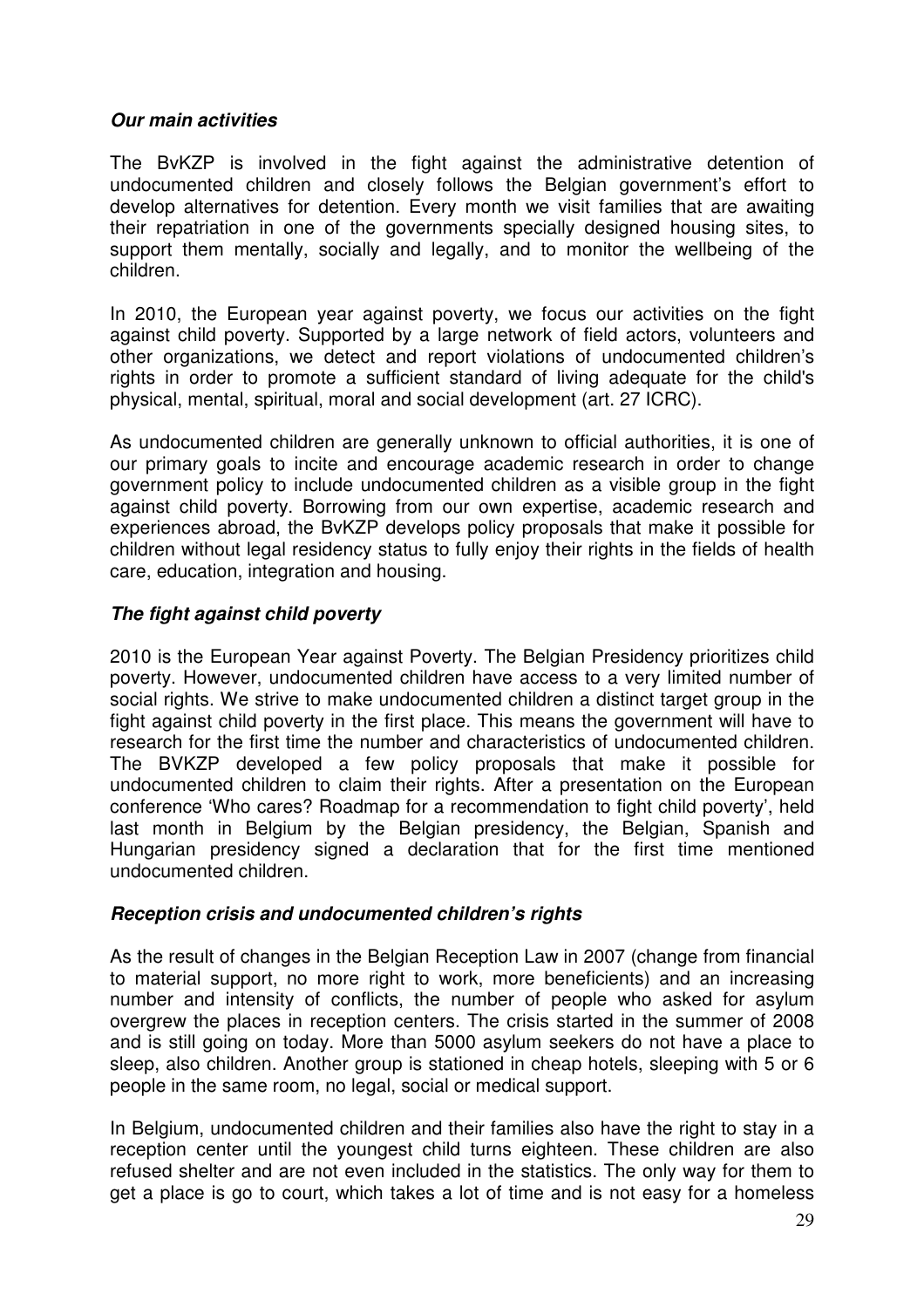#### **Our main activities**

The BvKZP is involved in the fight against the administrative detention of undocumented children and closely follows the Belgian government's effort to develop alternatives for detention. Every month we visit families that are awaiting their repatriation in one of the governments specially designed housing sites, to support them mentally, socially and legally, and to monitor the wellbeing of the children.

In 2010, the European year against poverty, we focus our activities on the fight against child poverty. Supported by a large network of field actors, volunteers and other organizations, we detect and report violations of undocumented children's rights in order to promote a sufficient standard of living adequate for the child's physical, mental, spiritual, moral and social development (art. 27 ICRC).

As undocumented children are generally unknown to official authorities, it is one of our primary goals to incite and encourage academic research in order to change government policy to include undocumented children as a visible group in the fight against child poverty. Borrowing from our own expertise, academic research and experiences abroad, the BvKZP develops policy proposals that make it possible for children without legal residency status to fully enjoy their rights in the fields of health care, education, integration and housing.

#### **The fight against child poverty**

2010 is the European Year against Poverty. The Belgian Presidency prioritizes child poverty. However, undocumented children have access to a very limited number of social rights. We strive to make undocumented children a distinct target group in the fight against child poverty in the first place. This means the government will have to research for the first time the number and characteristics of undocumented children. The BVKZP developed a few policy proposals that make it possible for undocumented children to claim their rights. After a presentation on the European conference 'Who cares? Roadmap for a recommendation to fight child poverty', held last month in Belgium by the Belgian presidency, the Belgian, Spanish and Hungarian presidency signed a declaration that for the first time mentioned undocumented children.

#### **Reception crisis and undocumented children's rights**

As the result of changes in the Belgian Reception Law in 2007 (change from financial to material support, no more right to work, more beneficients) and an increasing number and intensity of conflicts, the number of people who asked for asylum overgrew the places in reception centers. The crisis started in the summer of 2008 and is still going on today. More than 5000 asylum seekers do not have a place to sleep, also children. Another group is stationed in cheap hotels, sleeping with 5 or 6 people in the same room, no legal, social or medical support.

In Belgium, undocumented children and their families also have the right to stay in a reception center until the youngest child turns eighteen. These children are also refused shelter and are not even included in the statistics. The only way for them to get a place is go to court, which takes a lot of time and is not easy for a homeless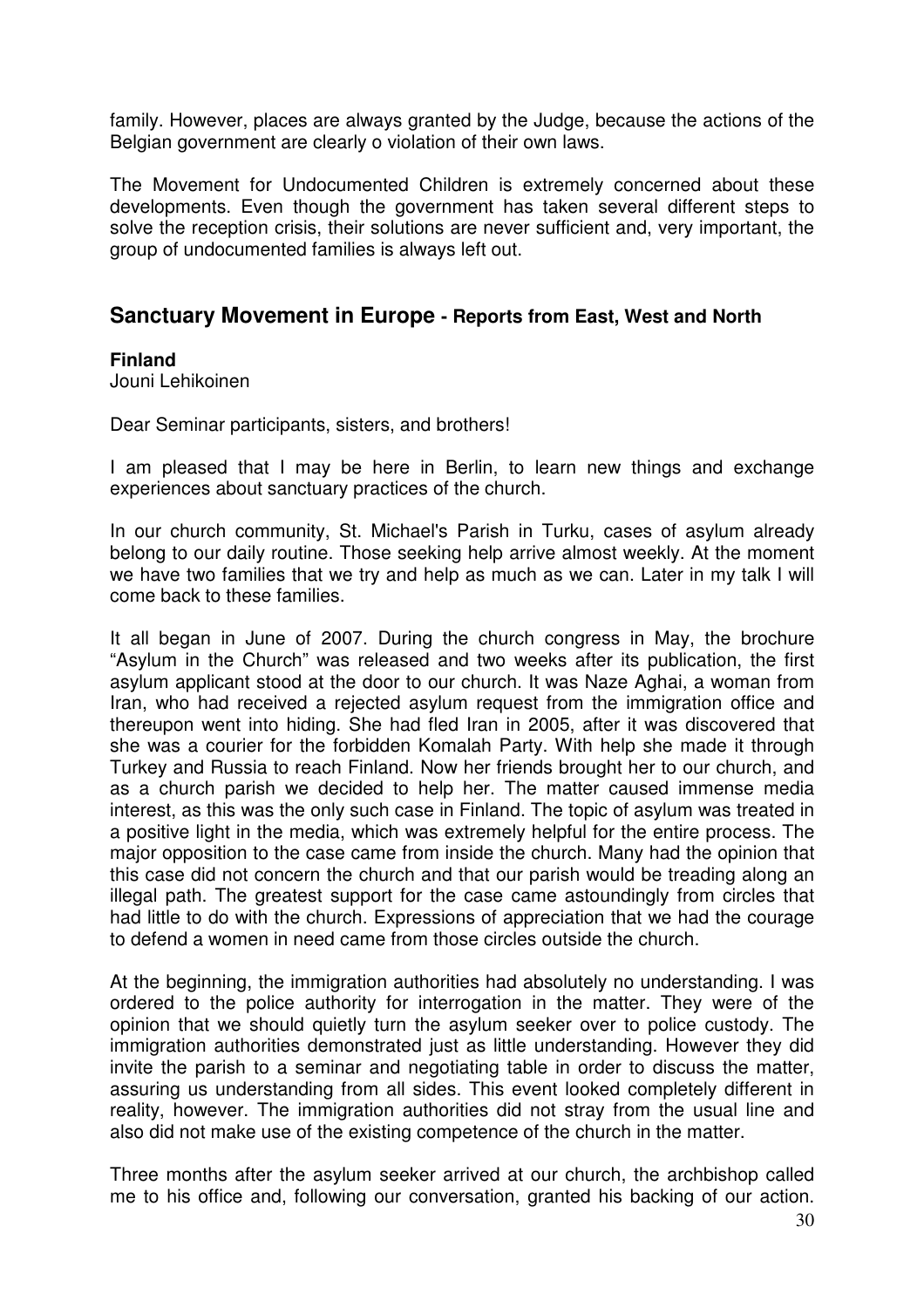family. However, places are always granted by the Judge, because the actions of the Belgian government are clearly o violation of their own laws.

The Movement for Undocumented Children is extremely concerned about these developments. Even though the government has taken several different steps to solve the reception crisis, their solutions are never sufficient and, very important, the group of undocumented families is always left out.

## **Sanctuary Movement in Europe - Reports from East, West and North**

#### **Finland**

Jouni Lehikoinen

Dear Seminar participants, sisters, and brothers!

I am pleased that I may be here in Berlin, to learn new things and exchange experiences about sanctuary practices of the church.

In our church community, St. Michael's Parish in Turku, cases of asylum already belong to our daily routine. Those seeking help arrive almost weekly. At the moment we have two families that we try and help as much as we can. Later in my talk I will come back to these families.

It all began in June of 2007. During the church congress in May, the brochure "Asylum in the Church" was released and two weeks after its publication, the first asylum applicant stood at the door to our church. It was Naze Aghai, a woman from Iran, who had received a rejected asylum request from the immigration office and thereupon went into hiding. She had fled Iran in 2005, after it was discovered that she was a courier for the forbidden Komalah Party. With help she made it through Turkey and Russia to reach Finland. Now her friends brought her to our church, and as a church parish we decided to help her. The matter caused immense media interest, as this was the only such case in Finland. The topic of asylum was treated in a positive light in the media, which was extremely helpful for the entire process. The major opposition to the case came from inside the church. Many had the opinion that this case did not concern the church and that our parish would be treading along an illegal path. The greatest support for the case came astoundingly from circles that had little to do with the church. Expressions of appreciation that we had the courage to defend a women in need came from those circles outside the church.

At the beginning, the immigration authorities had absolutely no understanding. I was ordered to the police authority for interrogation in the matter. They were of the opinion that we should quietly turn the asylum seeker over to police custody. The immigration authorities demonstrated just as little understanding. However they did invite the parish to a seminar and negotiating table in order to discuss the matter, assuring us understanding from all sides. This event looked completely different in reality, however. The immigration authorities did not stray from the usual line and also did not make use of the existing competence of the church in the matter.

Three months after the asylum seeker arrived at our church, the archbishop called me to his office and, following our conversation, granted his backing of our action.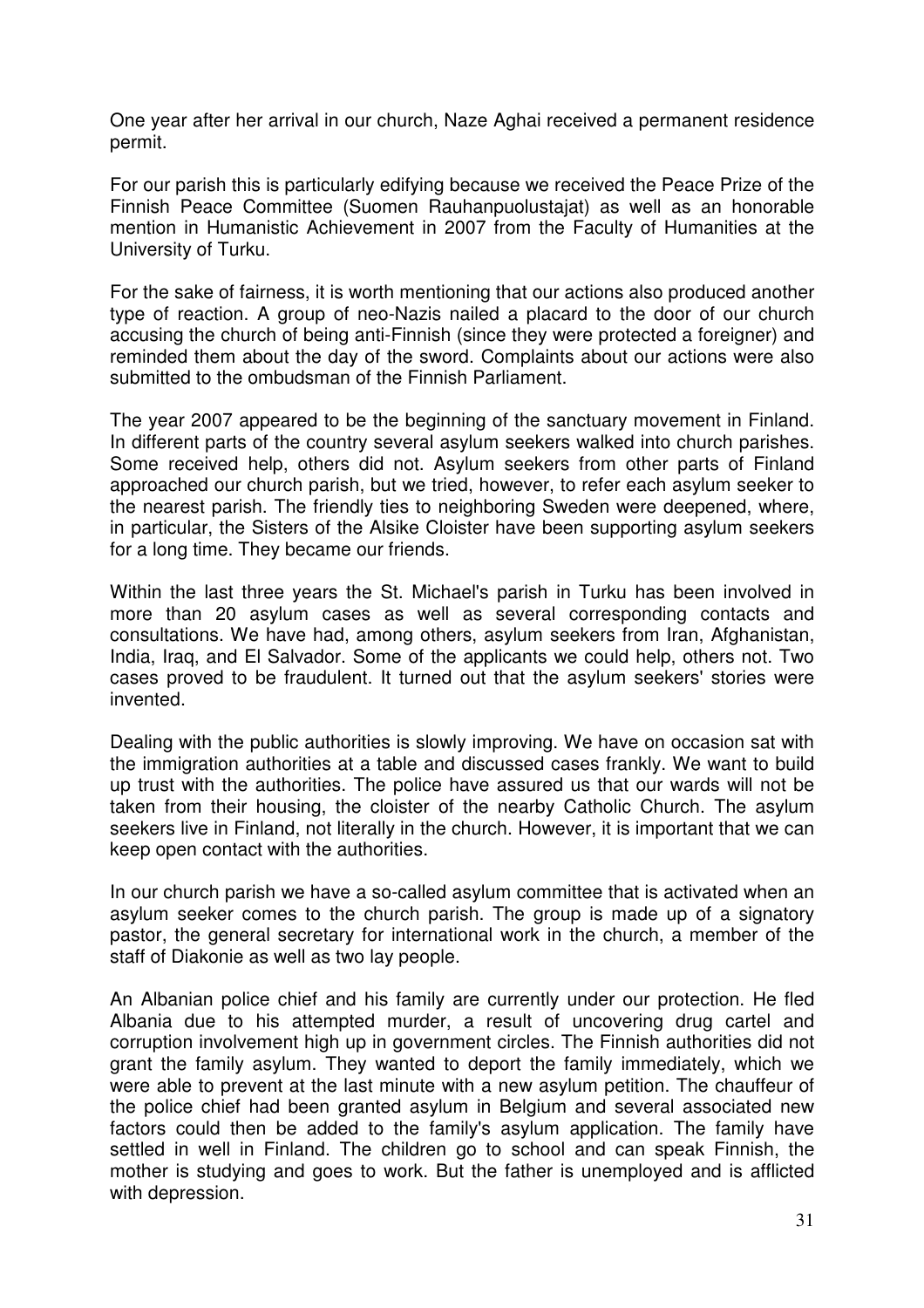One year after her arrival in our church, Naze Aghai received a permanent residence permit.

For our parish this is particularly edifying because we received the Peace Prize of the Finnish Peace Committee (Suomen Rauhanpuolustajat) as well as an honorable mention in Humanistic Achievement in 2007 from the Faculty of Humanities at the University of Turku.

For the sake of fairness, it is worth mentioning that our actions also produced another type of reaction. A group of neo-Nazis nailed a placard to the door of our church accusing the church of being anti-Finnish (since they were protected a foreigner) and reminded them about the day of the sword. Complaints about our actions were also submitted to the ombudsman of the Finnish Parliament.

The year 2007 appeared to be the beginning of the sanctuary movement in Finland. In different parts of the country several asylum seekers walked into church parishes. Some received help, others did not. Asylum seekers from other parts of Finland approached our church parish, but we tried, however, to refer each asylum seeker to the nearest parish. The friendly ties to neighboring Sweden were deepened, where, in particular, the Sisters of the Alsike Cloister have been supporting asylum seekers for a long time. They became our friends.

Within the last three years the St. Michael's parish in Turku has been involved in more than 20 asylum cases as well as several corresponding contacts and consultations. We have had, among others, asylum seekers from Iran, Afghanistan, India, Iraq, and El Salvador. Some of the applicants we could help, others not. Two cases proved to be fraudulent. It turned out that the asylum seekers' stories were invented.

Dealing with the public authorities is slowly improving. We have on occasion sat with the immigration authorities at a table and discussed cases frankly. We want to build up trust with the authorities. The police have assured us that our wards will not be taken from their housing, the cloister of the nearby Catholic Church. The asylum seekers live in Finland, not literally in the church. However, it is important that we can keep open contact with the authorities.

In our church parish we have a so-called asylum committee that is activated when an asylum seeker comes to the church parish. The group is made up of a signatory pastor, the general secretary for international work in the church, a member of the staff of Diakonie as well as two lay people.

An Albanian police chief and his family are currently under our protection. He fled Albania due to his attempted murder, a result of uncovering drug cartel and corruption involvement high up in government circles. The Finnish authorities did not grant the family asylum. They wanted to deport the family immediately, which we were able to prevent at the last minute with a new asylum petition. The chauffeur of the police chief had been granted asylum in Belgium and several associated new factors could then be added to the family's asylum application. The family have settled in well in Finland. The children go to school and can speak Finnish, the mother is studying and goes to work. But the father is unemployed and is afflicted with depression.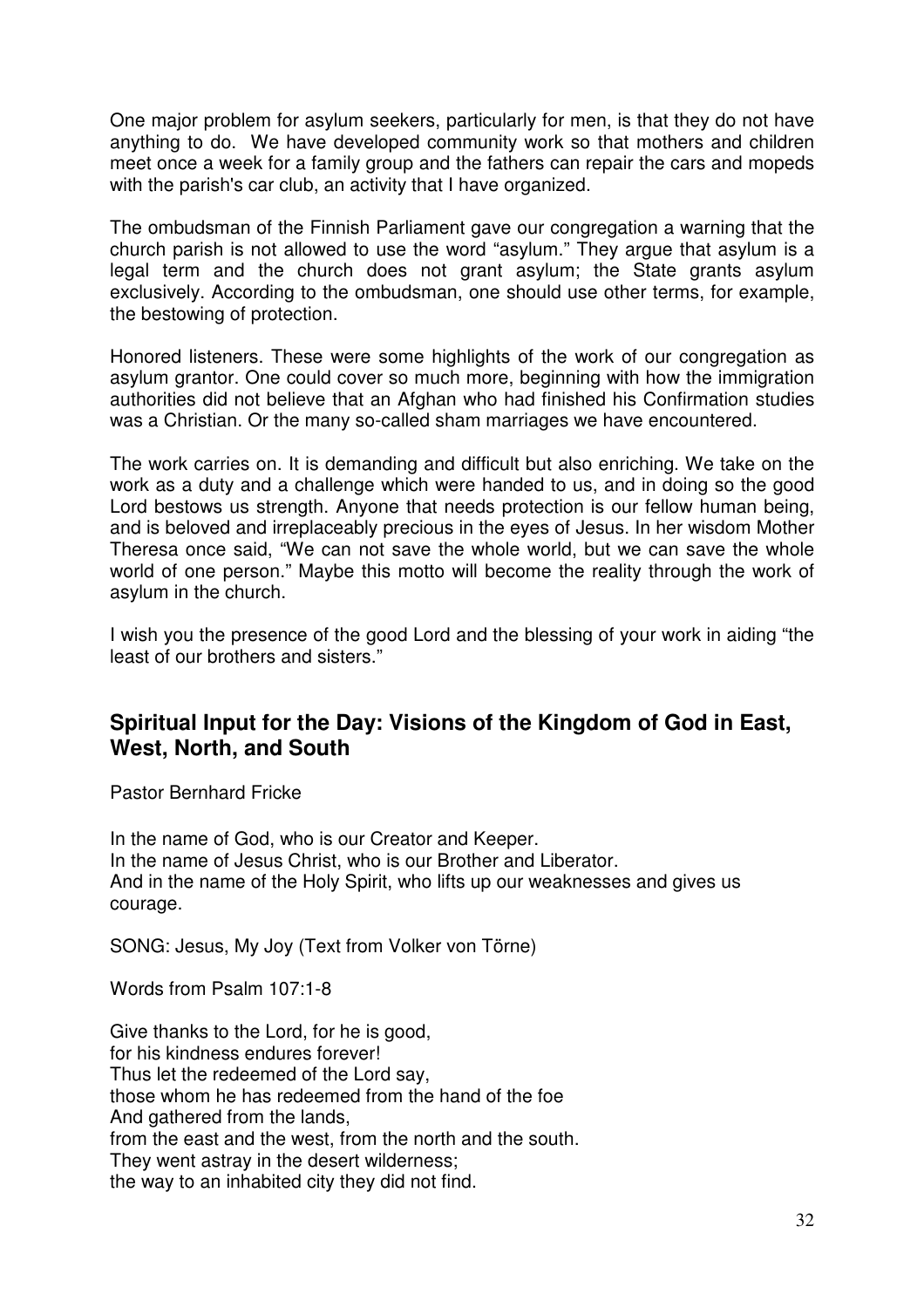One major problem for asylum seekers, particularly for men, is that they do not have anything to do. We have developed community work so that mothers and children meet once a week for a family group and the fathers can repair the cars and mopeds with the parish's car club, an activity that I have organized.

The ombudsman of the Finnish Parliament gave our congregation a warning that the church parish is not allowed to use the word "asylum." They argue that asylum is a legal term and the church does not grant asylum; the State grants asylum exclusively. According to the ombudsman, one should use other terms, for example, the bestowing of protection.

Honored listeners. These were some highlights of the work of our congregation as asylum grantor. One could cover so much more, beginning with how the immigration authorities did not believe that an Afghan who had finished his Confirmation studies was a Christian. Or the many so-called sham marriages we have encountered.

The work carries on. It is demanding and difficult but also enriching. We take on the work as a duty and a challenge which were handed to us, and in doing so the good Lord bestows us strength. Anyone that needs protection is our fellow human being, and is beloved and irreplaceably precious in the eyes of Jesus. In her wisdom Mother Theresa once said, "We can not save the whole world, but we can save the whole world of one person." Maybe this motto will become the reality through the work of asylum in the church.

I wish you the presence of the good Lord and the blessing of your work in aiding "the least of our brothers and sisters."

# **Spiritual Input for the Day: Visions of the Kingdom of God in East, West, North, and South**

Pastor Bernhard Fricke

In the name of God, who is our Creator and Keeper. In the name of Jesus Christ, who is our Brother and Liberator. And in the name of the Holy Spirit, who lifts up our weaknesses and gives us courage.

SONG: Jesus, My Joy (Text from Volker von Törne)

Words from Psalm 107:1-8

Give thanks to the Lord, for he is good, for his kindness endures forever! Thus let the redeemed of the Lord say, those whom he has redeemed from the hand of the foe And gathered from the lands, from the east and the west, from the north and the south. They went astray in the desert wilderness; the way to an inhabited city they did not find.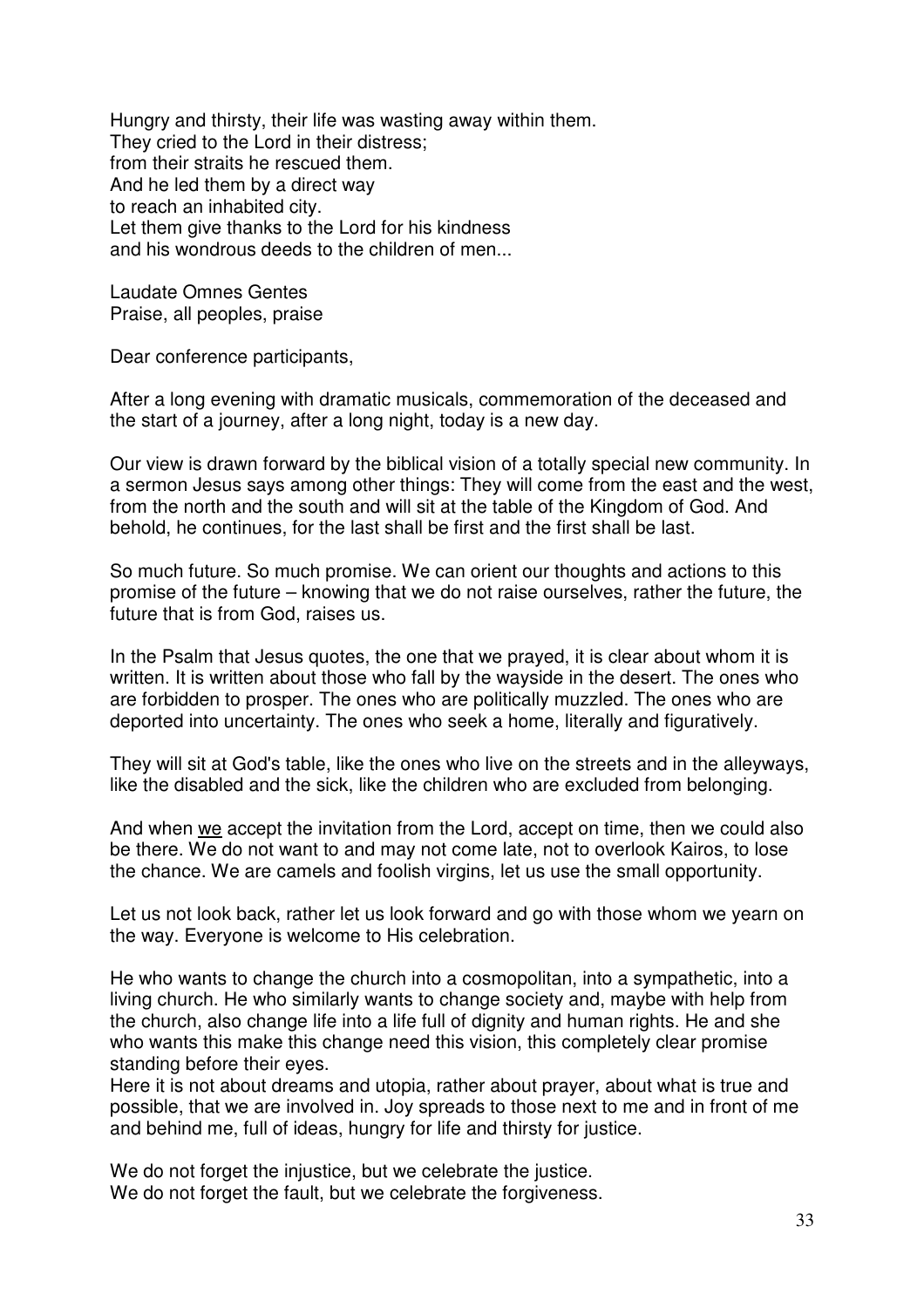Hungry and thirsty, their life was wasting away within them. They cried to the Lord in their distress; from their straits he rescued them. And he led them by a direct way to reach an inhabited city. Let them give thanks to the Lord for his kindness and his wondrous deeds to the children of men...

Laudate Omnes Gentes Praise, all peoples, praise

Dear conference participants,

After a long evening with dramatic musicals, commemoration of the deceased and the start of a journey, after a long night, today is a new day.

Our view is drawn forward by the biblical vision of a totally special new community. In a sermon Jesus says among other things: They will come from the east and the west, from the north and the south and will sit at the table of the Kingdom of God. And behold, he continues, for the last shall be first and the first shall be last.

So much future. So much promise. We can orient our thoughts and actions to this promise of the future – knowing that we do not raise ourselves, rather the future, the future that is from God, raises us.

In the Psalm that Jesus quotes, the one that we prayed, it is clear about whom it is written. It is written about those who fall by the wayside in the desert. The ones who are forbidden to prosper. The ones who are politically muzzled. The ones who are deported into uncertainty. The ones who seek a home, literally and figuratively.

They will sit at God's table, like the ones who live on the streets and in the alleyways, like the disabled and the sick, like the children who are excluded from belonging.

And when we accept the invitation from the Lord, accept on time, then we could also be there. We do not want to and may not come late, not to overlook Kairos, to lose the chance. We are camels and foolish virgins, let us use the small opportunity.

Let us not look back, rather let us look forward and go with those whom we yearn on the way. Everyone is welcome to His celebration.

He who wants to change the church into a cosmopolitan, into a sympathetic, into a living church. He who similarly wants to change society and, maybe with help from the church, also change life into a life full of dignity and human rights. He and she who wants this make this change need this vision, this completely clear promise standing before their eyes.

Here it is not about dreams and utopia, rather about prayer, about what is true and possible, that we are involved in. Joy spreads to those next to me and in front of me and behind me, full of ideas, hungry for life and thirsty for justice.

We do not forget the injustice, but we celebrate the justice. We do not forget the fault, but we celebrate the forgiveness.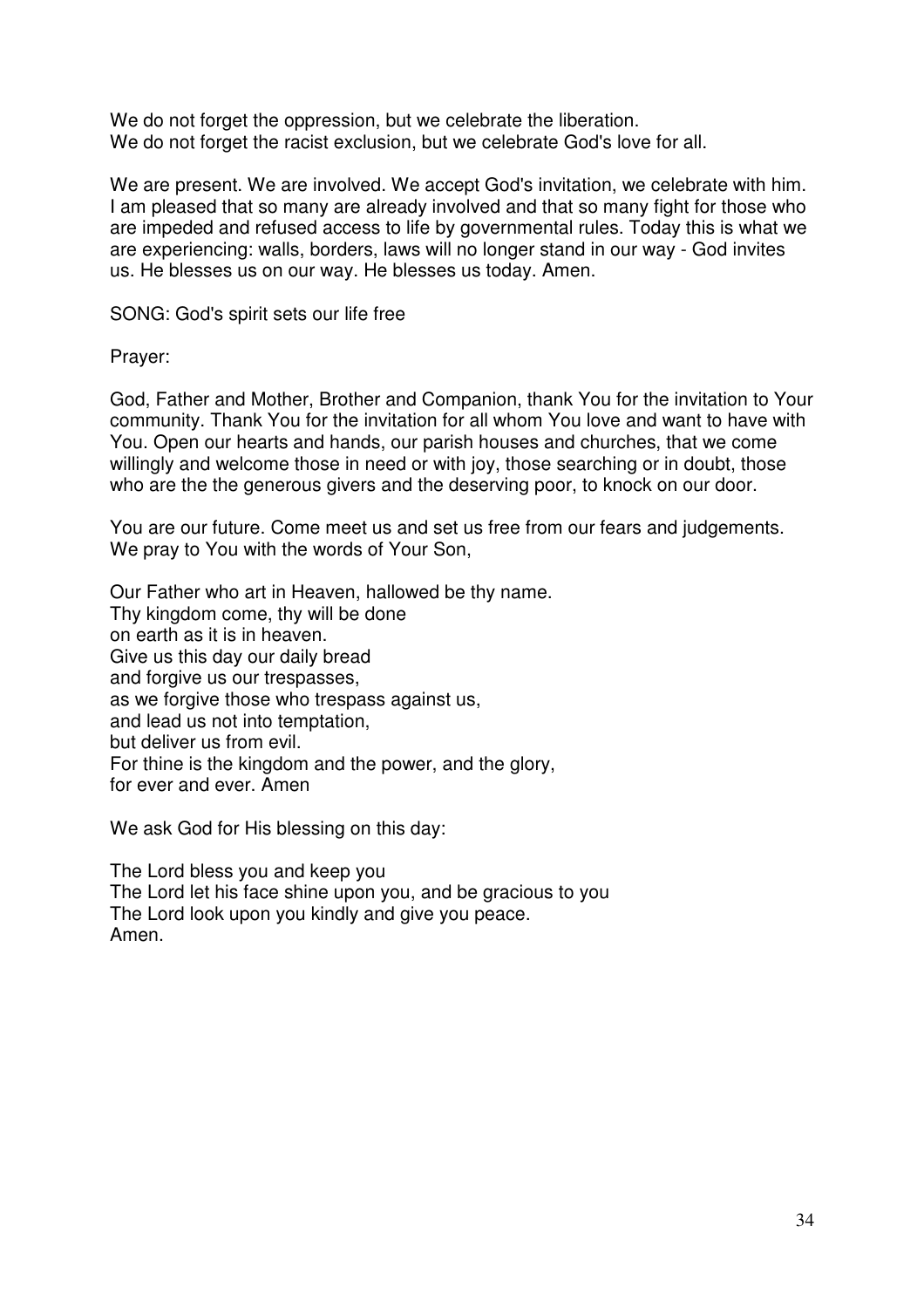We do not forget the oppression, but we celebrate the liberation. We do not forget the racist exclusion, but we celebrate God's love for all.

We are present. We are involved. We accept God's invitation, we celebrate with him. I am pleased that so many are already involved and that so many fight for those who are impeded and refused access to life by governmental rules. Today this is what we are experiencing: walls, borders, laws will no longer stand in our way - God invites us. He blesses us on our way. He blesses us today. Amen.

SONG: God's spirit sets our life free

Prayer:

God, Father and Mother, Brother and Companion, thank You for the invitation to Your community. Thank You for the invitation for all whom You love and want to have with You. Open our hearts and hands, our parish houses and churches, that we come willingly and welcome those in need or with joy, those searching or in doubt, those who are the the generous givers and the deserving poor, to knock on our door.

You are our future. Come meet us and set us free from our fears and judgements. We pray to You with the words of Your Son,

Our Father who art in Heaven, hallowed be thy name. Thy kingdom come, thy will be done on earth as it is in heaven. Give us this day our daily bread and forgive us our trespasses, as we forgive those who trespass against us, and lead us not into temptation, but deliver us from evil. For thine is the kingdom and the power, and the glory, for ever and ever. Amen

We ask God for His blessing on this day:

The Lord bless you and keep you The Lord let his face shine upon you, and be gracious to you The Lord look upon you kindly and give you peace. Amen.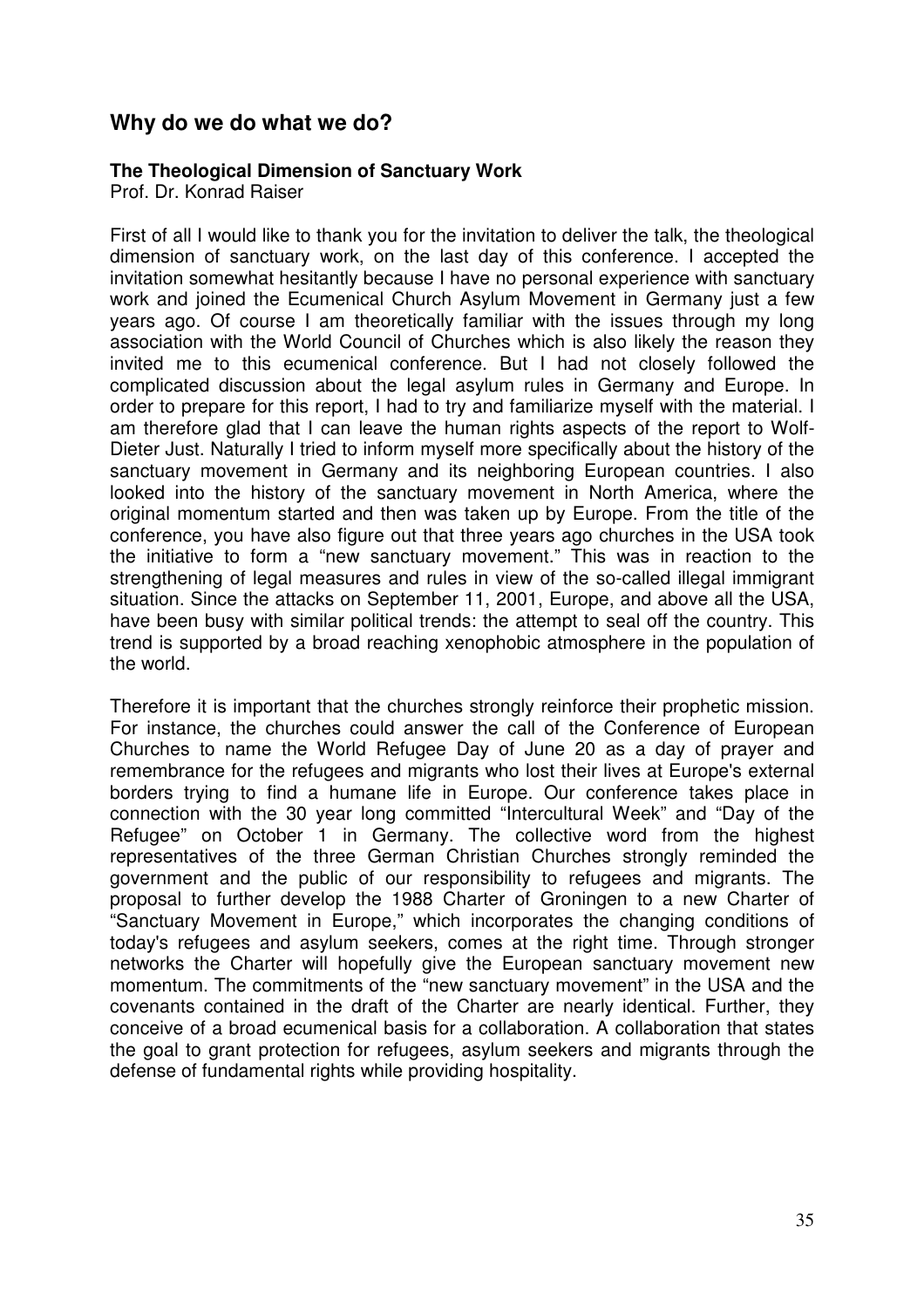# **Why do we do what we do?**

#### **The Theological Dimension of Sanctuary Work**

Prof. Dr. Konrad Raiser

First of all I would like to thank you for the invitation to deliver the talk, the theological dimension of sanctuary work, on the last day of this conference. I accepted the invitation somewhat hesitantly because I have no personal experience with sanctuary work and joined the Ecumenical Church Asylum Movement in Germany just a few years ago. Of course I am theoretically familiar with the issues through my long association with the World Council of Churches which is also likely the reason they invited me to this ecumenical conference. But I had not closely followed the complicated discussion about the legal asylum rules in Germany and Europe. In order to prepare for this report, I had to try and familiarize myself with the material. I am therefore glad that I can leave the human rights aspects of the report to Wolf-Dieter Just. Naturally I tried to inform myself more specifically about the history of the sanctuary movement in Germany and its neighboring European countries. I also looked into the history of the sanctuary movement in North America, where the original momentum started and then was taken up by Europe. From the title of the conference, you have also figure out that three years ago churches in the USA took the initiative to form a "new sanctuary movement." This was in reaction to the strengthening of legal measures and rules in view of the so-called illegal immigrant situation. Since the attacks on September 11, 2001, Europe, and above all the USA, have been busy with similar political trends: the attempt to seal off the country. This trend is supported by a broad reaching xenophobic atmosphere in the population of the world.

Therefore it is important that the churches strongly reinforce their prophetic mission. For instance, the churches could answer the call of the Conference of European Churches to name the World Refugee Day of June 20 as a day of prayer and remembrance for the refugees and migrants who lost their lives at Europe's external borders trying to find a humane life in Europe. Our conference takes place in connection with the 30 year long committed "Intercultural Week" and "Day of the Refugee" on October 1 in Germany. The collective word from the highest representatives of the three German Christian Churches strongly reminded the government and the public of our responsibility to refugees and migrants. The proposal to further develop the 1988 Charter of Groningen to a new Charter of "Sanctuary Movement in Europe," which incorporates the changing conditions of today's refugees and asylum seekers, comes at the right time. Through stronger networks the Charter will hopefully give the European sanctuary movement new momentum. The commitments of the "new sanctuary movement" in the USA and the covenants contained in the draft of the Charter are nearly identical. Further, they conceive of a broad ecumenical basis for a collaboration. A collaboration that states the goal to grant protection for refugees, asylum seekers and migrants through the defense of fundamental rights while providing hospitality.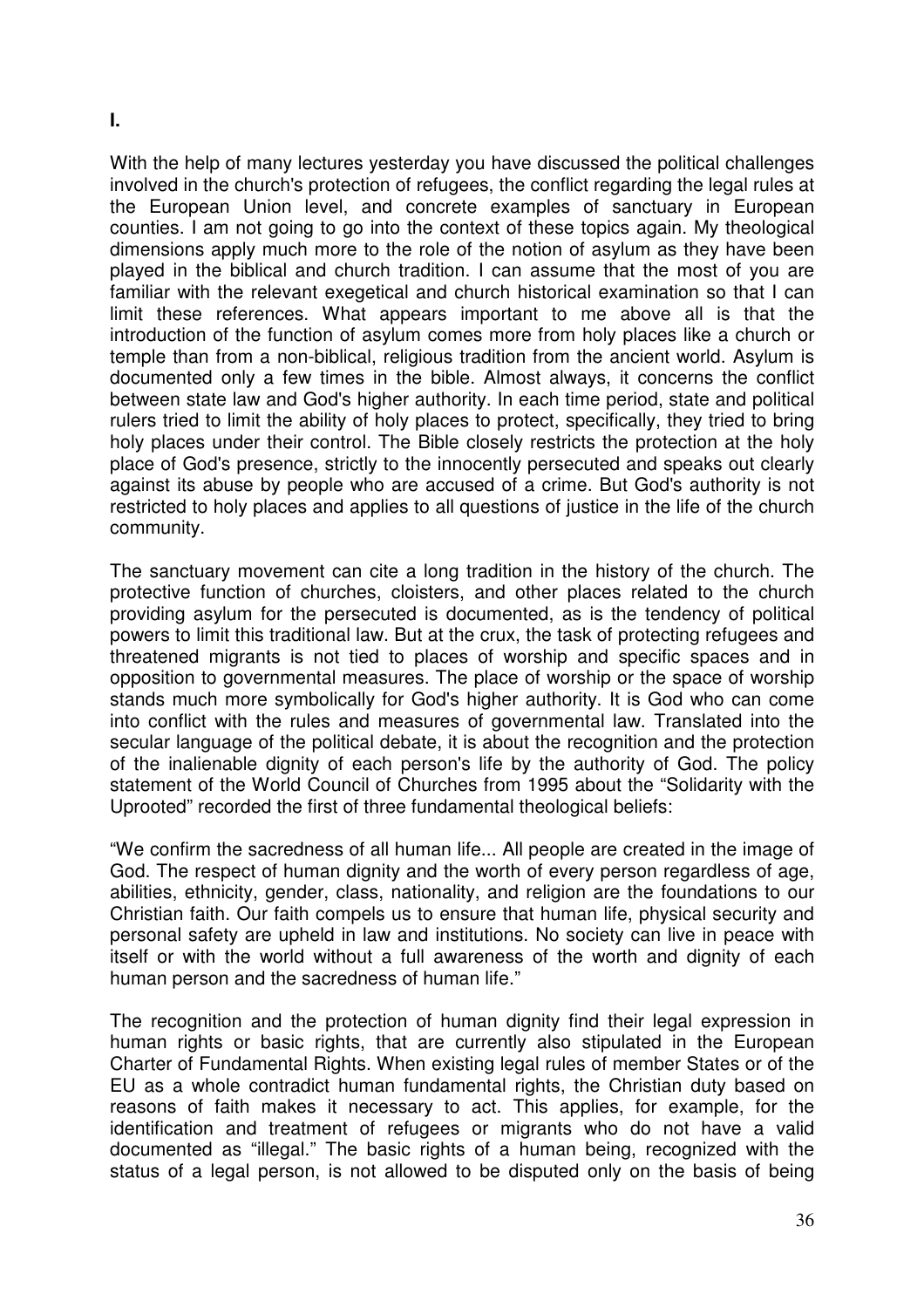With the help of many lectures yesterday you have discussed the political challenges involved in the church's protection of refugees, the conflict regarding the legal rules at the European Union level, and concrete examples of sanctuary in European counties. I am not going to go into the context of these topics again. My theological dimensions apply much more to the role of the notion of asylum as they have been played in the biblical and church tradition. I can assume that the most of you are familiar with the relevant exegetical and church historical examination so that I can limit these references. What appears important to me above all is that the introduction of the function of asylum comes more from holy places like a church or temple than from a non-biblical, religious tradition from the ancient world. Asylum is documented only a few times in the bible. Almost always, it concerns the conflict between state law and God's higher authority. In each time period, state and political rulers tried to limit the ability of holy places to protect, specifically, they tried to bring holy places under their control. The Bible closely restricts the protection at the holy place of God's presence, strictly to the innocently persecuted and speaks out clearly against its abuse by people who are accused of a crime. But God's authority is not restricted to holy places and applies to all questions of justice in the life of the church community.

The sanctuary movement can cite a long tradition in the history of the church. The protective function of churches, cloisters, and other places related to the church providing asylum for the persecuted is documented, as is the tendency of political powers to limit this traditional law. But at the crux, the task of protecting refugees and threatened migrants is not tied to places of worship and specific spaces and in opposition to governmental measures. The place of worship or the space of worship stands much more symbolically for God's higher authority. It is God who can come into conflict with the rules and measures of governmental law. Translated into the secular language of the political debate, it is about the recognition and the protection of the inalienable dignity of each person's life by the authority of God. The policy statement of the World Council of Churches from 1995 about the "Solidarity with the Uprooted" recorded the first of three fundamental theological beliefs:

"We confirm the sacredness of all human life... All people are created in the image of God. The respect of human dignity and the worth of every person regardless of age, abilities, ethnicity, gender, class, nationality, and religion are the foundations to our Christian faith. Our faith compels us to ensure that human life, physical security and personal safety are upheld in law and institutions. No society can live in peace with itself or with the world without a full awareness of the worth and dignity of each human person and the sacredness of human life."

The recognition and the protection of human dignity find their legal expression in human rights or basic rights, that are currently also stipulated in the European Charter of Fundamental Rights. When existing legal rules of member States or of the EU as a whole contradict human fundamental rights, the Christian duty based on reasons of faith makes it necessary to act. This applies, for example, for the identification and treatment of refugees or migrants who do not have a valid documented as "illegal." The basic rights of a human being, recognized with the status of a legal person, is not allowed to be disputed only on the basis of being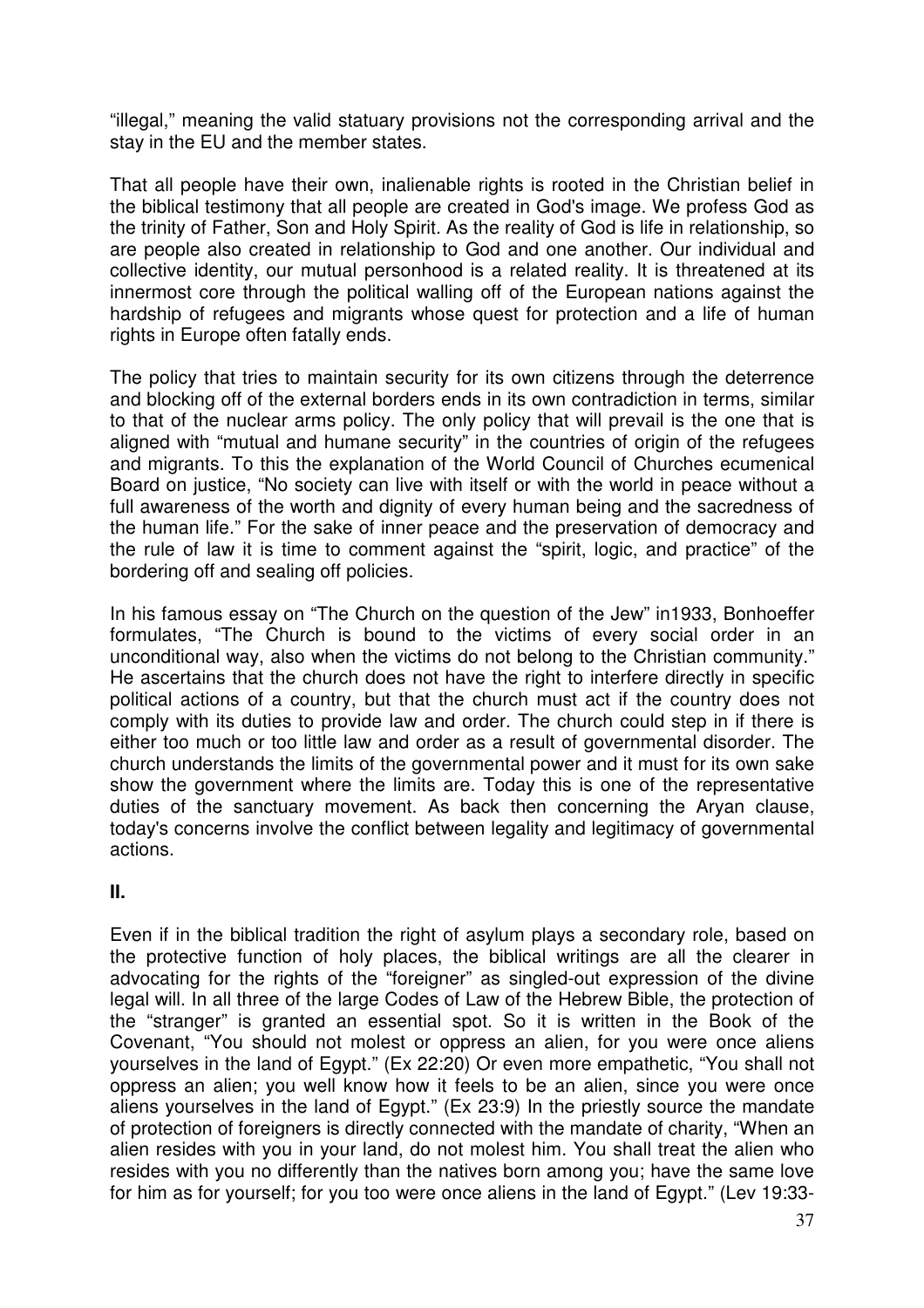"illegal," meaning the valid statuary provisions not the corresponding arrival and the stay in the EU and the member states.

That all people have their own, inalienable rights is rooted in the Christian belief in the biblical testimony that all people are created in God's image. We profess God as the trinity of Father, Son and Holy Spirit. As the reality of God is life in relationship, so are people also created in relationship to God and one another. Our individual and collective identity, our mutual personhood is a related reality. It is threatened at its innermost core through the political walling off of the European nations against the hardship of refugees and migrants whose quest for protection and a life of human rights in Europe often fatally ends.

The policy that tries to maintain security for its own citizens through the deterrence and blocking off of the external borders ends in its own contradiction in terms, similar to that of the nuclear arms policy. The only policy that will prevail is the one that is aligned with "mutual and humane security" in the countries of origin of the refugees and migrants. To this the explanation of the World Council of Churches ecumenical Board on justice, "No society can live with itself or with the world in peace without a full awareness of the worth and dignity of every human being and the sacredness of the human life." For the sake of inner peace and the preservation of democracy and the rule of law it is time to comment against the "spirit, logic, and practice" of the bordering off and sealing off policies.

In his famous essay on "The Church on the question of the Jew" in1933, Bonhoeffer formulates, "The Church is bound to the victims of every social order in an unconditional way, also when the victims do not belong to the Christian community." He ascertains that the church does not have the right to interfere directly in specific political actions of a country, but that the church must act if the country does not comply with its duties to provide law and order. The church could step in if there is either too much or too little law and order as a result of governmental disorder. The church understands the limits of the governmental power and it must for its own sake show the government where the limits are. Today this is one of the representative duties of the sanctuary movement. As back then concerning the Aryan clause, today's concerns involve the conflict between legality and legitimacy of governmental actions.

**II.** 

Even if in the biblical tradition the right of asylum plays a secondary role, based on the protective function of holy places, the biblical writings are all the clearer in advocating for the rights of the "foreigner" as singled-out expression of the divine legal will. In all three of the large Codes of Law of the Hebrew Bible, the protection of the "stranger" is granted an essential spot. So it is written in the Book of the Covenant, "You should not molest or oppress an alien, for you were once aliens yourselves in the land of Egypt." (Ex 22:20) Or even more empathetic, "You shall not oppress an alien; you well know how it feels to be an alien, since you were once aliens yourselves in the land of Egypt." (Ex 23:9) In the priestly source the mandate of protection of foreigners is directly connected with the mandate of charity, "When an alien resides with you in your land, do not molest him. You shall treat the alien who resides with you no differently than the natives born among you; have the same love for him as for yourself; for you too were once aliens in the land of Egypt." (Lev 19:33-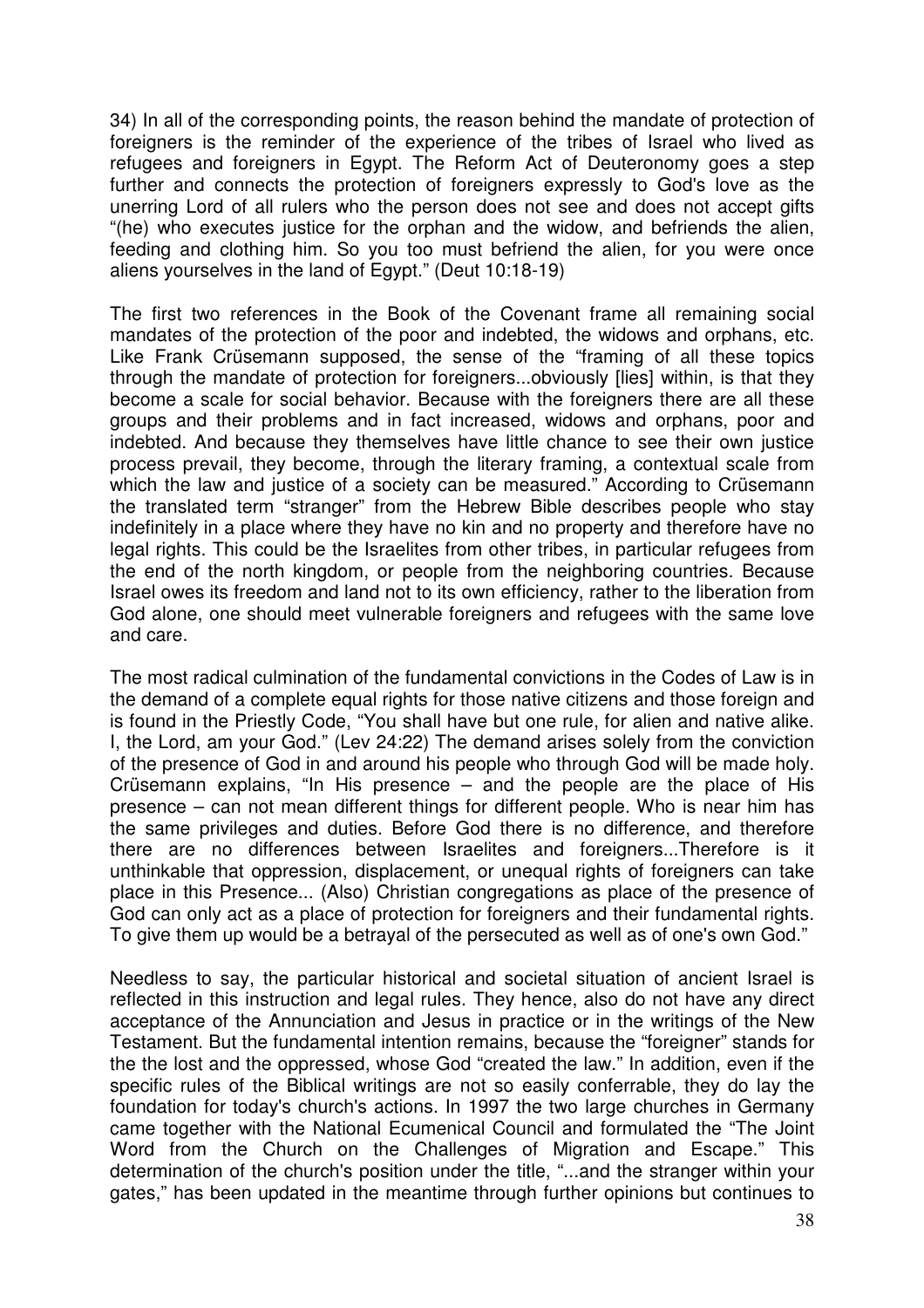34) In all of the corresponding points, the reason behind the mandate of protection of foreigners is the reminder of the experience of the tribes of Israel who lived as refugees and foreigners in Egypt. The Reform Act of Deuteronomy goes a step further and connects the protection of foreigners expressly to God's love as the unerring Lord of all rulers who the person does not see and does not accept gifts "(he) who executes justice for the orphan and the widow, and befriends the alien, feeding and clothing him. So you too must befriend the alien, for you were once aliens yourselves in the land of Egypt." (Deut 10:18-19)

The first two references in the Book of the Covenant frame all remaining social mandates of the protection of the poor and indebted, the widows and orphans, etc. Like Frank Crüsemann supposed, the sense of the "framing of all these topics through the mandate of protection for foreigners...obviously [lies] within, is that they become a scale for social behavior. Because with the foreigners there are all these groups and their problems and in fact increased, widows and orphans, poor and indebted. And because they themselves have little chance to see their own justice process prevail, they become, through the literary framing, a contextual scale from which the law and justice of a society can be measured." According to Crüsemann the translated term "stranger" from the Hebrew Bible describes people who stay indefinitely in a place where they have no kin and no property and therefore have no legal rights. This could be the Israelites from other tribes, in particular refugees from the end of the north kingdom, or people from the neighboring countries. Because Israel owes its freedom and land not to its own efficiency, rather to the liberation from God alone, one should meet vulnerable foreigners and refugees with the same love and care.

The most radical culmination of the fundamental convictions in the Codes of Law is in the demand of a complete equal rights for those native citizens and those foreign and is found in the Priestly Code, "You shall have but one rule, for alien and native alike. I, the Lord, am your God." (Lev 24:22) The demand arises solely from the conviction of the presence of God in and around his people who through God will be made holy. Crüsemann explains, "In His presence – and the people are the place of His presence – can not mean different things for different people. Who is near him has the same privileges and duties. Before God there is no difference, and therefore there are no differences between Israelites and foreigners...Therefore is it unthinkable that oppression, displacement, or unequal rights of foreigners can take place in this Presence... (Also) Christian congregations as place of the presence of God can only act as a place of protection for foreigners and their fundamental rights. To give them up would be a betrayal of the persecuted as well as of one's own God."

Needless to say, the particular historical and societal situation of ancient Israel is reflected in this instruction and legal rules. They hence, also do not have any direct acceptance of the Annunciation and Jesus in practice or in the writings of the New Testament. But the fundamental intention remains, because the "foreigner" stands for the the lost and the oppressed, whose God "created the law." In addition, even if the specific rules of the Biblical writings are not so easily conferrable, they do lay the foundation for today's church's actions. In 1997 the two large churches in Germany came together with the National Ecumenical Council and formulated the "The Joint Word from the Church on the Challenges of Migration and Escape." This determination of the church's position under the title, "...and the stranger within your gates," has been updated in the meantime through further opinions but continues to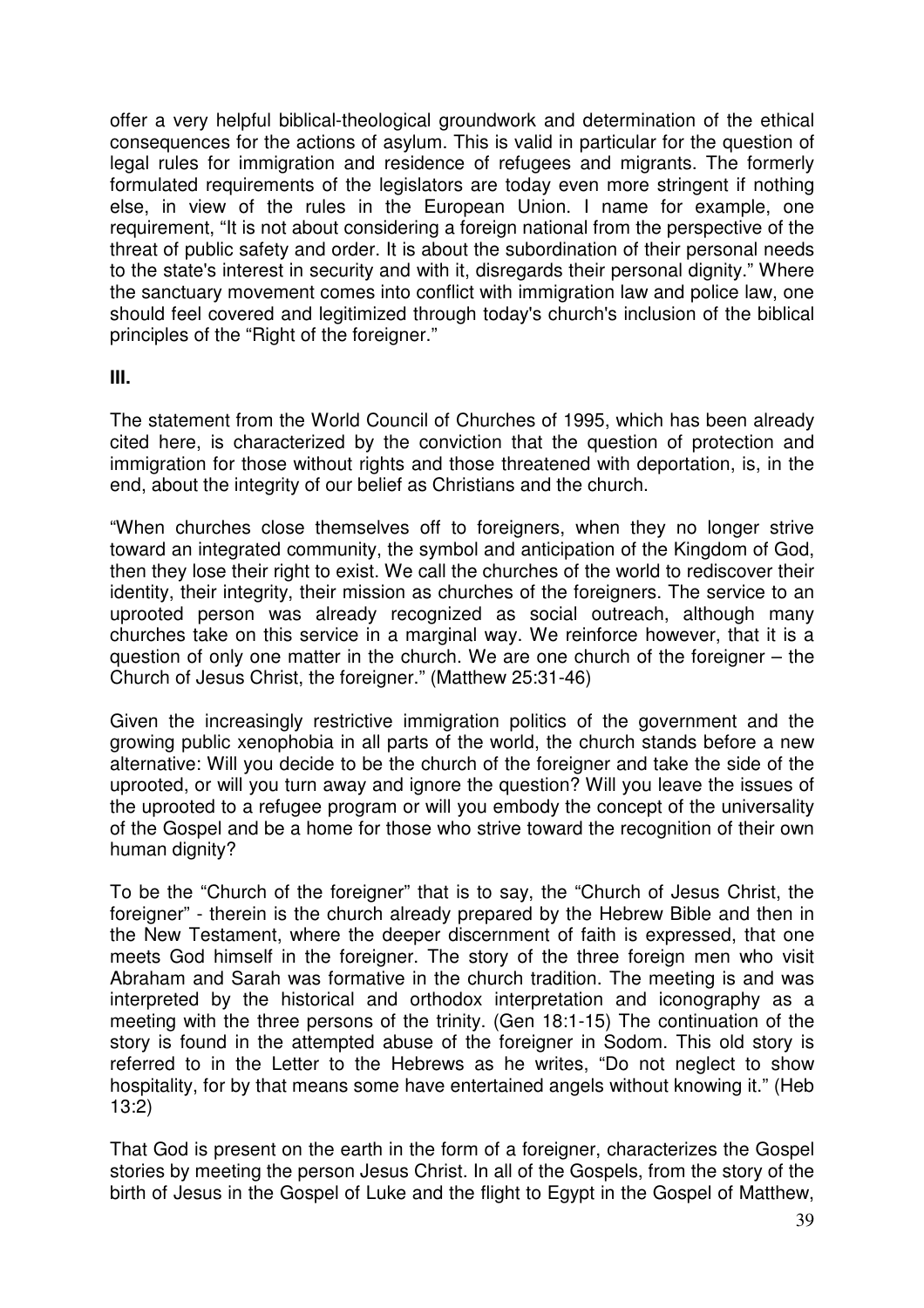offer a very helpful biblical-theological groundwork and determination of the ethical consequences for the actions of asylum. This is valid in particular for the question of legal rules for immigration and residence of refugees and migrants. The formerly formulated requirements of the legislators are today even more stringent if nothing else, in view of the rules in the European Union. I name for example, one requirement, "It is not about considering a foreign national from the perspective of the threat of public safety and order. It is about the subordination of their personal needs to the state's interest in security and with it, disregards their personal dignity." Where the sanctuary movement comes into conflict with immigration law and police law, one should feel covered and legitimized through today's church's inclusion of the biblical principles of the "Right of the foreigner."

#### **III.**

The statement from the World Council of Churches of 1995, which has been already cited here, is characterized by the conviction that the question of protection and immigration for those without rights and those threatened with deportation, is, in the end, about the integrity of our belief as Christians and the church.

"When churches close themselves off to foreigners, when they no longer strive toward an integrated community, the symbol and anticipation of the Kingdom of God, then they lose their right to exist. We call the churches of the world to rediscover their identity, their integrity, their mission as churches of the foreigners. The service to an uprooted person was already recognized as social outreach, although many churches take on this service in a marginal way. We reinforce however, that it is a question of only one matter in the church. We are one church of the foreigner – the Church of Jesus Christ, the foreigner." (Matthew 25:31-46)

Given the increasingly restrictive immigration politics of the government and the growing public xenophobia in all parts of the world, the church stands before a new alternative: Will you decide to be the church of the foreigner and take the side of the uprooted, or will you turn away and ignore the question? Will you leave the issues of the uprooted to a refugee program or will you embody the concept of the universality of the Gospel and be a home for those who strive toward the recognition of their own human dignity?

To be the "Church of the foreigner" that is to say, the "Church of Jesus Christ, the foreigner" - therein is the church already prepared by the Hebrew Bible and then in the New Testament, where the deeper discernment of faith is expressed, that one meets God himself in the foreigner. The story of the three foreign men who visit Abraham and Sarah was formative in the church tradition. The meeting is and was interpreted by the historical and orthodox interpretation and iconography as a meeting with the three persons of the trinity. (Gen 18:1-15) The continuation of the story is found in the attempted abuse of the foreigner in Sodom. This old story is referred to in the Letter to the Hebrews as he writes, "Do not neglect to show hospitality, for by that means some have entertained angels without knowing it." (Heb 13:2)

That God is present on the earth in the form of a foreigner, characterizes the Gospel stories by meeting the person Jesus Christ. In all of the Gospels, from the story of the birth of Jesus in the Gospel of Luke and the flight to Egypt in the Gospel of Matthew,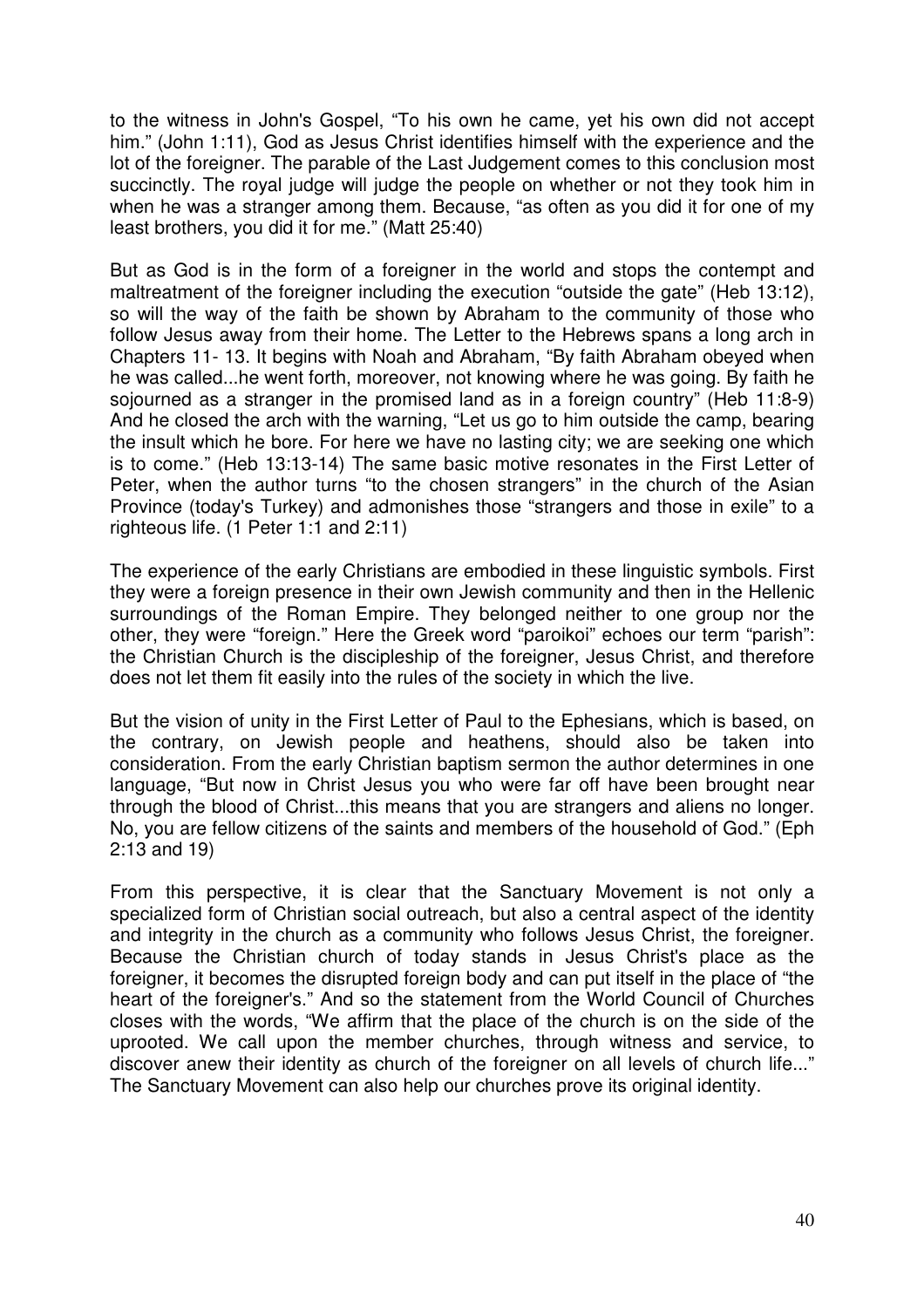to the witness in John's Gospel, "To his own he came, yet his own did not accept him." (John 1:11), God as Jesus Christ identifies himself with the experience and the lot of the foreigner. The parable of the Last Judgement comes to this conclusion most succinctly. The royal judge will judge the people on whether or not they took him in when he was a stranger among them. Because, "as often as you did it for one of my least brothers, you did it for me." (Matt 25:40)

But as God is in the form of a foreigner in the world and stops the contempt and maltreatment of the foreigner including the execution "outside the gate" (Heb 13:12), so will the way of the faith be shown by Abraham to the community of those who follow Jesus away from their home. The Letter to the Hebrews spans a long arch in Chapters 11- 13. It begins with Noah and Abraham, "By faith Abraham obeyed when he was called...he went forth, moreover, not knowing where he was going. By faith he sojourned as a stranger in the promised land as in a foreign country" (Heb 11:8-9) And he closed the arch with the warning, "Let us go to him outside the camp, bearing the insult which he bore. For here we have no lasting city; we are seeking one which is to come." (Heb 13:13-14) The same basic motive resonates in the First Letter of Peter, when the author turns "to the chosen strangers" in the church of the Asian Province (today's Turkey) and admonishes those "strangers and those in exile" to a righteous life. (1 Peter 1:1 and 2:11)

The experience of the early Christians are embodied in these linguistic symbols. First they were a foreign presence in their own Jewish community and then in the Hellenic surroundings of the Roman Empire. They belonged neither to one group nor the other, they were "foreign." Here the Greek word "paroikoi" echoes our term "parish": the Christian Church is the discipleship of the foreigner, Jesus Christ, and therefore does not let them fit easily into the rules of the society in which the live.

But the vision of unity in the First Letter of Paul to the Ephesians, which is based, on the contrary, on Jewish people and heathens, should also be taken into consideration. From the early Christian baptism sermon the author determines in one language, "But now in Christ Jesus you who were far off have been brought near through the blood of Christ...this means that you are strangers and aliens no longer. No, you are fellow citizens of the saints and members of the household of God." (Eph 2:13 and 19)

From this perspective, it is clear that the Sanctuary Movement is not only a specialized form of Christian social outreach, but also a central aspect of the identity and integrity in the church as a community who follows Jesus Christ, the foreigner. Because the Christian church of today stands in Jesus Christ's place as the foreigner, it becomes the disrupted foreign body and can put itself in the place of "the heart of the foreigner's." And so the statement from the World Council of Churches closes with the words, "We affirm that the place of the church is on the side of the uprooted. We call upon the member churches, through witness and service, to discover anew their identity as church of the foreigner on all levels of church life..." The Sanctuary Movement can also help our churches prove its original identity.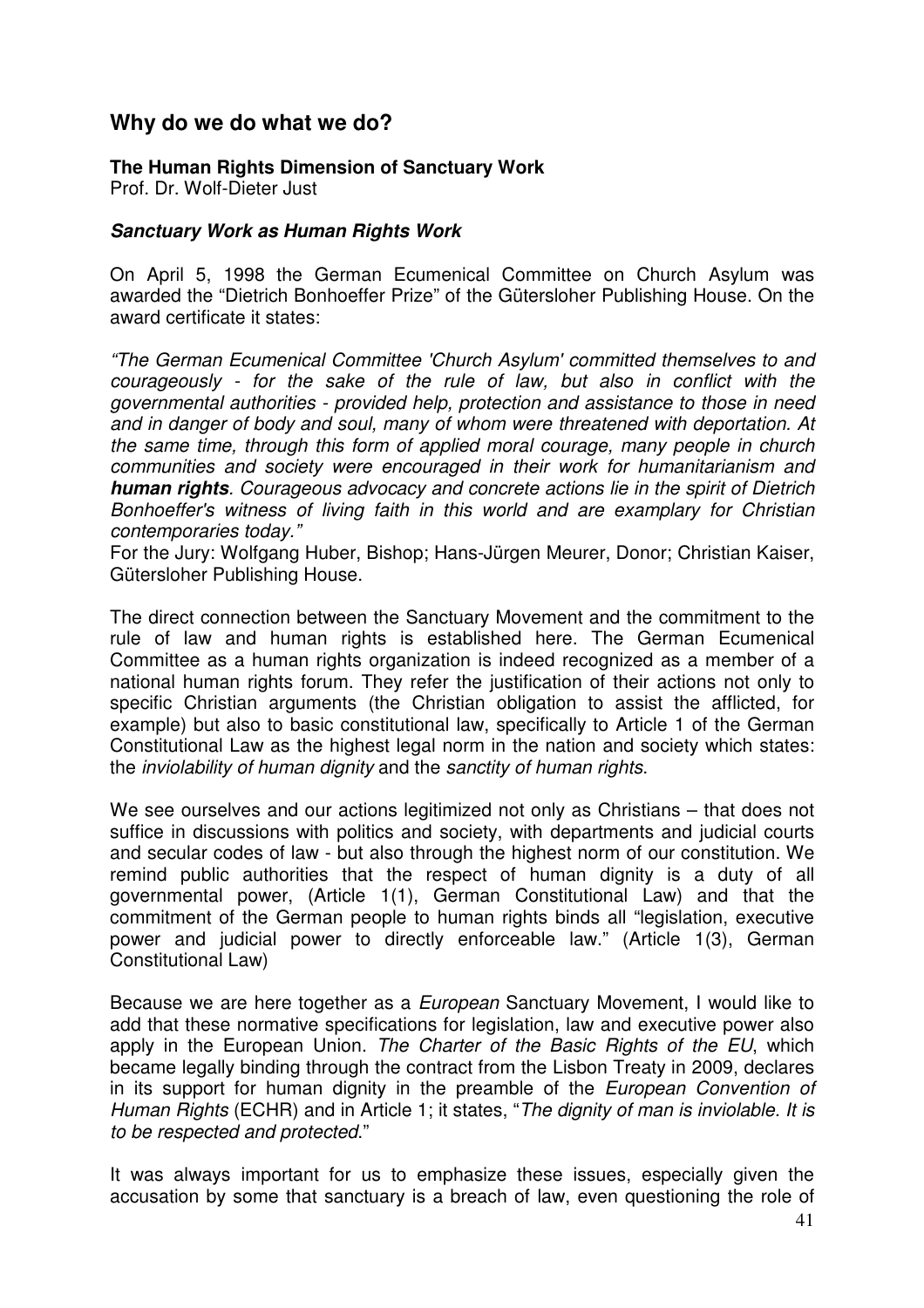# **Why do we do what we do?**

#### **The Human Rights Dimension of Sanctuary Work**

Prof. Dr. Wolf-Dieter Just

#### **Sanctuary Work as Human Rights Work**

On April 5, 1998 the German Ecumenical Committee on Church Asylum was awarded the "Dietrich Bonhoeffer Prize" of the Gütersloher Publishing House. On the award certificate it states:

"The German Ecumenical Committee 'Church Asylum' committed themselves to and courageously - for the sake of the rule of law, but also in conflict with the governmental authorities - provided help, protection and assistance to those in need and in danger of body and soul, many of whom were threatened with deportation. At the same time, through this form of applied moral courage, many people in church communities and society were encouraged in their work for humanitarianism and **human rights**. Courageous advocacy and concrete actions lie in the spirit of Dietrich Bonhoeffer's witness of living faith in this world and are examplary for Christian contemporaries today."

For the Jury: Wolfgang Huber, Bishop; Hans-Jürgen Meurer, Donor; Christian Kaiser, Gütersloher Publishing House.

The direct connection between the Sanctuary Movement and the commitment to the rule of law and human rights is established here. The German Ecumenical Committee as a human rights organization is indeed recognized as a member of a national human rights forum. They refer the justification of their actions not only to specific Christian arguments (the Christian obligation to assist the afflicted, for example) but also to basic constitutional law, specifically to Article 1 of the German Constitutional Law as the highest legal norm in the nation and society which states: the inviolability of human dignity and the sanctity of human rights.

We see ourselves and our actions legitimized not only as Christians – that does not suffice in discussions with politics and society, with departments and judicial courts and secular codes of law - but also through the highest norm of our constitution. We remind public authorities that the respect of human dignity is a duty of all governmental power, (Article 1(1), German Constitutional Law) and that the commitment of the German people to human rights binds all "legislation, executive power and judicial power to directly enforceable law." (Article 1(3), German Constitutional Law)

Because we are here together as a European Sanctuary Movement, I would like to add that these normative specifications for legislation, law and executive power also apply in the European Union. The Charter of the Basic Rights of the EU, which became legally binding through the contract from the Lisbon Treaty in 2009, declares in its support for human dignity in the preamble of the European Convention of Human Rights (ECHR) and in Article 1; it states, "The dignity of man is inviolable. It is to be respected and protected."

It was always important for us to emphasize these issues, especially given the accusation by some that sanctuary is a breach of law, even questioning the role of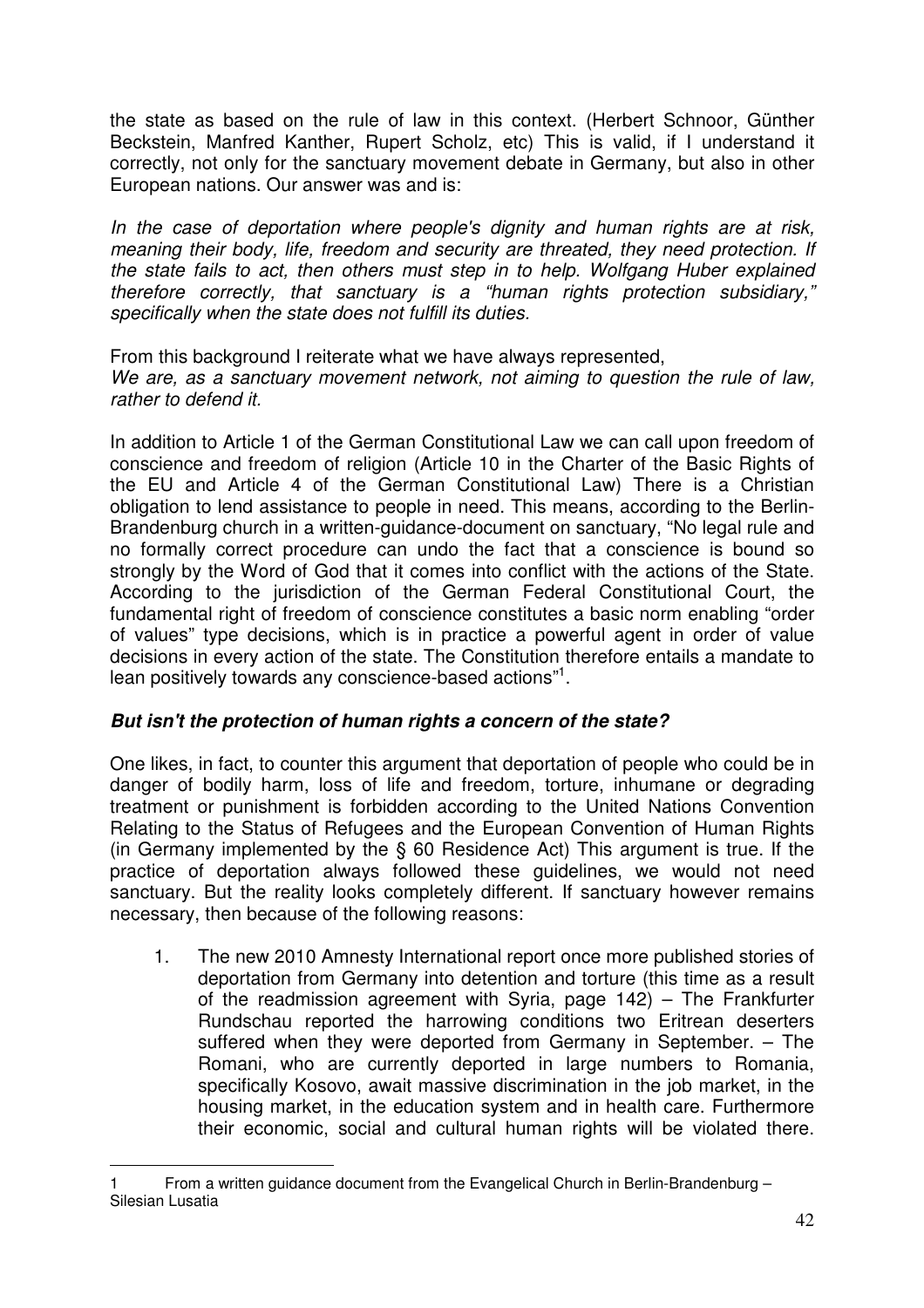the state as based on the rule of law in this context. (Herbert Schnoor, Günther Beckstein, Manfred Kanther, Rupert Scholz, etc) This is valid, if I understand it correctly, not only for the sanctuary movement debate in Germany, but also in other European nations. Our answer was and is:

In the case of deportation where people's dignity and human rights are at risk, meaning their body, life, freedom and security are threated, they need protection. If the state fails to act, then others must step in to help. Wolfgang Huber explained therefore correctly, that sanctuary is a "human rights protection subsidiary," specifically when the state does not fulfill its duties.

From this background I reiterate what we have always represented, We are, as a sanctuary movement network, not aiming to question the rule of law, rather to defend it.

In addition to Article 1 of the German Constitutional Law we can call upon freedom of conscience and freedom of religion (Article 10 in the Charter of the Basic Rights of the EU and Article 4 of the German Constitutional Law) There is a Christian obligation to lend assistance to people in need. This means, according to the Berlin-Brandenburg church in a written-guidance-document on sanctuary, "No legal rule and no formally correct procedure can undo the fact that a conscience is bound so strongly by the Word of God that it comes into conflict with the actions of the State. According to the jurisdiction of the German Federal Constitutional Court, the fundamental right of freedom of conscience constitutes a basic norm enabling "order of values" type decisions, which is in practice a powerful agent in order of value decisions in every action of the state. The Constitution therefore entails a mandate to lean positively towards any conscience-based actions"<sup>1</sup>.

#### **But isn't the protection of human rights a concern of the state?**

One likes, in fact, to counter this argument that deportation of people who could be in danger of bodily harm, loss of life and freedom, torture, inhumane or degrading treatment or punishment is forbidden according to the United Nations Convention Relating to the Status of Refugees and the European Convention of Human Rights (in Germany implemented by the § 60 Residence Act) This argument is true. If the practice of deportation always followed these guidelines, we would not need sanctuary. But the reality looks completely different. If sanctuary however remains necessary, then because of the following reasons:

1. The new 2010 Amnesty International report once more published stories of deportation from Germany into detention and torture (this time as a result of the readmission agreement with Syria, page 142) – The Frankfurter Rundschau reported the harrowing conditions two Eritrean deserters suffered when they were deported from Germany in September. – The Romani, who are currently deported in large numbers to Romania, specifically Kosovo, await massive discrimination in the job market, in the housing market, in the education system and in health care. Furthermore their economic, social and cultural human rights will be violated there.

 $\overline{a}$ 1 From a written guidance document from the Evangelical Church in Berlin-Brandenburg – Silesian Lusatia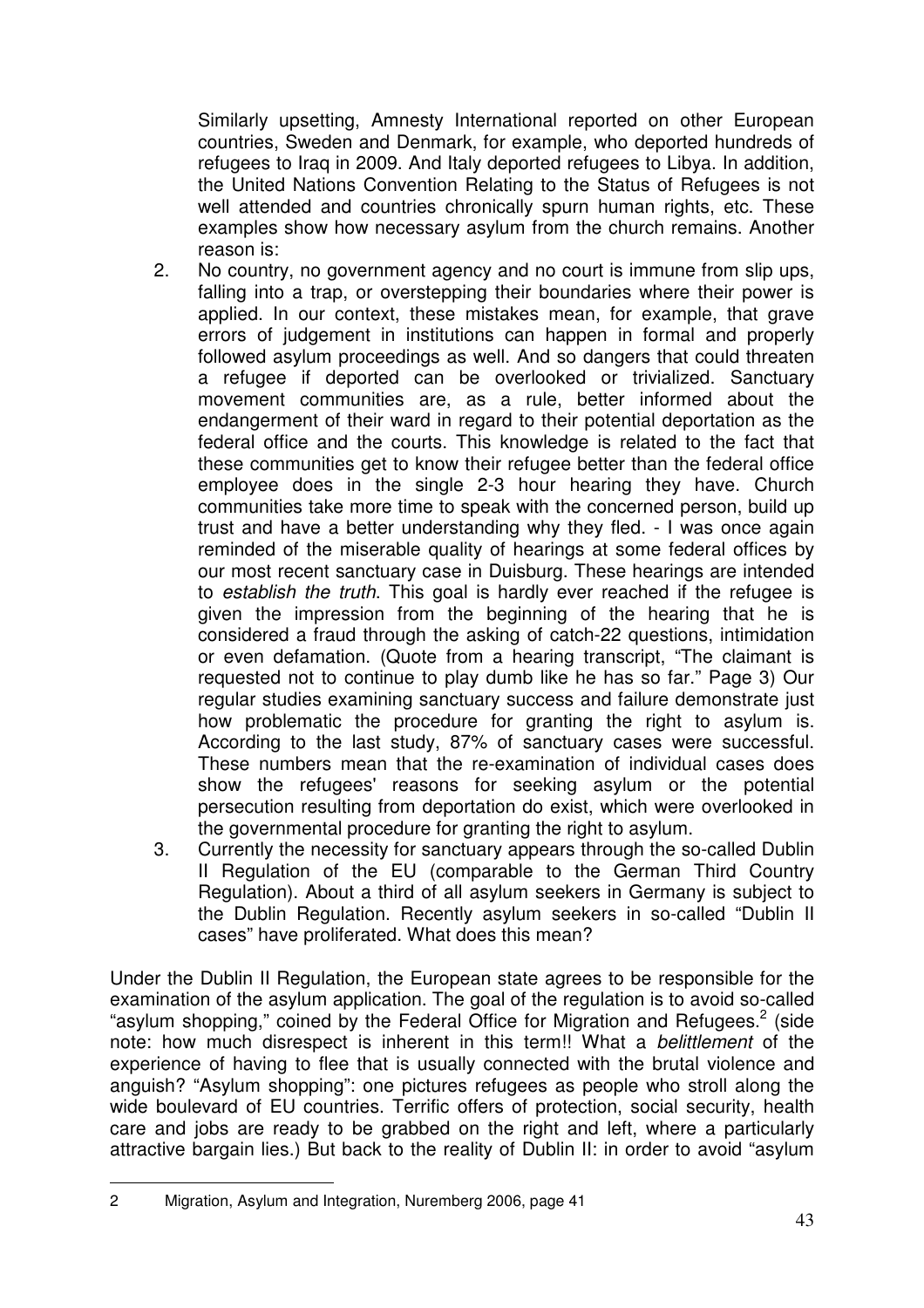Similarly upsetting, Amnesty International reported on other European countries, Sweden and Denmark, for example, who deported hundreds of refugees to Iraq in 2009. And Italy deported refugees to Libya. In addition, the United Nations Convention Relating to the Status of Refugees is not well attended and countries chronically spurn human rights, etc. These examples show how necessary asylum from the church remains. Another reason is:

- 2. No country, no government agency and no court is immune from slip ups, falling into a trap, or overstepping their boundaries where their power is applied. In our context, these mistakes mean, for example, that grave errors of judgement in institutions can happen in formal and properly followed asylum proceedings as well. And so dangers that could threaten a refugee if deported can be overlooked or trivialized. Sanctuary movement communities are, as a rule, better informed about the endangerment of their ward in regard to their potential deportation as the federal office and the courts. This knowledge is related to the fact that these communities get to know their refugee better than the federal office employee does in the single 2-3 hour hearing they have. Church communities take more time to speak with the concerned person, build up trust and have a better understanding why they fled. - I was once again reminded of the miserable quality of hearings at some federal offices by our most recent sanctuary case in Duisburg. These hearings are intended to establish the truth. This goal is hardly ever reached if the refugee is given the impression from the beginning of the hearing that he is considered a fraud through the asking of catch-22 questions, intimidation or even defamation. (Quote from a hearing transcript, "The claimant is requested not to continue to play dumb like he has so far." Page 3) Our regular studies examining sanctuary success and failure demonstrate just how problematic the procedure for granting the right to asylum is. According to the last study, 87% of sanctuary cases were successful. These numbers mean that the re-examination of individual cases does show the refugees' reasons for seeking asylum or the potential persecution resulting from deportation do exist, which were overlooked in the governmental procedure for granting the right to asylum.
- 3. Currently the necessity for sanctuary appears through the so-called Dublin II Regulation of the EU (comparable to the German Third Country Regulation). About a third of all asylum seekers in Germany is subject to the Dublin Regulation. Recently asylum seekers in so-called "Dublin II cases" have proliferated. What does this mean?

Under the Dublin II Regulation, the European state agrees to be responsible for the examination of the asylum application. The goal of the regulation is to avoid so-called "asylum shopping," coined by the Federal Office for Migration and Refugees.<sup>2</sup> (side note: how much disrespect is inherent in this term!! What a belittlement of the experience of having to flee that is usually connected with the brutal violence and anguish? "Asylum shopping": one pictures refugees as people who stroll along the wide boulevard of EU countries. Terrific offers of protection, social security, health care and jobs are ready to be grabbed on the right and left, where a particularly attractive bargain lies.) But back to the reality of Dublin II: in order to avoid "asylum

 $\overline{a}$ 2 Migration, Asylum and Integration, Nuremberg 2006, page 41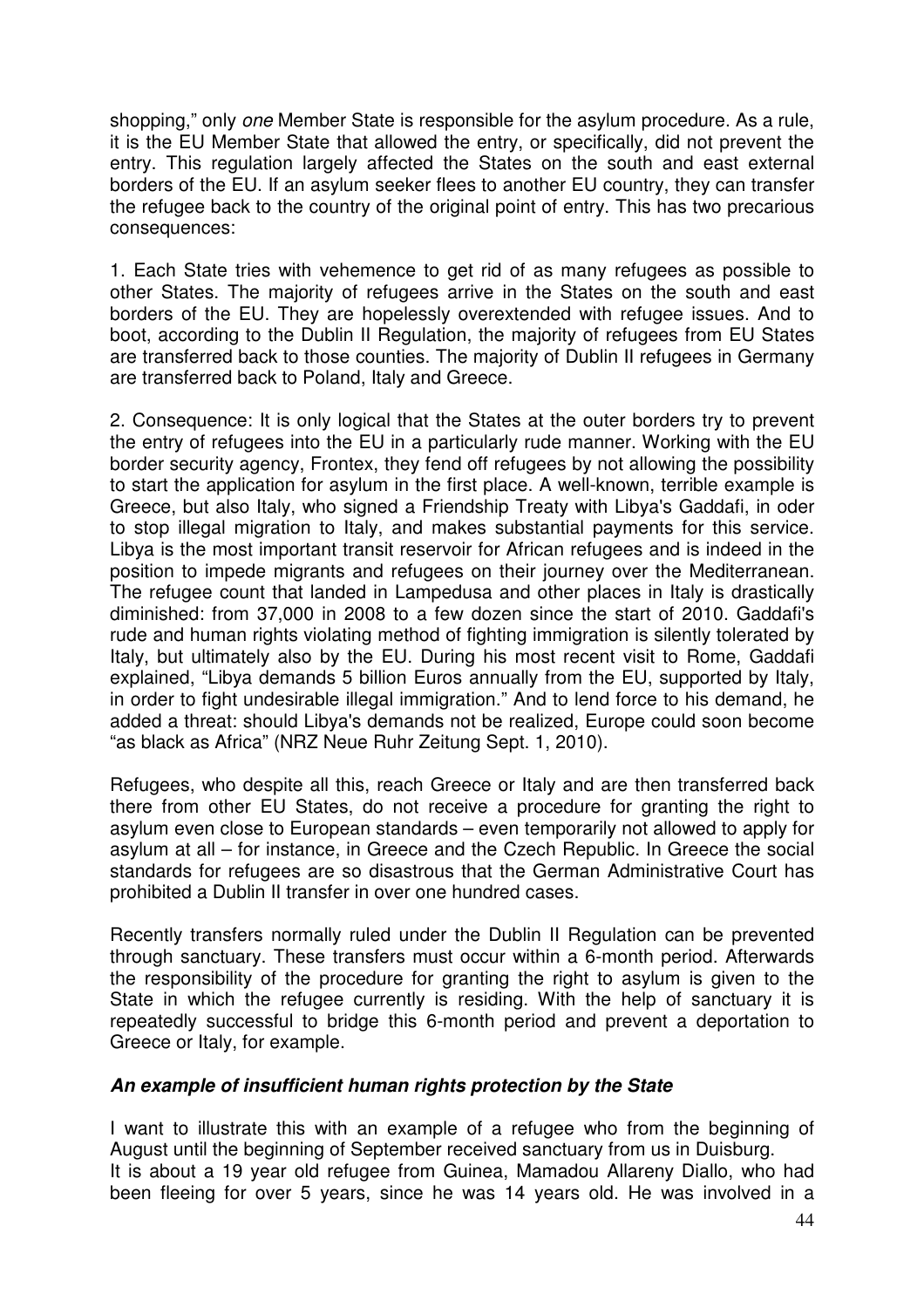shopping," only one Member State is responsible for the asylum procedure. As a rule, it is the EU Member State that allowed the entry, or specifically, did not prevent the entry. This regulation largely affected the States on the south and east external borders of the EU. If an asylum seeker flees to another EU country, they can transfer the refugee back to the country of the original point of entry. This has two precarious consequences:

1. Each State tries with vehemence to get rid of as many refugees as possible to other States. The majority of refugees arrive in the States on the south and east borders of the EU. They are hopelessly overextended with refugee issues. And to boot, according to the Dublin II Regulation, the majority of refugees from EU States are transferred back to those counties. The majority of Dublin II refugees in Germany are transferred back to Poland, Italy and Greece.

2. Consequence: It is only logical that the States at the outer borders try to prevent the entry of refugees into the EU in a particularly rude manner. Working with the EU border security agency, Frontex, they fend off refugees by not allowing the possibility to start the application for asylum in the first place. A well-known, terrible example is Greece, but also Italy, who signed a Friendship Treaty with Libya's Gaddafi, in oder to stop illegal migration to Italy, and makes substantial payments for this service. Libya is the most important transit reservoir for African refugees and is indeed in the position to impede migrants and refugees on their journey over the Mediterranean. The refugee count that landed in Lampedusa and other places in Italy is drastically diminished: from 37,000 in 2008 to a few dozen since the start of 2010. Gaddafi's rude and human rights violating method of fighting immigration is silently tolerated by Italy, but ultimately also by the EU. During his most recent visit to Rome, Gaddafi explained, "Libya demands 5 billion Euros annually from the EU, supported by Italy, in order to fight undesirable illegal immigration." And to lend force to his demand, he added a threat: should Libya's demands not be realized, Europe could soon become "as black as Africa" (NRZ Neue Ruhr Zeitung Sept. 1, 2010).

Refugees, who despite all this, reach Greece or Italy and are then transferred back there from other EU States, do not receive a procedure for granting the right to asylum even close to European standards – even temporarily not allowed to apply for asylum at all – for instance, in Greece and the Czech Republic. In Greece the social standards for refugees are so disastrous that the German Administrative Court has prohibited a Dublin II transfer in over one hundred cases.

Recently transfers normally ruled under the Dublin II Regulation can be prevented through sanctuary. These transfers must occur within a 6-month period. Afterwards the responsibility of the procedure for granting the right to asylum is given to the State in which the refugee currently is residing. With the help of sanctuary it is repeatedly successful to bridge this 6-month period and prevent a deportation to Greece or Italy, for example.

#### **An example of insufficient human rights protection by the State**

I want to illustrate this with an example of a refugee who from the beginning of August until the beginning of September received sanctuary from us in Duisburg. It is about a 19 year old refugee from Guinea, Mamadou Allareny Diallo, who had been fleeing for over 5 years, since he was 14 years old. He was involved in a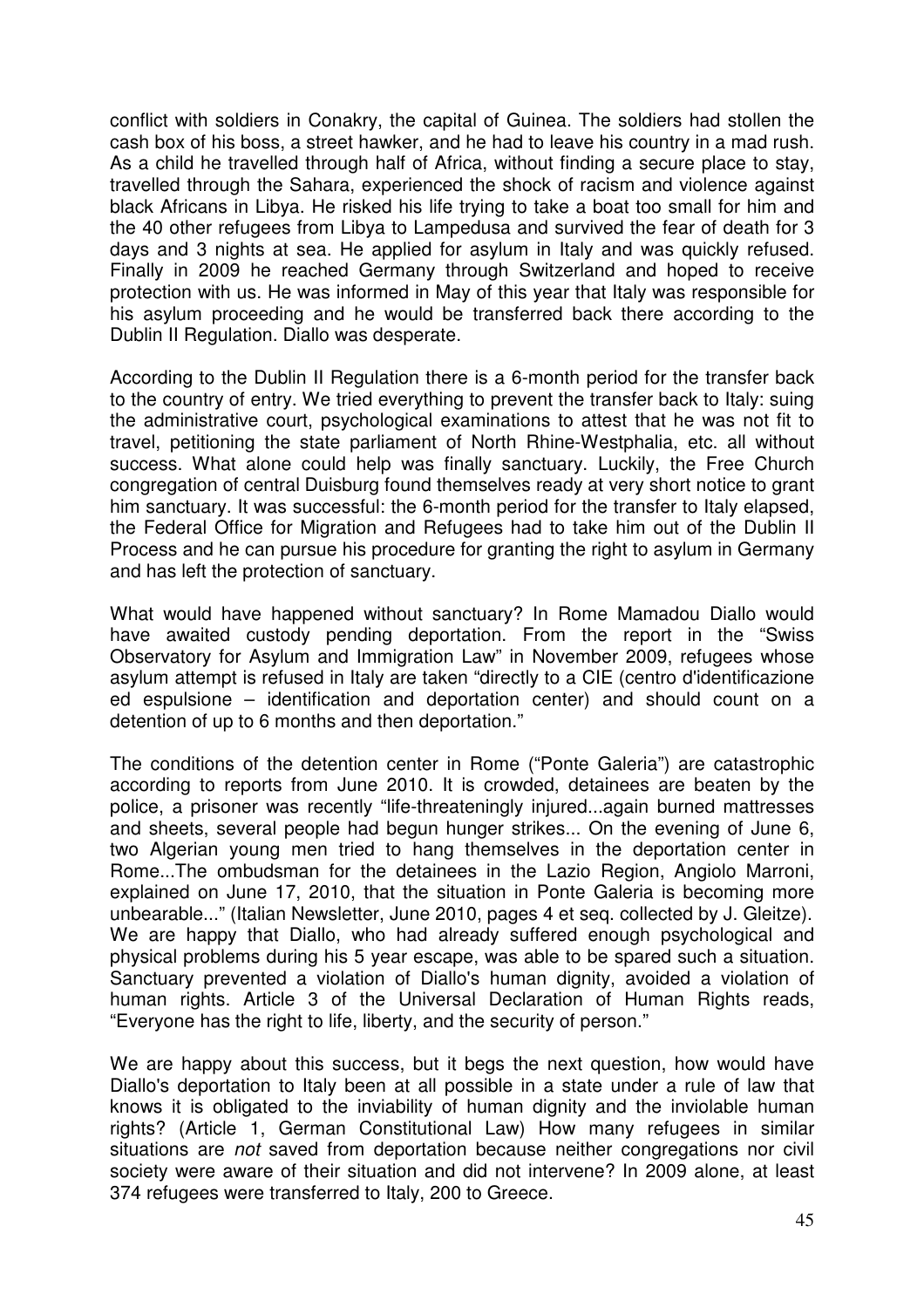conflict with soldiers in Conakry, the capital of Guinea. The soldiers had stollen the cash box of his boss, a street hawker, and he had to leave his country in a mad rush. As a child he travelled through half of Africa, without finding a secure place to stay, travelled through the Sahara, experienced the shock of racism and violence against black Africans in Libya. He risked his life trying to take a boat too small for him and the 40 other refugees from Libya to Lampedusa and survived the fear of death for 3 days and 3 nights at sea. He applied for asylum in Italy and was quickly refused. Finally in 2009 he reached Germany through Switzerland and hoped to receive protection with us. He was informed in May of this year that Italy was responsible for his asylum proceeding and he would be transferred back there according to the Dublin II Regulation. Diallo was desperate.

According to the Dublin II Regulation there is a 6-month period for the transfer back to the country of entry. We tried everything to prevent the transfer back to Italy: suing the administrative court, psychological examinations to attest that he was not fit to travel, petitioning the state parliament of North Rhine-Westphalia, etc. all without success. What alone could help was finally sanctuary. Luckily, the Free Church congregation of central Duisburg found themselves ready at very short notice to grant him sanctuary. It was successful: the 6-month period for the transfer to Italy elapsed, the Federal Office for Migration and Refugees had to take him out of the Dublin II Process and he can pursue his procedure for granting the right to asylum in Germany and has left the protection of sanctuary.

What would have happened without sanctuary? In Rome Mamadou Diallo would have awaited custody pending deportation. From the report in the "Swiss Observatory for Asylum and Immigration Law" in November 2009, refugees whose asylum attempt is refused in Italy are taken "directly to a CIE (centro d'identificazione ed espulsione – identification and deportation center) and should count on a detention of up to 6 months and then deportation."

The conditions of the detention center in Rome ("Ponte Galeria") are catastrophic according to reports from June 2010. It is crowded, detainees are beaten by the police, a prisoner was recently "life-threateningly injured...again burned mattresses and sheets, several people had begun hunger strikes... On the evening of June 6, two Algerian young men tried to hang themselves in the deportation center in Rome...The ombudsman for the detainees in the Lazio Region, Angiolo Marroni, explained on June 17, 2010, that the situation in Ponte Galeria is becoming more unbearable..." (Italian Newsletter, June 2010, pages 4 et seq. collected by J. Gleitze). We are happy that Diallo, who had already suffered enough psychological and physical problems during his 5 year escape, was able to be spared such a situation. Sanctuary prevented a violation of Diallo's human dignity, avoided a violation of human rights. Article 3 of the Universal Declaration of Human Rights reads, "Everyone has the right to life, liberty, and the security of person."

We are happy about this success, but it begs the next question, how would have Diallo's deportation to Italy been at all possible in a state under a rule of law that knows it is obligated to the inviability of human dignity and the inviolable human rights? (Article 1, German Constitutional Law) How many refugees in similar situations are *not* saved from deportation because neither congregations nor civil society were aware of their situation and did not intervene? In 2009 alone, at least 374 refugees were transferred to Italy, 200 to Greece.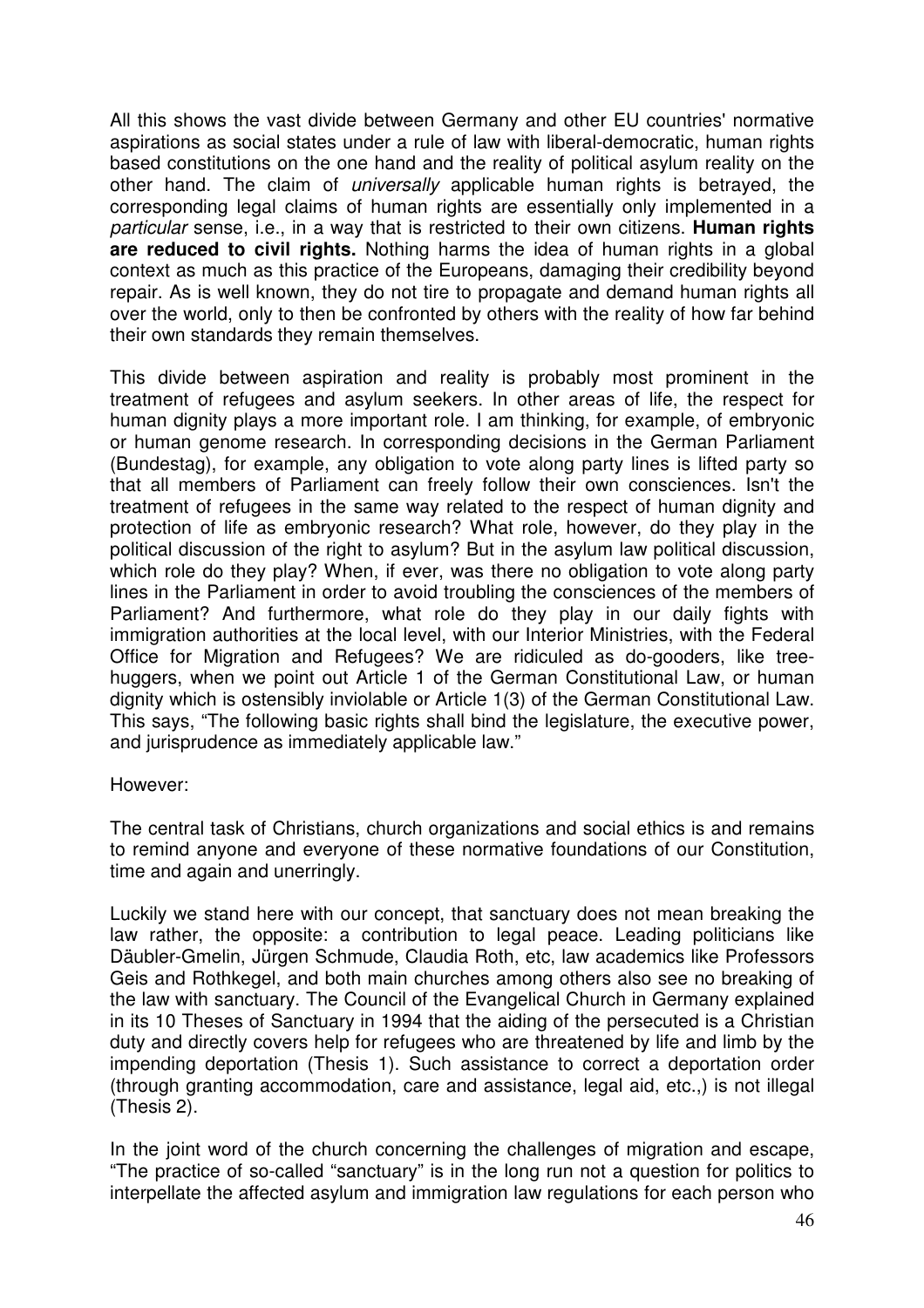All this shows the vast divide between Germany and other EU countries' normative aspirations as social states under a rule of law with liberal-democratic, human rights based constitutions on the one hand and the reality of political asylum reality on the other hand. The claim of universally applicable human rights is betrayed, the corresponding legal claims of human rights are essentially only implemented in a particular sense, i.e., in a way that is restricted to their own citizens. **Human rights are reduced to civil rights.** Nothing harms the idea of human rights in a global context as much as this practice of the Europeans, damaging their credibility beyond repair. As is well known, they do not tire to propagate and demand human rights all over the world, only to then be confronted by others with the reality of how far behind their own standards they remain themselves.

This divide between aspiration and reality is probably most prominent in the treatment of refugees and asylum seekers. In other areas of life, the respect for human dignity plays a more important role. I am thinking, for example, of embryonic or human genome research. In corresponding decisions in the German Parliament (Bundestag), for example, any obligation to vote along party lines is lifted party so that all members of Parliament can freely follow their own consciences. Isn't the treatment of refugees in the same way related to the respect of human dignity and protection of life as embryonic research? What role, however, do they play in the political discussion of the right to asylum? But in the asylum law political discussion, which role do they play? When, if ever, was there no obligation to vote along party lines in the Parliament in order to avoid troubling the consciences of the members of Parliament? And furthermore, what role do they play in our daily fights with immigration authorities at the local level, with our Interior Ministries, with the Federal Office for Migration and Refugees? We are ridiculed as do-gooders, like treehuggers, when we point out Article 1 of the German Constitutional Law, or human dignity which is ostensibly inviolable or Article 1(3) of the German Constitutional Law. This says, "The following basic rights shall bind the legislature, the executive power, and jurisprudence as immediately applicable law."

#### However:

The central task of Christians, church organizations and social ethics is and remains to remind anyone and everyone of these normative foundations of our Constitution, time and again and unerringly.

Luckily we stand here with our concept, that sanctuary does not mean breaking the law rather, the opposite: a contribution to legal peace. Leading politicians like Däubler-Gmelin, Jürgen Schmude, Claudia Roth, etc, law academics like Professors Geis and Rothkegel, and both main churches among others also see no breaking of the law with sanctuary. The Council of the Evangelical Church in Germany explained in its 10 Theses of Sanctuary in 1994 that the aiding of the persecuted is a Christian duty and directly covers help for refugees who are threatened by life and limb by the impending deportation (Thesis 1). Such assistance to correct a deportation order (through granting accommodation, care and assistance, legal aid, etc.,) is not illegal (Thesis 2).

In the joint word of the church concerning the challenges of migration and escape. "The practice of so-called "sanctuary" is in the long run not a question for politics to interpellate the affected asylum and immigration law regulations for each person who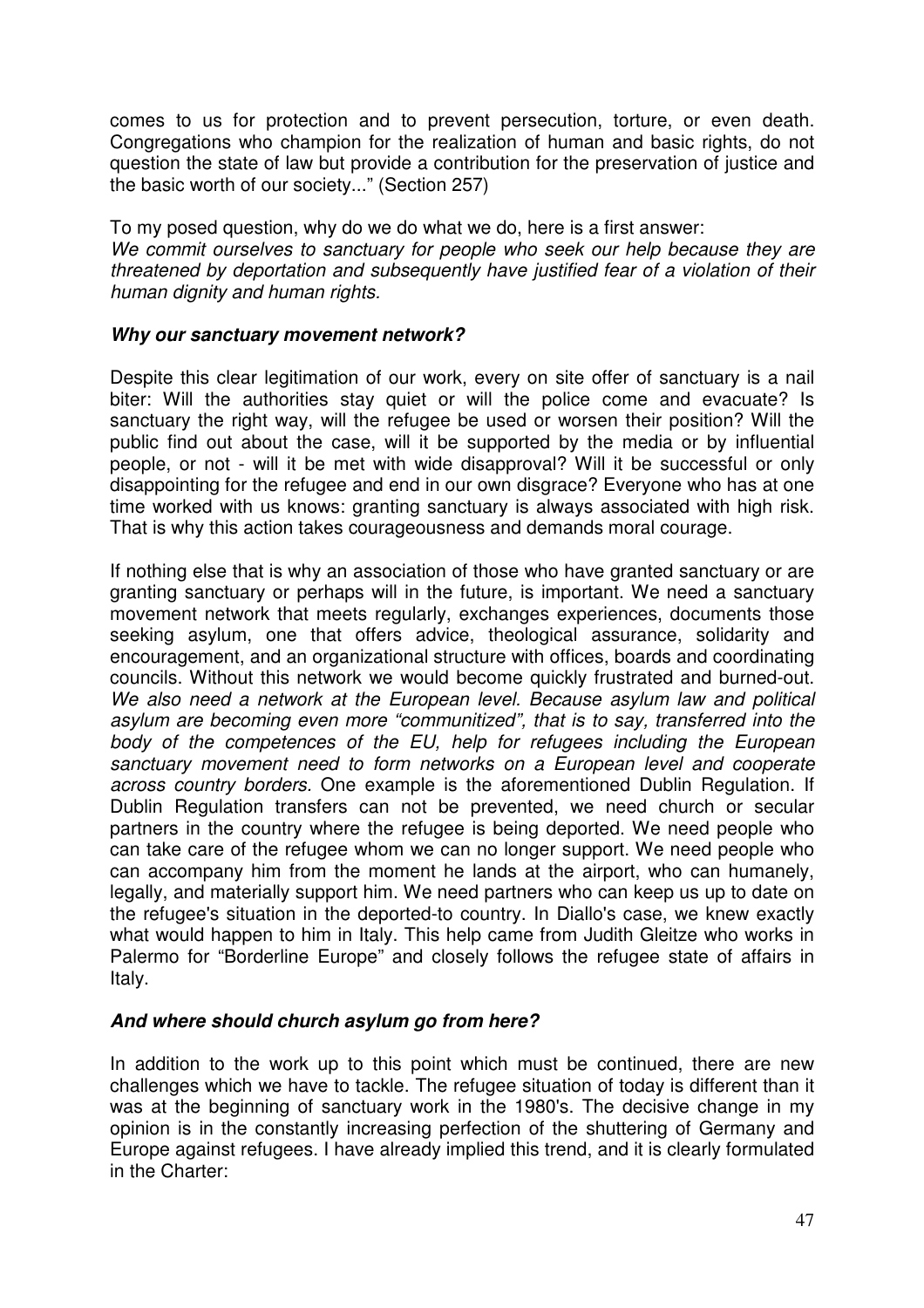comes to us for protection and to prevent persecution, torture, or even death. Congregations who champion for the realization of human and basic rights, do not question the state of law but provide a contribution for the preservation of justice and the basic worth of our society..." (Section 257)

To my posed question, why do we do what we do, here is a first answer: We commit ourselves to sanctuary for people who seek our help because they are threatened by deportation and subsequently have justified fear of a violation of their human dignity and human rights.

#### **Why our sanctuary movement network?**

Despite this clear legitimation of our work, every on site offer of sanctuary is a nail biter: Will the authorities stay quiet or will the police come and evacuate? Is sanctuary the right way, will the refugee be used or worsen their position? Will the public find out about the case, will it be supported by the media or by influential people, or not - will it be met with wide disapproval? Will it be successful or only disappointing for the refugee and end in our own disgrace? Everyone who has at one time worked with us knows: granting sanctuary is always associated with high risk. That is why this action takes courageousness and demands moral courage.

If nothing else that is why an association of those who have granted sanctuary or are granting sanctuary or perhaps will in the future, is important. We need a sanctuary movement network that meets regularly, exchanges experiences, documents those seeking asylum, one that offers advice, theological assurance, solidarity and encouragement, and an organizational structure with offices, boards and coordinating councils. Without this network we would become quickly frustrated and burned-out. We also need a network at the European level. Because asylum law and political asylum are becoming even more "communitized", that is to say, transferred into the body of the competences of the EU, help for refugees including the European sanctuary movement need to form networks on a European level and cooperate across country borders. One example is the aforementioned Dublin Regulation. If Dublin Regulation transfers can not be prevented, we need church or secular partners in the country where the refugee is being deported. We need people who can take care of the refugee whom we can no longer support. We need people who can accompany him from the moment he lands at the airport, who can humanely, legally, and materially support him. We need partners who can keep us up to date on the refugee's situation in the deported-to country. In Diallo's case, we knew exactly what would happen to him in Italy. This help came from Judith Gleitze who works in Palermo for "Borderline Europe" and closely follows the refugee state of affairs in Italy.

#### **And where should church asylum go from here?**

In addition to the work up to this point which must be continued, there are new challenges which we have to tackle. The refugee situation of today is different than it was at the beginning of sanctuary work in the 1980's. The decisive change in my opinion is in the constantly increasing perfection of the shuttering of Germany and Europe against refugees. I have already implied this trend, and it is clearly formulated in the Charter: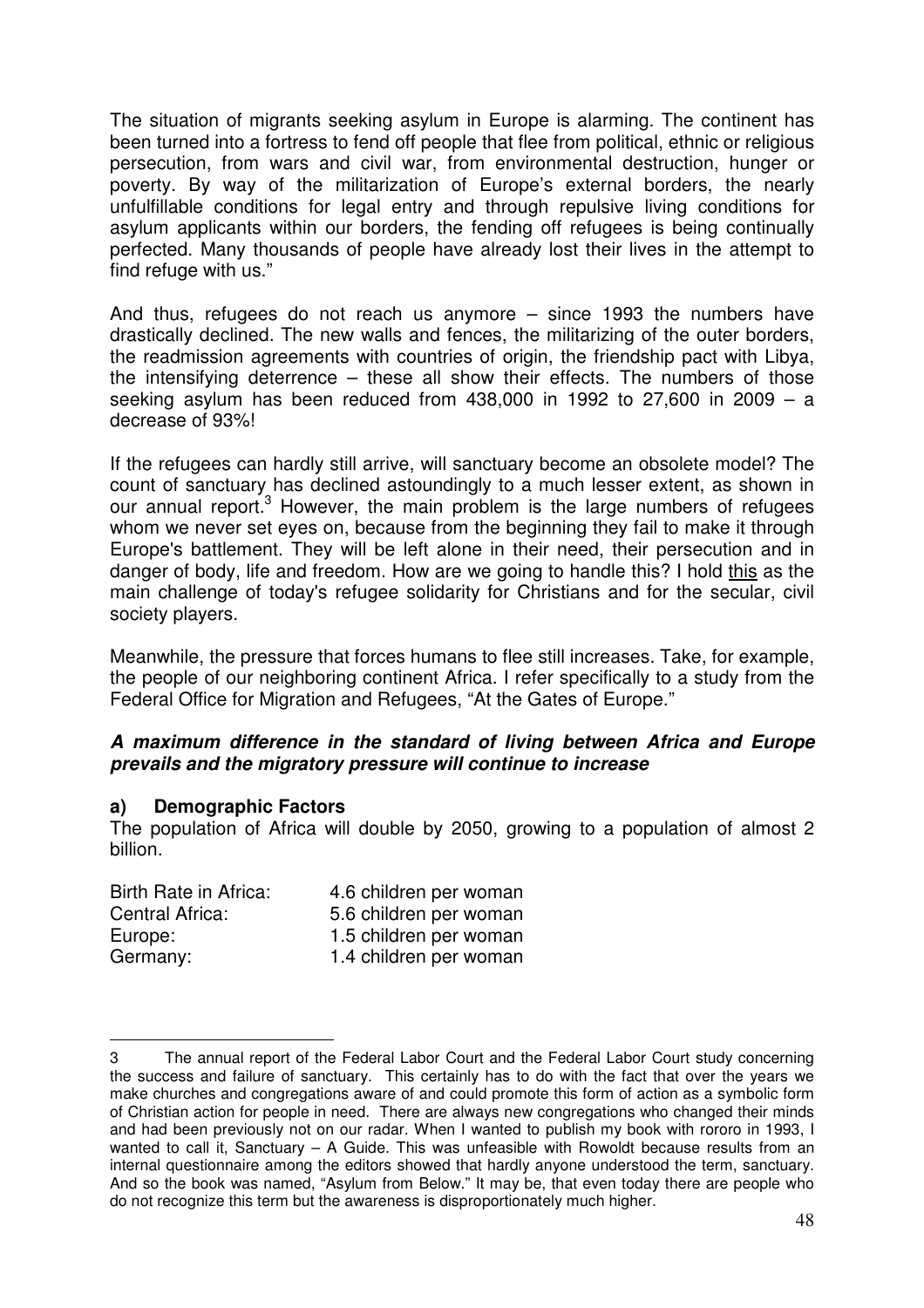The situation of migrants seeking asylum in Europe is alarming. The continent has been turned into a fortress to fend off people that flee from political, ethnic or religious persecution, from wars and civil war, from environmental destruction, hunger or poverty. By way of the militarization of Europe's external borders, the nearly unfulfillable conditions for legal entry and through repulsive living conditions for asylum applicants within our borders, the fending off refugees is being continually perfected. Many thousands of people have already lost their lives in the attempt to find refuge with us."

And thus, refugees do not reach us anymore – since 1993 the numbers have drastically declined. The new walls and fences, the militarizing of the outer borders, the readmission agreements with countries of origin, the friendship pact with Libya, the intensifying deterrence – these all show their effects. The numbers of those seeking asylum has been reduced from  $438,000$  in  $1992$  to  $27,600$  in  $2009 - a$ decrease of 93%!

If the refugees can hardly still arrive, will sanctuary become an obsolete model? The count of sanctuary has declined astoundingly to a much lesser extent, as shown in our annual report.<sup>3</sup> However, the main problem is the large numbers of refugees whom we never set eyes on, because from the beginning they fail to make it through Europe's battlement. They will be left alone in their need, their persecution and in danger of body, life and freedom. How are we going to handle this? I hold this as the main challenge of today's refugee solidarity for Christians and for the secular, civil society players.

Meanwhile, the pressure that forces humans to flee still increases. Take, for example, the people of our neighboring continent Africa. I refer specifically to a study from the Federal Office for Migration and Refugees, "At the Gates of Europe."

#### **A maximum difference in the standard of living between Africa and Europe prevails and the migratory pressure will continue to increase**

#### **a) Demographic Factors**

 $\overline{a}$ 

The population of Africa will double by 2050, growing to a population of almost 2 billion.

| Birth Rate in Africa: | 4.6 children per woman |
|-----------------------|------------------------|
| Central Africa:       | 5.6 children per woman |
| Europe:               | 1.5 children per woman |
| Germany:              | 1.4 children per woman |

<sup>3</sup> The annual report of the Federal Labor Court and the Federal Labor Court study concerning the success and failure of sanctuary. This certainly has to do with the fact that over the years we make churches and congregations aware of and could promote this form of action as a symbolic form of Christian action for people in need. There are always new congregations who changed their minds and had been previously not on our radar. When I wanted to publish my book with rororo in 1993, I wanted to call it, Sanctuary – A Guide. This was unfeasible with Rowoldt because results from an internal questionnaire among the editors showed that hardly anyone understood the term, sanctuary. And so the book was named, "Asylum from Below." It may be, that even today there are people who do not recognize this term but the awareness is disproportionately much higher.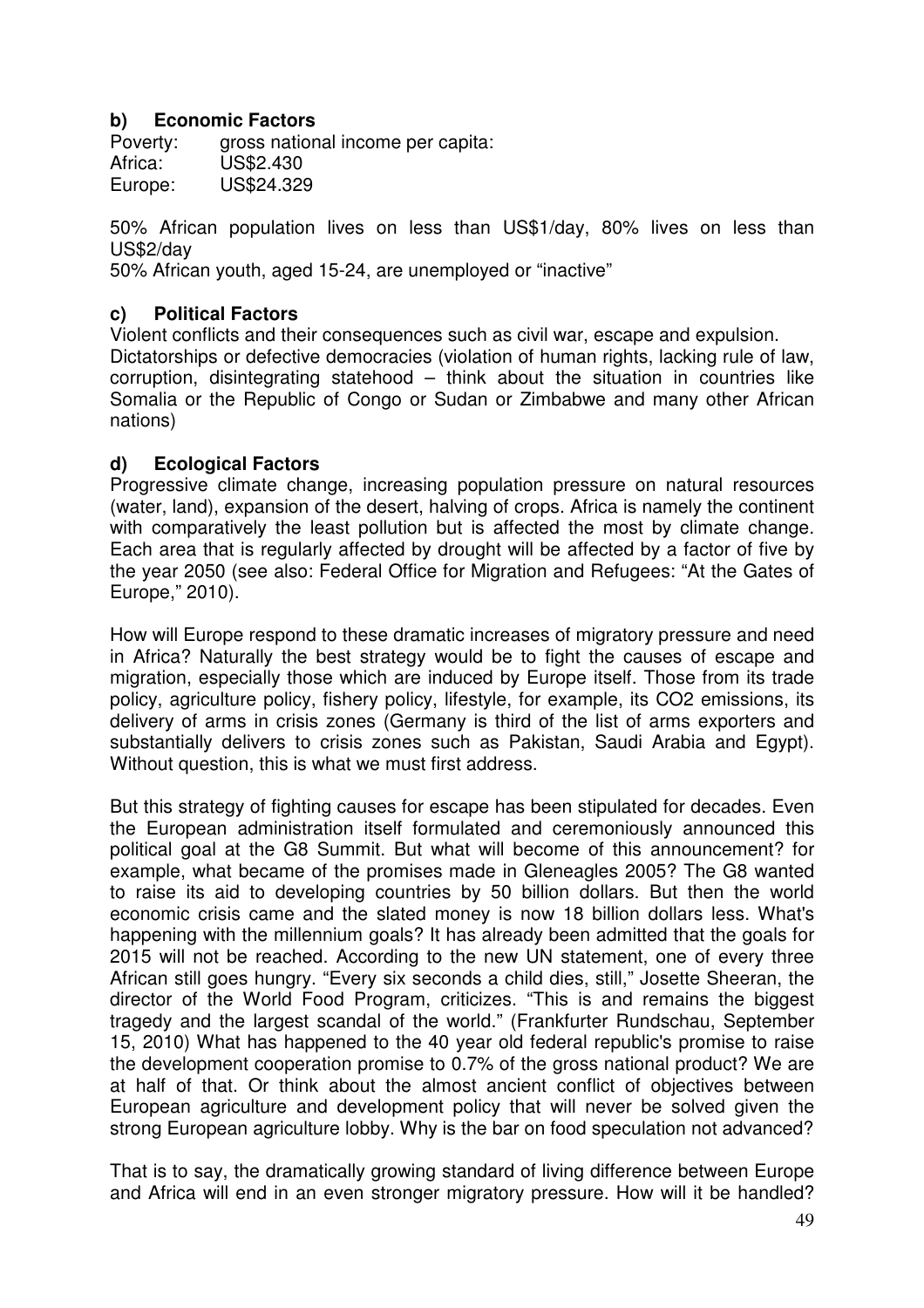#### **b) Economic Factors**

Poverty: gross national income per capita: Africa: US\$2.430 Europe: US\$24.329

50% African population lives on less than US\$1/day, 80% lives on less than US\$2/day

50% African youth, aged 15-24, are unemployed or "inactive"

#### **c) Political Factors**

Violent conflicts and their consequences such as civil war, escape and expulsion. Dictatorships or defective democracies (violation of human rights, lacking rule of law, corruption, disintegrating statehood – think about the situation in countries like Somalia or the Republic of Congo or Sudan or Zimbabwe and many other African nations)

#### **d) Ecological Factors**

Progressive climate change, increasing population pressure on natural resources (water, land), expansion of the desert, halving of crops. Africa is namely the continent with comparatively the least pollution but is affected the most by climate change. Each area that is regularly affected by drought will be affected by a factor of five by the year 2050 (see also: Federal Office for Migration and Refugees: "At the Gates of Europe," 2010).

How will Europe respond to these dramatic increases of migratory pressure and need in Africa? Naturally the best strategy would be to fight the causes of escape and migration, especially those which are induced by Europe itself. Those from its trade policy, agriculture policy, fishery policy, lifestyle, for example, its CO2 emissions, its delivery of arms in crisis zones (Germany is third of the list of arms exporters and substantially delivers to crisis zones such as Pakistan, Saudi Arabia and Egypt). Without question, this is what we must first address.

But this strategy of fighting causes for escape has been stipulated for decades. Even the European administration itself formulated and ceremoniously announced this political goal at the G8 Summit. But what will become of this announcement? for example, what became of the promises made in Gleneagles 2005? The G8 wanted to raise its aid to developing countries by 50 billion dollars. But then the world economic crisis came and the slated money is now 18 billion dollars less. What's happening with the millennium goals? It has already been admitted that the goals for 2015 will not be reached. According to the new UN statement, one of every three African still goes hungry. "Every six seconds a child dies, still," Josette Sheeran, the director of the World Food Program, criticizes. "This is and remains the biggest tragedy and the largest scandal of the world." (Frankfurter Rundschau, September 15, 2010) What has happened to the 40 year old federal republic's promise to raise the development cooperation promise to 0.7% of the gross national product? We are at half of that. Or think about the almost ancient conflict of objectives between European agriculture and development policy that will never be solved given the strong European agriculture lobby. Why is the bar on food speculation not advanced?

That is to say, the dramatically growing standard of living difference between Europe and Africa will end in an even stronger migratory pressure. How will it be handled?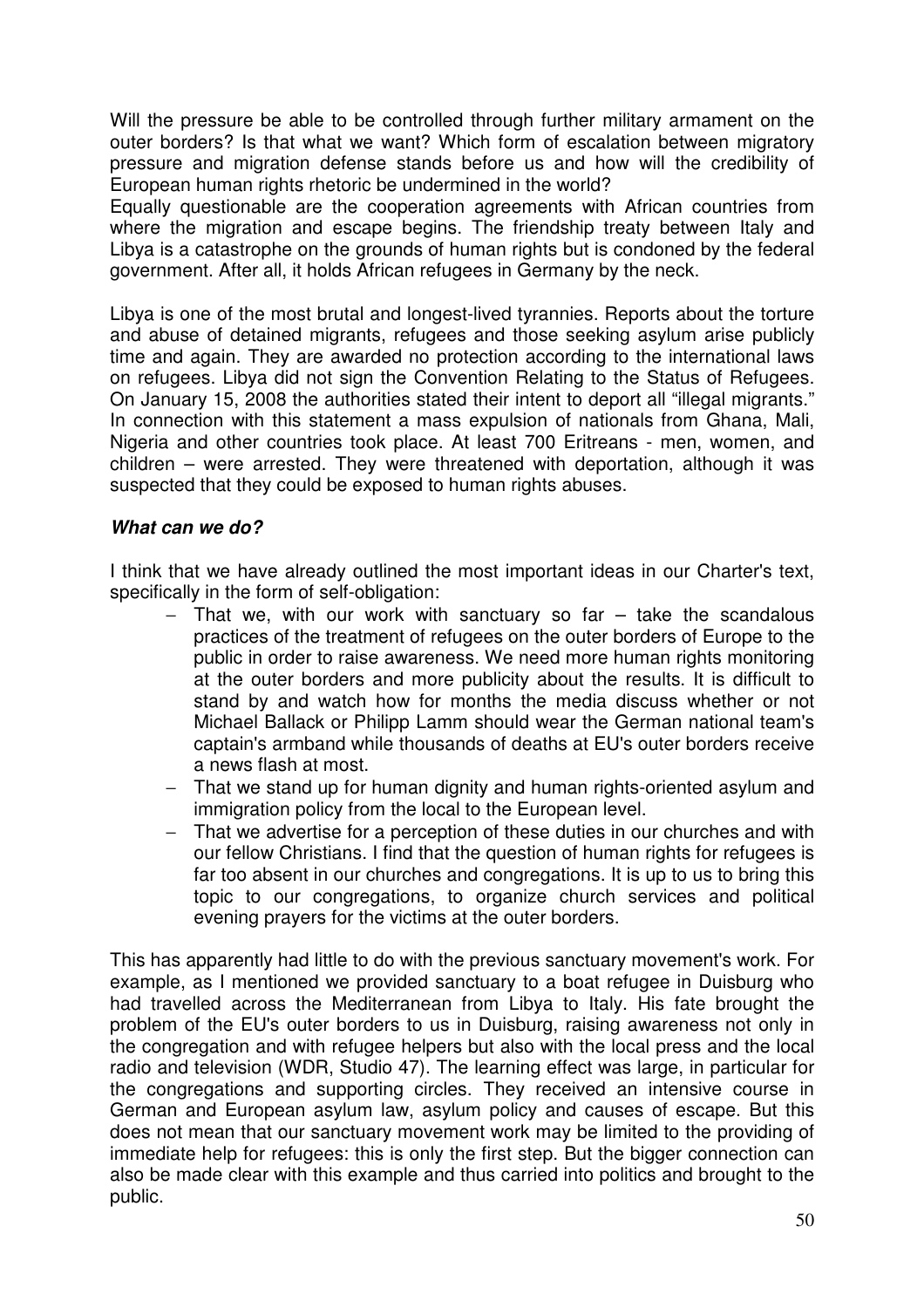Will the pressure be able to be controlled through further military armament on the outer borders? Is that what we want? Which form of escalation between migratory pressure and migration defense stands before us and how will the credibility of European human rights rhetoric be undermined in the world?

Equally questionable are the cooperation agreements with African countries from where the migration and escape begins. The friendship treaty between Italy and Libya is a catastrophe on the grounds of human rights but is condoned by the federal government. After all, it holds African refugees in Germany by the neck.

Libya is one of the most brutal and longest-lived tyrannies. Reports about the torture and abuse of detained migrants, refugees and those seeking asylum arise publicly time and again. They are awarded no protection according to the international laws on refugees. Libya did not sign the Convention Relating to the Status of Refugees. On January 15, 2008 the authorities stated their intent to deport all "illegal migrants." In connection with this statement a mass expulsion of nationals from Ghana, Mali, Nigeria and other countries took place. At least 700 Eritreans - men, women, and children – were arrested. They were threatened with deportation, although it was suspected that they could be exposed to human rights abuses.

#### **What can we do?**

I think that we have already outlined the most important ideas in our Charter's text, specifically in the form of self-obligation:

- − That we, with our work with sanctuary so far take the scandalous practices of the treatment of refugees on the outer borders of Europe to the public in order to raise awareness. We need more human rights monitoring at the outer borders and more publicity about the results. It is difficult to stand by and watch how for months the media discuss whether or not Michael Ballack or Philipp Lamm should wear the German national team's captain's armband while thousands of deaths at EU's outer borders receive a news flash at most.
- − That we stand up for human dignity and human rights-oriented asylum and immigration policy from the local to the European level.
- − That we advertise for a perception of these duties in our churches and with our fellow Christians. I find that the question of human rights for refugees is far too absent in our churches and congregations. It is up to us to bring this topic to our congregations, to organize church services and political evening prayers for the victims at the outer borders.

This has apparently had little to do with the previous sanctuary movement's work. For example, as I mentioned we provided sanctuary to a boat refugee in Duisburg who had travelled across the Mediterranean from Libya to Italy. His fate brought the problem of the EU's outer borders to us in Duisburg, raising awareness not only in the congregation and with refugee helpers but also with the local press and the local radio and television (WDR, Studio 47). The learning effect was large, in particular for the congregations and supporting circles. They received an intensive course in German and European asylum law, asylum policy and causes of escape. But this does not mean that our sanctuary movement work may be limited to the providing of immediate help for refugees: this is only the first step. But the bigger connection can also be made clear with this example and thus carried into politics and brought to the public.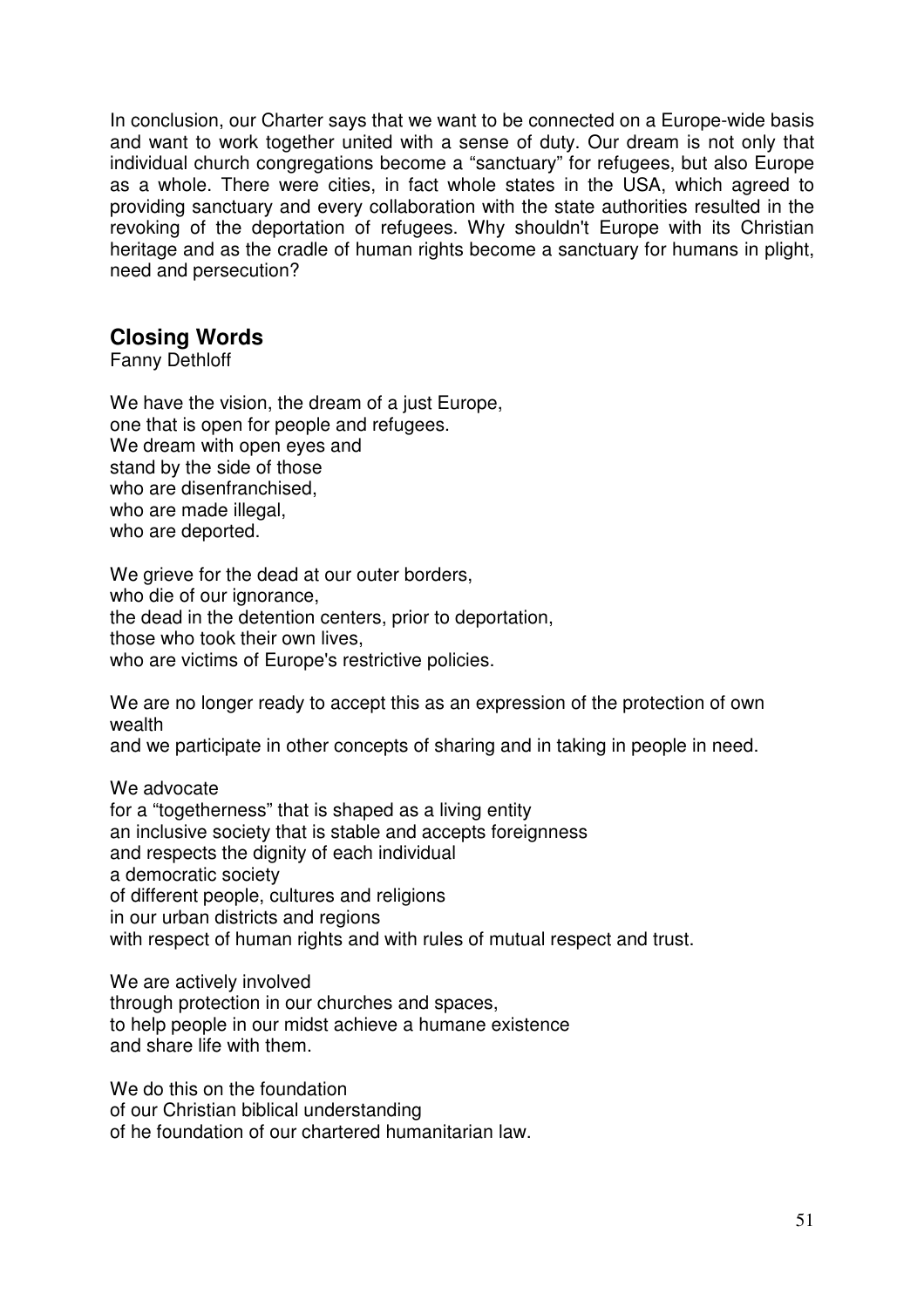In conclusion, our Charter says that we want to be connected on a Europe-wide basis and want to work together united with a sense of duty. Our dream is not only that individual church congregations become a "sanctuary" for refugees, but also Europe as a whole. There were cities, in fact whole states in the USA, which agreed to providing sanctuary and every collaboration with the state authorities resulted in the revoking of the deportation of refugees. Why shouldn't Europe with its Christian heritage and as the cradle of human rights become a sanctuary for humans in plight, need and persecution?

# **Closing Words**

Fanny Dethloff

We have the vision, the dream of a just Europe, one that is open for people and refugees. We dream with open eyes and stand by the side of those who are disenfranchised. who are made illegal. who are deported.

We grieve for the dead at our outer borders, who die of our ignorance, the dead in the detention centers, prior to deportation, those who took their own lives, who are victims of Europe's restrictive policies.

We are no longer ready to accept this as an expression of the protection of own wealth

and we participate in other concepts of sharing and in taking in people in need.

We advocate for a "togetherness" that is shaped as a living entity an inclusive society that is stable and accepts foreignness and respects the dignity of each individual a democratic society of different people, cultures and religions in our urban districts and regions with respect of human rights and with rules of mutual respect and trust.

We are actively involved through protection in our churches and spaces, to help people in our midst achieve a humane existence and share life with them.

We do this on the foundation of our Christian biblical understanding of he foundation of our chartered humanitarian law.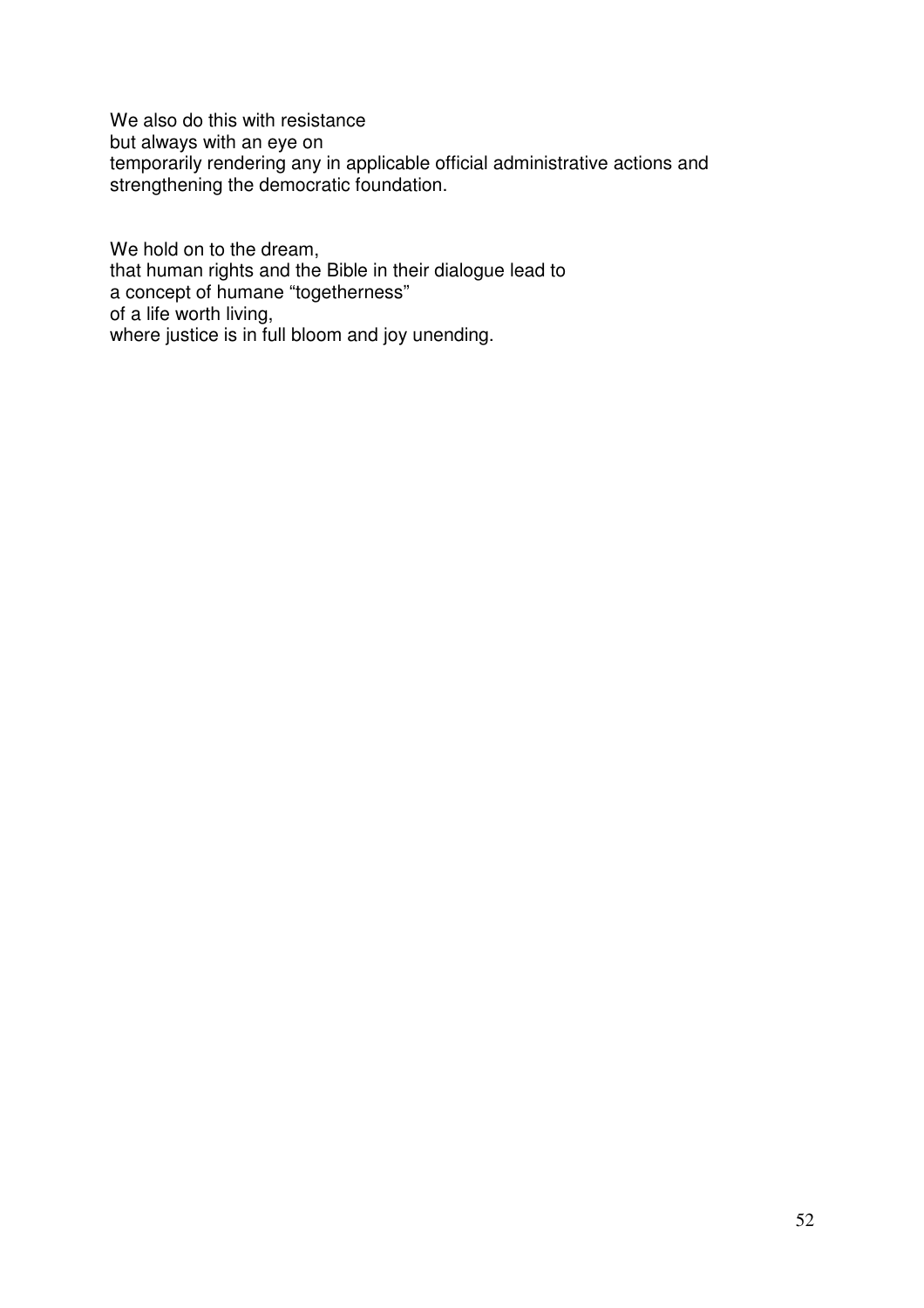We also do this with resistance but always with an eye on temporarily rendering any in applicable official administrative actions and strengthening the democratic foundation.

We hold on to the dream, that human rights and the Bible in their dialogue lead to a concept of humane "togetherness" of a life worth living, where justice is in full bloom and joy unending.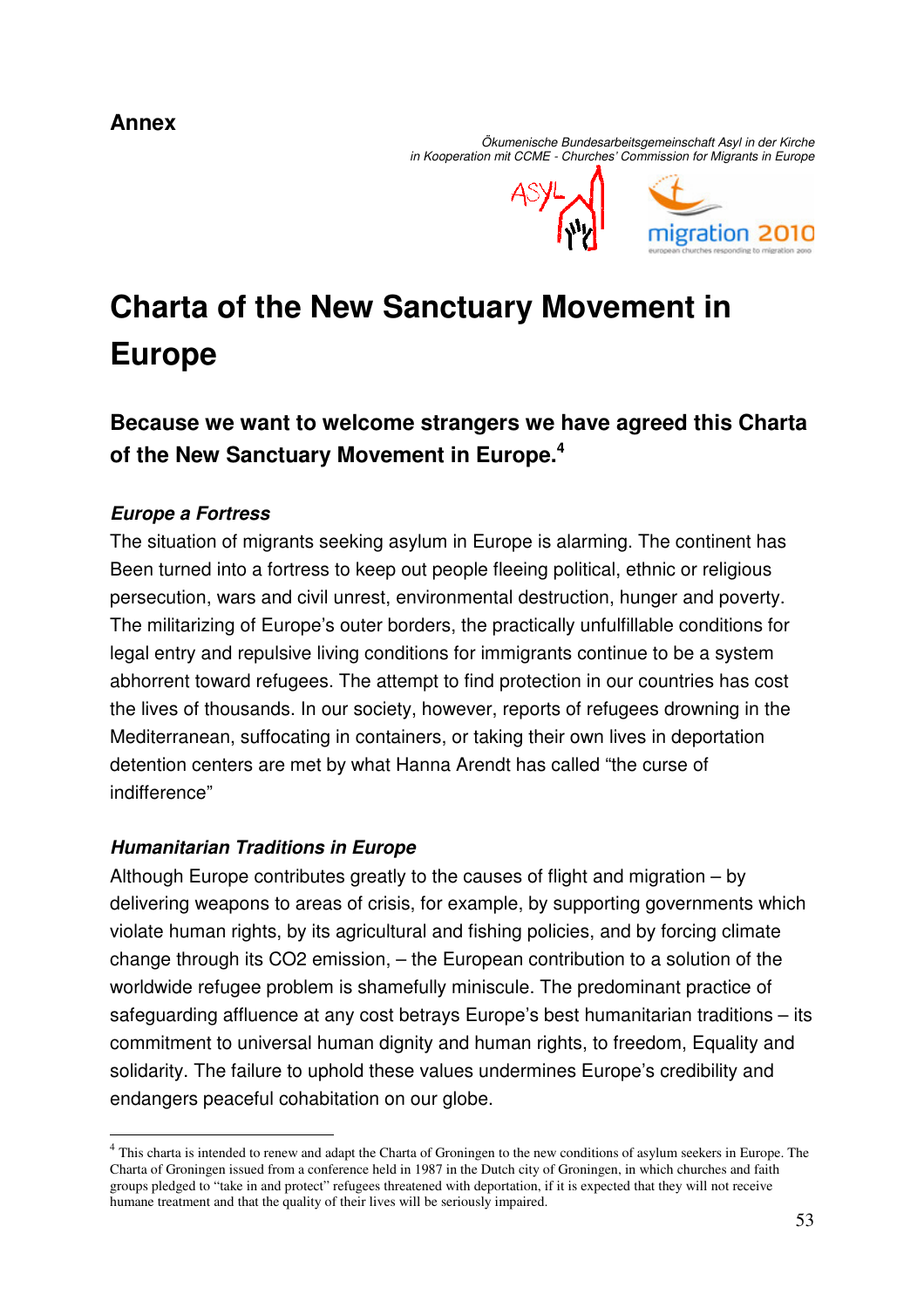# **Annex**

 Ökumenische Bundesarbeitsgemeinschaft Asyl in der Kirche in Kooperation mit CCME - Churches' Commission for Migrants in Europe



# **Charta of the New Sanctuary Movement in Europe**

# **Because we want to welcome strangers we have agreed this Charta of the New Sanctuary Movement in Europe.<sup>4</sup>**

## **Europe a Fortress**

 $\overline{a}$ 

The situation of migrants seeking asylum in Europe is alarming. The continent has Been turned into a fortress to keep out people fleeing political, ethnic or religious persecution, wars and civil unrest, environmental destruction, hunger and poverty. The militarizing of Europe's outer borders, the practically unfulfillable conditions for legal entry and repulsive living conditions for immigrants continue to be a system abhorrent toward refugees. The attempt to find protection in our countries has cost the lives of thousands. In our society, however, reports of refugees drowning in the Mediterranean, suffocating in containers, or taking their own lives in deportation detention centers are met by what Hanna Arendt has called "the curse of indifference"

#### **Humanitarian Traditions in Europe**

Although Europe contributes greatly to the causes of flight and migration – by delivering weapons to areas of crisis, for example, by supporting governments which violate human rights, by its agricultural and fishing policies, and by forcing climate change through its CO2 emission, – the European contribution to a solution of the worldwide refugee problem is shamefully miniscule. The predominant practice of safeguarding affluence at any cost betrays Europe's best humanitarian traditions – its commitment to universal human dignity and human rights, to freedom, Equality and solidarity. The failure to uphold these values undermines Europe's credibility and endangers peaceful cohabitation on our globe.

<sup>&</sup>lt;sup>4</sup> This charta is intended to renew and adapt the Charta of Groningen to the new conditions of asylum seekers in Europe. The Charta of Groningen issued from a conference held in 1987 in the Dutch city of Groningen, in which churches and faith groups pledged to "take in and protect" refugees threatened with deportation, if it is expected that they will not receive humane treatment and that the quality of their lives will be seriously impaired.